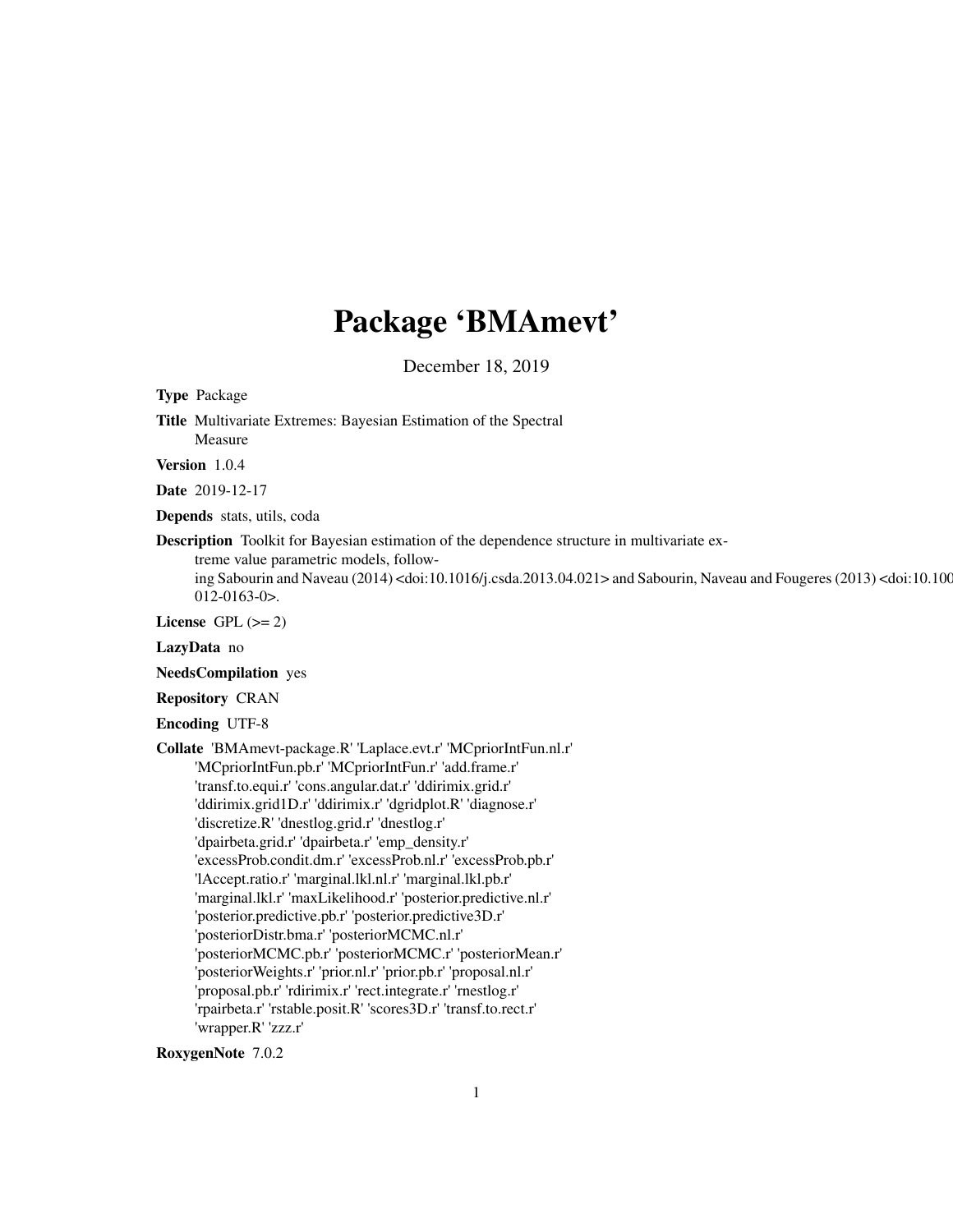# Package 'BMAmevt'

December 18, 2019

<span id="page-0-0"></span>Type Package

Title Multivariate Extremes: Bayesian Estimation of the Spectral Measure

Version 1.0.4

Date 2019-12-17

Depends stats, utils, coda

Description Toolkit for Bayesian estimation of the dependence structure in multivariate ex-

treme value parametric models, follow-

ing Sabourin and Naveau (2014) <doi:10.1016/j.csda.2013.04.021> and Sabourin, Naveau and Fougeres (2013) <doi:10.100 012-0163-0>.

License GPL  $(>= 2)$ 

LazyData no

NeedsCompilation yes

Repository CRAN

Encoding UTF-8

Collate 'BMAmevt-package.R' 'Laplace.evt.r' 'MCpriorIntFun.nl.r' 'MCpriorIntFun.pb.r' 'MCpriorIntFun.r' 'add.frame.r' 'transf.to.equi.r' 'cons.angular.dat.r' 'ddirimix.grid.r' 'ddirimix.grid1D.r' 'ddirimix.r' 'dgridplot.R' 'diagnose.r' 'discretize.R' 'dnestlog.grid.r' 'dnestlog.r' 'dpairbeta.grid.r' 'dpairbeta.r' 'emp\_density.r' 'excessProb.condit.dm.r' 'excessProb.nl.r' 'excessProb.pb.r' 'lAccept.ratio.r' 'marginal.lkl.nl.r' 'marginal.lkl.pb.r' 'marginal.lkl.r' 'maxLikelihood.r' 'posterior.predictive.nl.r' 'posterior.predictive.pb.r' 'posterior.predictive3D.r' 'posteriorDistr.bma.r' 'posteriorMCMC.nl.r' 'posteriorMCMC.pb.r' 'posteriorMCMC.r' 'posteriorMean.r' 'posteriorWeights.r' 'prior.nl.r' 'prior.pb.r' 'proposal.nl.r' 'proposal.pb.r' 'rdirimix.r' 'rect.integrate.r' 'rnestlog.r' 'rpairbeta.r' 'rstable.posit.R' 'scores3D.r' 'transf.to.rect.r' 'wrapper.R' 'zzz.r'

RoxygenNote 7.0.2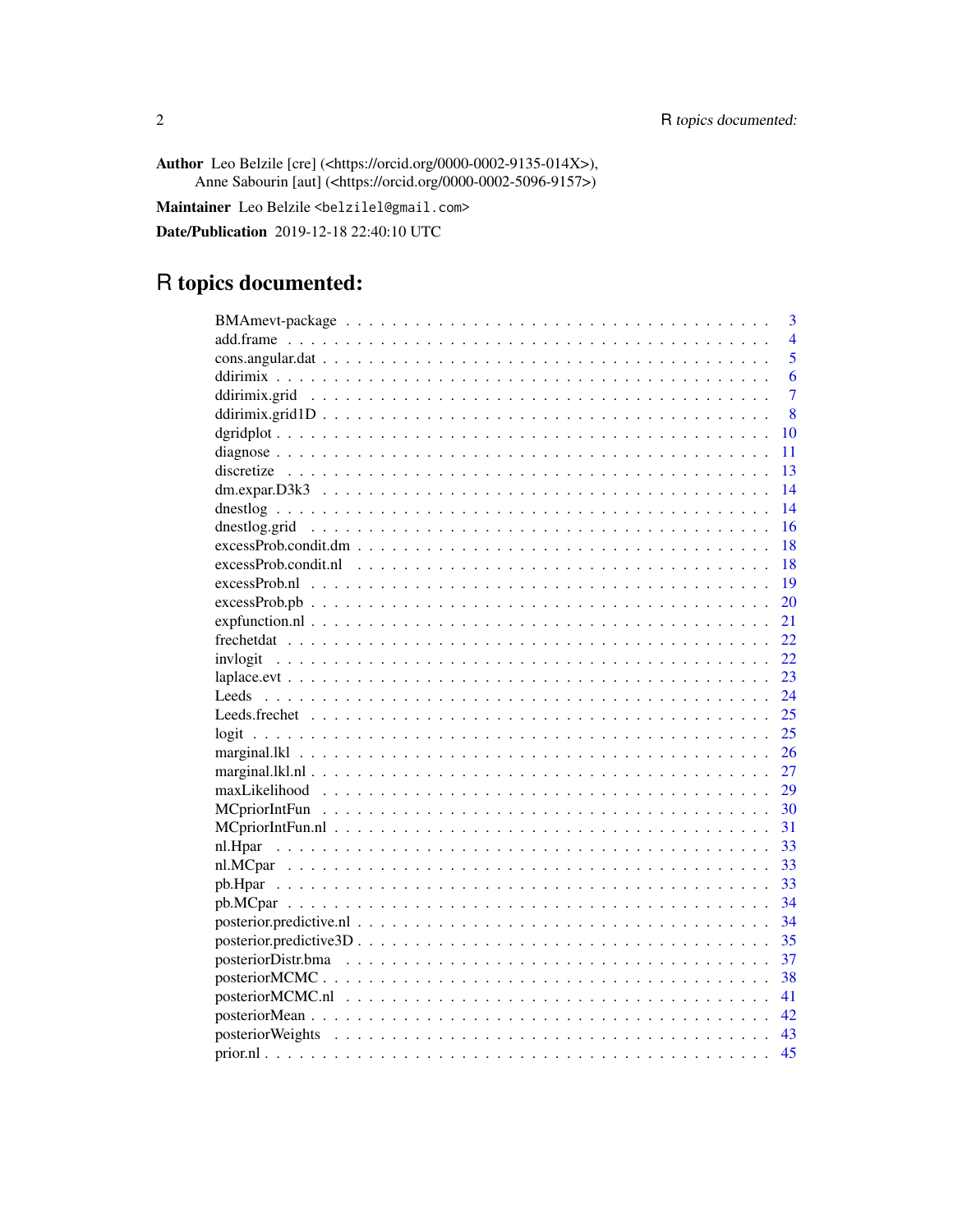Author Leo Belzile [cre] (<https://orcid.org/0000-0002-9135-014X>), Anne Sabourin [aut] (<https://orcid.org/0000-0002-5096-9157>)

Maintainer Leo Belzile <belzilel@gmail.com>

Date/Publication 2019-12-18 22:40:10 UTC

# R topics documented:

|                                            | 3              |
|--------------------------------------------|----------------|
|                                            | $\overline{4}$ |
|                                            | $\overline{5}$ |
|                                            | 6              |
|                                            | $\overline{7}$ |
|                                            | 8              |
| 10                                         |                |
| 11                                         |                |
| 13                                         |                |
| 14                                         |                |
| 14                                         |                |
| 16                                         |                |
| 18                                         |                |
| 18                                         |                |
| 19                                         |                |
| 20                                         |                |
| 21                                         |                |
| 22                                         |                |
| 22                                         |                |
| 23                                         |                |
| 24                                         |                |
| 25                                         |                |
| 25                                         |                |
| 26                                         |                |
| 27                                         |                |
| 29                                         |                |
| 30                                         |                |
| 31                                         |                |
| 33                                         |                |
| 33                                         |                |
| 33                                         |                |
| 34                                         |                |
| 34                                         |                |
| 35                                         |                |
| 37                                         |                |
| 38                                         |                |
| $posterior MCMC.11                 $<br>41 |                |
|                                            |                |
|                                            |                |
| 45                                         |                |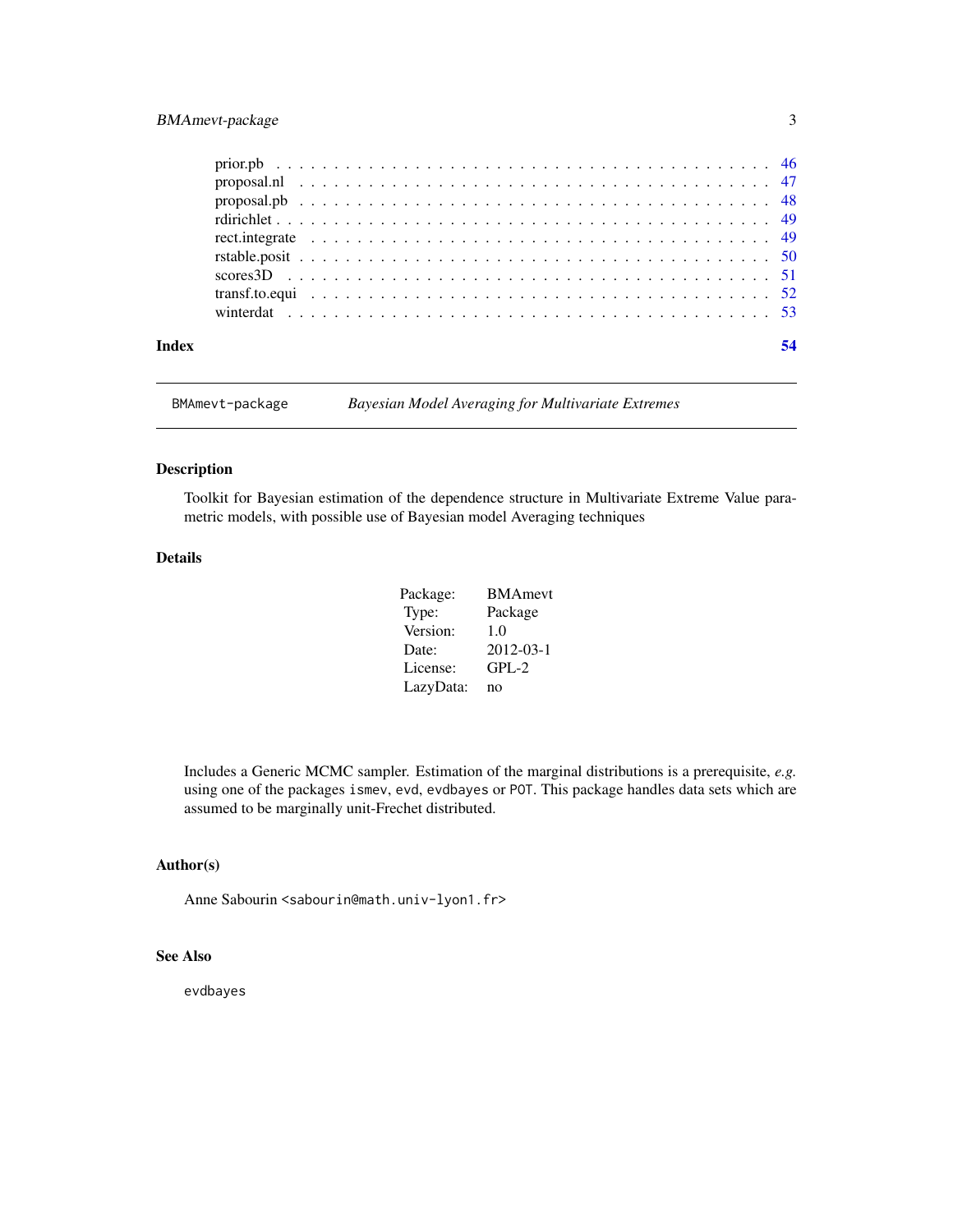## <span id="page-2-0"></span>BMAmevt-package 3

| Index | 54 |
|-------|----|
|       |    |
|       |    |
|       |    |
|       |    |
|       |    |
|       |    |
|       |    |
|       |    |
|       |    |

BMAmevt-package *Bayesian Model Averaging for Multivariate Extremes*

#### Description

Toolkit for Bayesian estimation of the dependence structure in Multivariate Extreme Value parametric models, with possible use of Bayesian model Averaging techniques

## Details

| Package:  | <b>BMAmevt</b>  |
|-----------|-----------------|
| Type:     | Package         |
| Version:  | 1.0             |
| Date:     | $2012 - 03 - 1$ |
| License:  | $GPL-2$         |
| LazyData: | no              |

Includes a Generic MCMC sampler. Estimation of the marginal distributions is a prerequisite, *e.g.* using one of the packages ismev, evd, evdbayes or POT. This package handles data sets which are assumed to be marginally unit-Frechet distributed.

## Author(s)

Anne Sabourin <sabourin@math.univ-lyon1.fr>

## See Also

evdbayes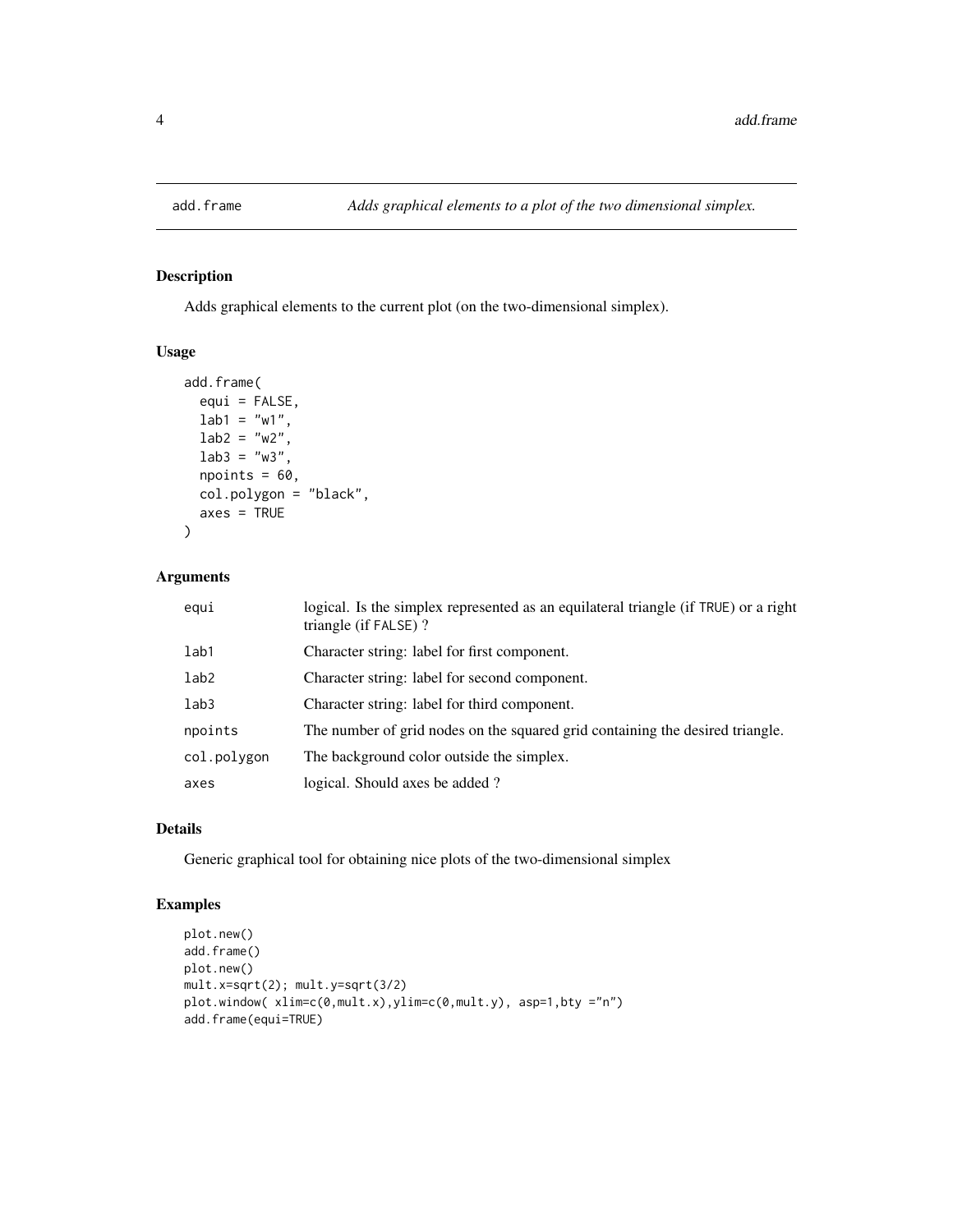<span id="page-3-0"></span>

## Description

Adds graphical elements to the current plot (on the two-dimensional simplex).

## Usage

```
add.frame(
 equi = FALSE,lab1 = "w1",lab2 = "w2",lab3 = "w3",npoints = 60,col.polygon = "black",
 axes = TRUE)
```
## Arguments

| equi             | logical. Is the simplex represented as an equilateral triangle (if TRUE) or a right<br>triangle (if FALSE)? |
|------------------|-------------------------------------------------------------------------------------------------------------|
| lab1             | Character string: label for first component.                                                                |
| lab <sub>2</sub> | Character string: label for second component.                                                               |
| lab3             | Character string: label for third component.                                                                |
| npoints          | The number of grid nodes on the squared grid containing the desired triangle.                               |
| col.polygon      | The background color outside the simplex.                                                                   |
| axes             | logical. Should axes be added?                                                                              |

## Details

Generic graphical tool for obtaining nice plots of the two-dimensional simplex

## Examples

```
plot.new()
add.frame()
plot.new()
mult.x=sqrt(2); mult.y=sqrt(3/2)
plot.window( xlim=c(0,mult.x),ylim=c(0,mult.y), asp=1,bty ="n")
add.frame(equi=TRUE)
```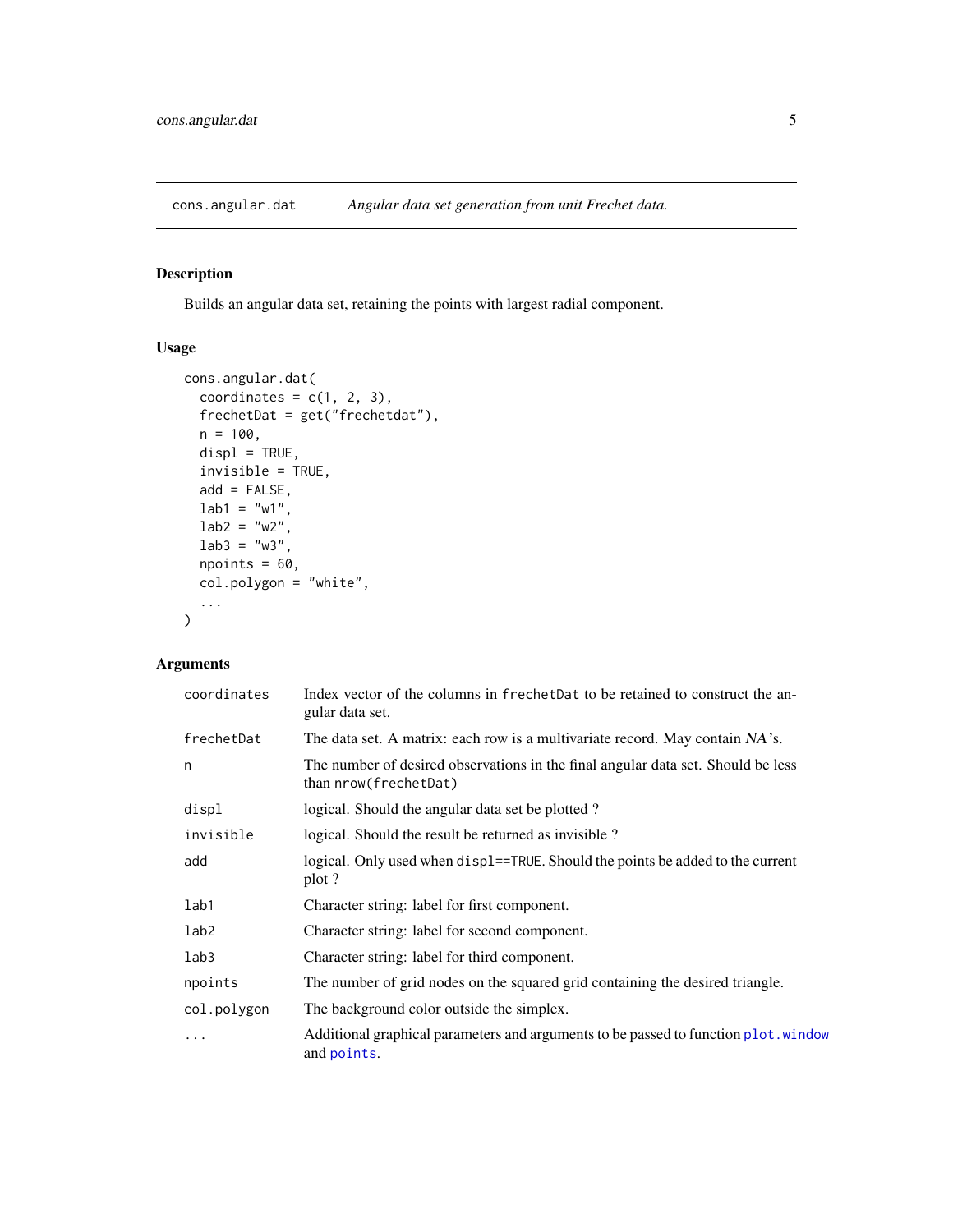<span id="page-4-1"></span><span id="page-4-0"></span>cons.angular.dat *Angular data set generation from unit Frechet data.*

## Description

Builds an angular data set, retaining the points with largest radial component.

## Usage

```
cons.angular.dat(
 coordinates = c(1, 2, 3),
  frechetDat = get("frechetdat"),
 n = 100,displ = TRUE,invisible = TRUE,
  add = FALSE,lab1 = "w1",lab2 = "w2",lab3 = "w3",npoints = 60,col.polygon = "white",
  ...
)
```

| coordinates | Index vector of the columns in frechetDat to be retained to construct the an-<br>gular data set.            |
|-------------|-------------------------------------------------------------------------------------------------------------|
| frechetDat  | The data set. A matrix: each row is a multivariate record. May contain NA's.                                |
| n           | The number of desired observations in the final angular data set. Should be less<br>than $nrow(frechtData)$ |
| displ       | logical. Should the angular data set be plotted?                                                            |
| invisible   | logical. Should the result be returned as invisible?                                                        |
| add         | logical. Only used when displ==TRUE. Should the points be added to the current<br>plot ?                    |
| lab1        | Character string: label for first component.                                                                |
| lab2        | Character string: label for second component.                                                               |
| lab3        | Character string: label for third component.                                                                |
| npoints     | The number of grid nodes on the squared grid containing the desired triangle.                               |
| col.polygon | The background color outside the simplex.                                                                   |
| .           | Additional graphical parameters and arguments to be passed to function plot. window<br>and points.          |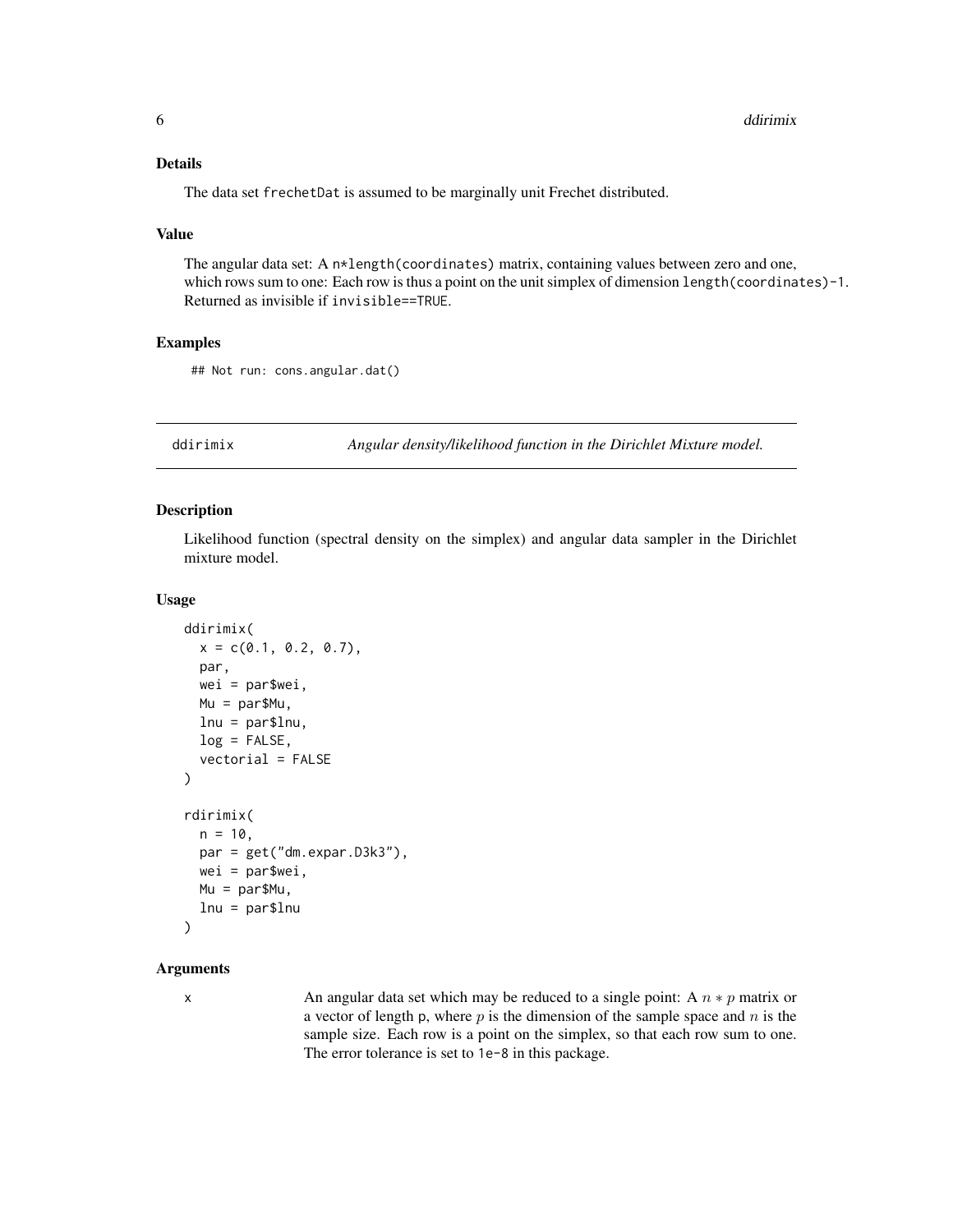## <span id="page-5-0"></span>Details

The data set frechetDat is assumed to be marginally unit Frechet distributed.

#### Value

The angular data set: A n\*length(coordinates) matrix, containing values between zero and one, which rows sum to one: Each row is thus a point on the unit simplex of dimension length(coordinates)-1. Returned as invisible if invisible==TRUE.

## Examples

## Not run: cons.angular.dat()

ddirimix *Angular density/likelihood function in the Dirichlet Mixture model.*

#### Description

Likelihood function (spectral density on the simplex) and angular data sampler in the Dirichlet mixture model.

#### Usage

```
ddirimix(
  x = c(0.1, 0.2, 0.7),
 par,
 wei = par$wei,
 Mu = par$Mu,
  lnu = par$lnu,
  log = FALSE,vectorial = FALSE
)
rdirimix(
 n = 10,
 par = get("dm.expar.D3k3"),
 wei = par$wei,
 Mu = par$Mu,lnu = par$lnu
\mathcal{L}
```
#### Arguments

x An angular data set which may be reduced to a single point: A  $n * p$  matrix or a vector of length p, where  $p$  is the dimension of the sample space and  $n$  is the sample size. Each row is a point on the simplex, so that each row sum to one. The error tolerance is set to 1e-8 in this package.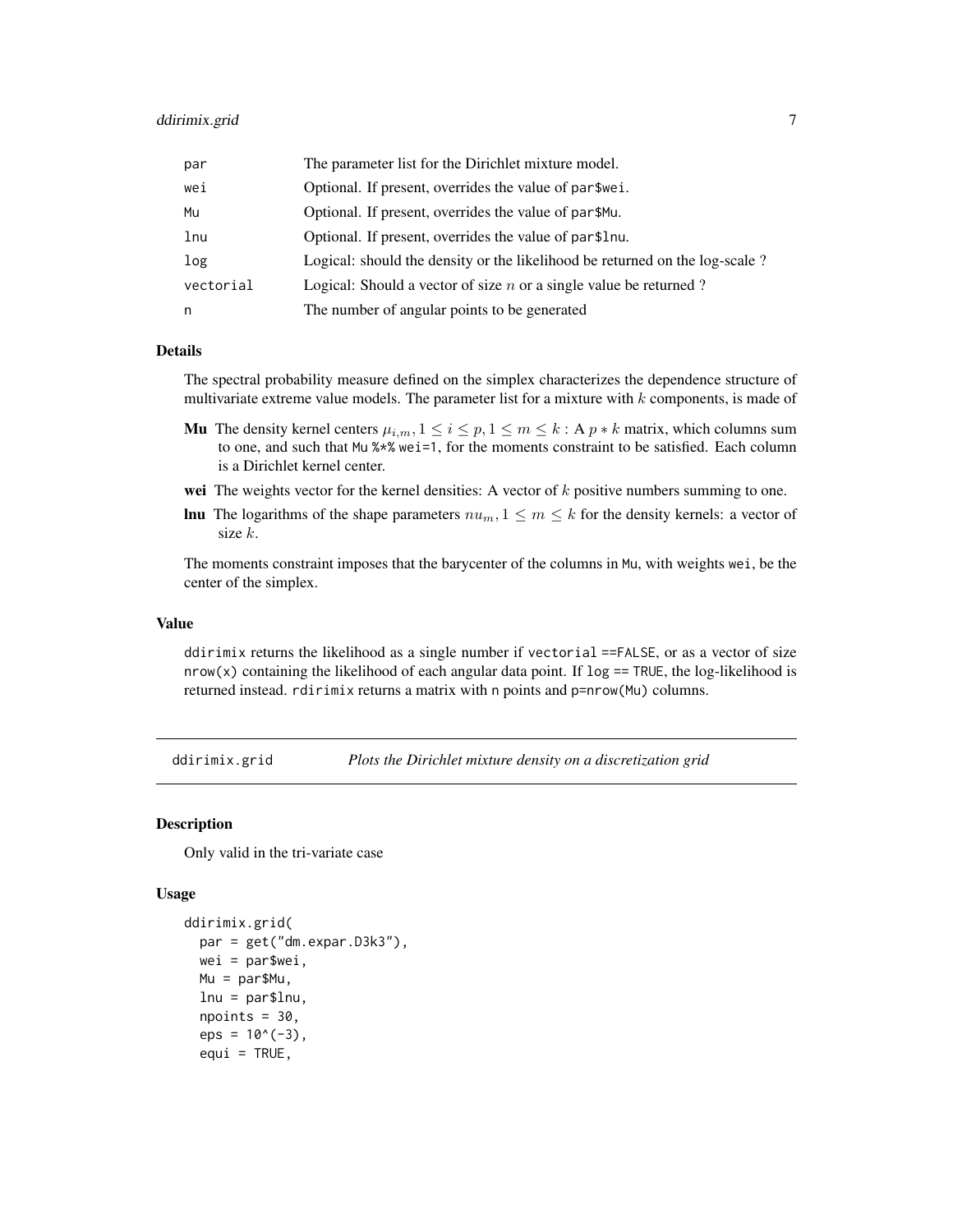## <span id="page-6-0"></span>ddirimix.grid 7

| par       | The parameter list for the Dirichlet mixture model.                         |
|-----------|-----------------------------------------------------------------------------|
| wei       | Optional. If present, overrides the value of par \$wei.                     |
| Mu        | Optional. If present, overrides the value of par\$Mu.                       |
| lnu       | Optional. If present, overrides the value of par\$1 nu.                     |
| log       | Logical: should the density or the likelihood be returned on the log-scale? |
| vectorial | Logical: Should a vector of size $n$ or a single value be returned?         |
| n         | The number of angular points to be generated                                |

## Details

The spectral probability measure defined on the simplex characterizes the dependence structure of multivariate extreme value models. The parameter list for a mixture with  $k$  components, is made of

- **Mu** The density kernel centers  $\mu_{i,m}, 1 \leq i \leq p, 1 \leq m \leq k$ : A  $p * k$  matrix, which columns sum to one, and such that Mu %\*% wei=1, for the moments constraint to be satisfied. Each column is a Dirichlet kernel center.
- wei The weights vector for the kernel densities: A vector of  $k$  positive numbers summing to one.
- **lnu** The logarithms of the shape parameters  $nu_m$ ,  $1 \leq m \leq k$  for the density kernels: a vector of size k.

The moments constraint imposes that the barycenter of the columns in Mu, with weights wei, be the center of the simplex.

#### Value

ddirimix returns the likelihood as a single number if vectorial ==FALSE, or as a vector of size nrow(x) containing the likelihood of each angular data point. If  $log = TNUE$ , the log-likelihood is returned instead. rdirimix returns a matrix with n points and p=nrow(Mu) columns.

ddirimix.grid *Plots the Dirichlet mixture density on a discretization grid*

#### Description

Only valid in the tri-variate case

#### Usage

```
ddirimix.grid(
 par = get("dm.expar.D3k3"),
 wei = par$wei,
 Mu = par$Mu,
  lnu = par$lnu,
  npoints = 30,eps = 10^(-3),
  equi = TRUE,
```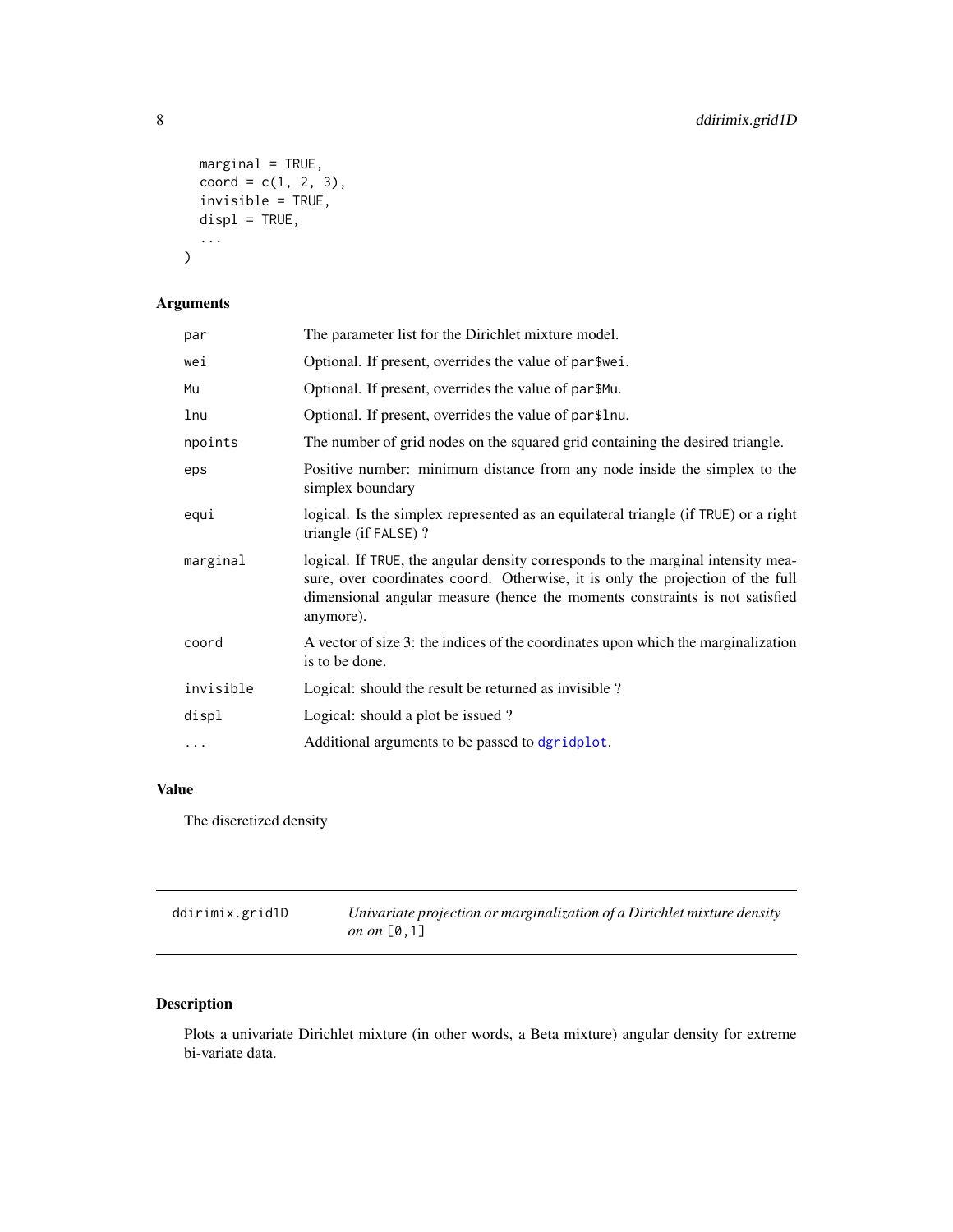```
marginal = TRUE,coord = c(1, 2, 3),
  invisible = TRUE,
  displ = TRUE,...
\mathcal{L}
```
## Arguments

| The parameter list for the Dirichlet mixture model.                                                                                                                                                                                                            |
|----------------------------------------------------------------------------------------------------------------------------------------------------------------------------------------------------------------------------------------------------------------|
| Optional. If present, overrides the value of par\$wei.                                                                                                                                                                                                         |
| Optional. If present, overrides the value of par\$Mu.                                                                                                                                                                                                          |
| Optional. If present, overrides the value of par\$lnu.                                                                                                                                                                                                         |
| The number of grid nodes on the squared grid containing the desired triangle.                                                                                                                                                                                  |
| Positive number: minimum distance from any node inside the simplex to the<br>simplex boundary                                                                                                                                                                  |
| logical. Is the simplex represented as an equilateral triangle (if TRUE) or a right<br>triangle (if FALSE)?                                                                                                                                                    |
| logical. If TRUE, the angular density corresponds to the marginal intensity mea-<br>sure, over coordinates coord. Otherwise, it is only the projection of the full<br>dimensional angular measure (hence the moments constraints is not satisfied<br>anymore). |
| A vector of size 3: the indices of the coordinates upon which the marginalization<br>is to be done.                                                                                                                                                            |
| Logical: should the result be returned as invisible?                                                                                                                                                                                                           |
| Logical: should a plot be issued?                                                                                                                                                                                                                              |
| Additional arguments to be passed to dgridplot.                                                                                                                                                                                                                |
|                                                                                                                                                                                                                                                                |

## Value

The discretized density

| ddirimix.grid1D | Univariate projection or marginalization of a Dirichlet mixture density |
|-----------------|-------------------------------------------------------------------------|
|                 | on on $[0,1]$                                                           |

## Description

Plots a univariate Dirichlet mixture (in other words, a Beta mixture) angular density for extreme bi-variate data.

<span id="page-7-0"></span>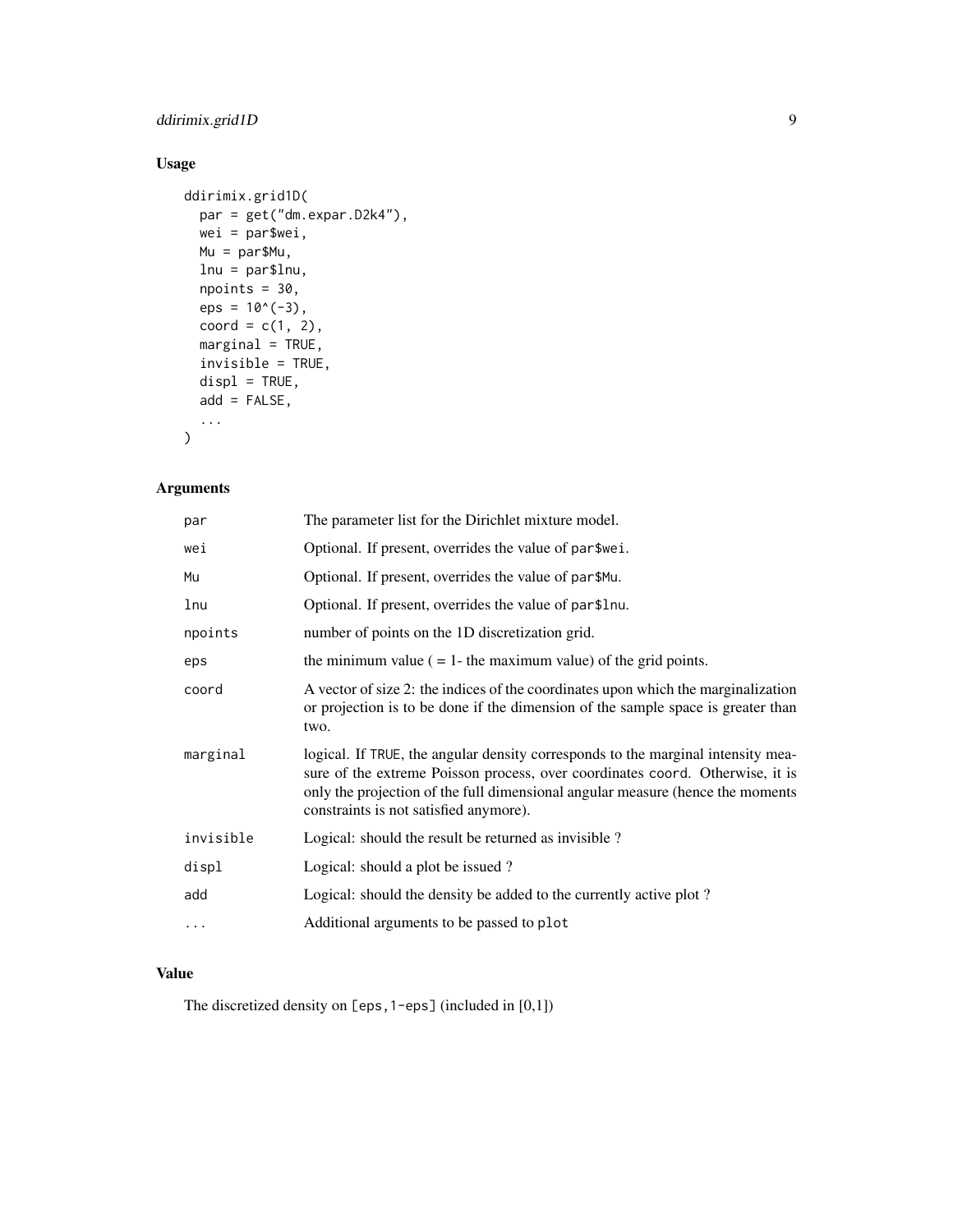## ddirimix.grid1D 9

## Usage

```
ddirimix.grid1D(
 par = get("dm.expar.D2k4"),
 wei = par$wei,
 Mu = par$Mu,
 lnu = par$lnu,
 npoints = 30,eps = 10^(-3),
 coord = c(1, 2),marginal = TRUE,
 invisible = TRUE,
 displ = TRUE,add = FALSE,...
\mathcal{L}
```
## Arguments

| par       | The parameter list for the Dirichlet mixture model.                                                                                                                                                                                                                                           |
|-----------|-----------------------------------------------------------------------------------------------------------------------------------------------------------------------------------------------------------------------------------------------------------------------------------------------|
| wei       | Optional. If present, overrides the value of par\$wei.                                                                                                                                                                                                                                        |
| Mu        | Optional. If present, overrides the value of par\$Mu.                                                                                                                                                                                                                                         |
| lnu       | Optional. If present, overrides the value of par\$lnu.                                                                                                                                                                                                                                        |
| npoints   | number of points on the 1D discretization grid.                                                                                                                                                                                                                                               |
| eps       | the minimum value $( = 1$ - the maximum value) of the grid points.                                                                                                                                                                                                                            |
| coord     | A vector of size 2: the indices of the coordinates upon which the marginalization<br>or projection is to be done if the dimension of the sample space is greater than<br>two.                                                                                                                 |
| marginal  | logical. If TRUE, the angular density corresponds to the marginal intensity mea-<br>sure of the extreme Poisson process, over coordinates coord. Otherwise, it is<br>only the projection of the full dimensional angular measure (hence the moments<br>constraints is not satisfied anymore). |
| invisible | Logical: should the result be returned as invisible?                                                                                                                                                                                                                                          |
| displ     | Logical: should a plot be issued?                                                                                                                                                                                                                                                             |
| add       | Logical: should the density be added to the currently active plot?                                                                                                                                                                                                                            |
| $\cdots$  | Additional arguments to be passed to plot                                                                                                                                                                                                                                                     |
|           |                                                                                                                                                                                                                                                                                               |

## Value

The discretized density on [eps,1-eps] (included in [0,1])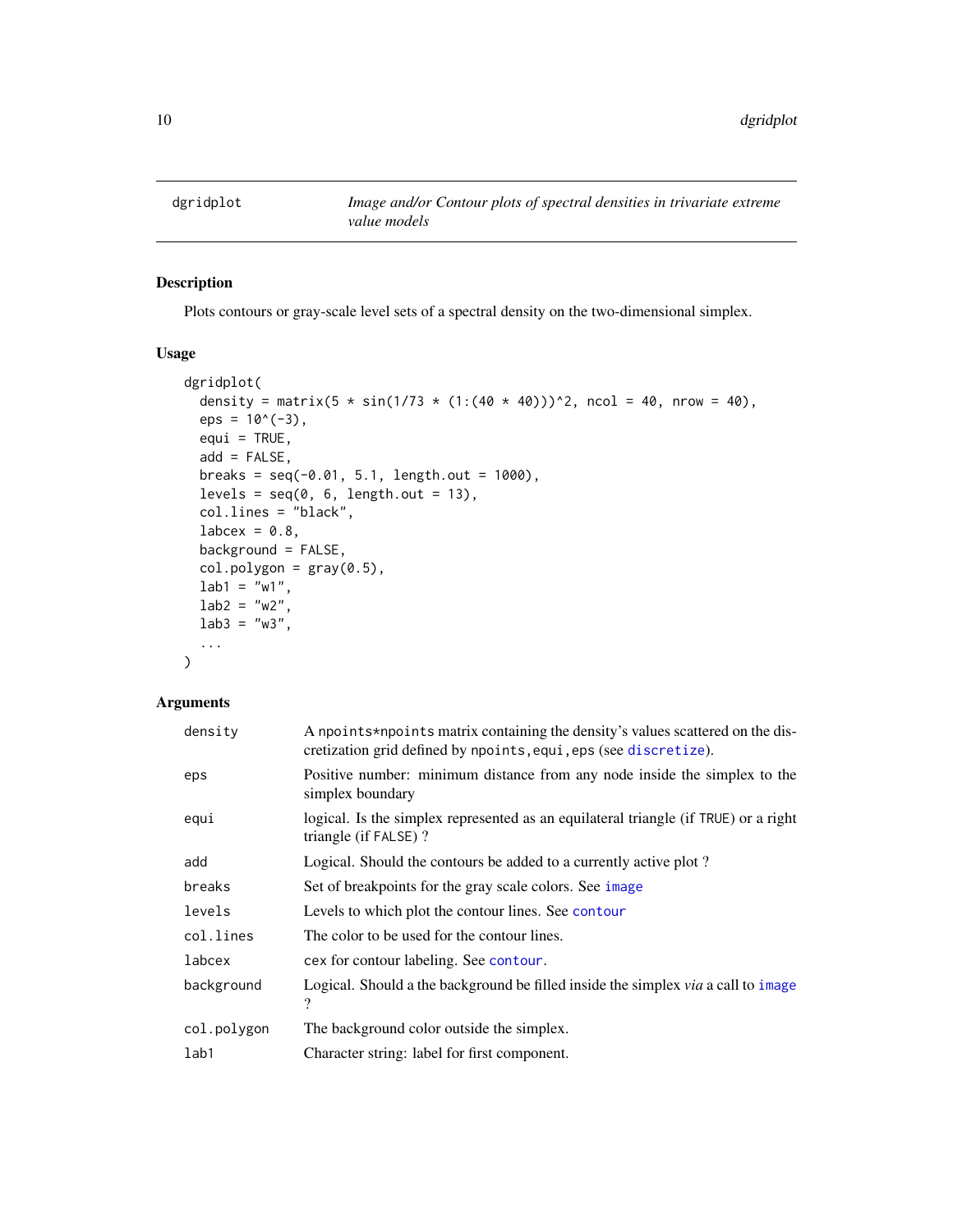<span id="page-9-1"></span><span id="page-9-0"></span>

## Description

Plots contours or gray-scale level sets of a spectral density on the two-dimensional simplex.

#### Usage

```
dgridplot(
  density = matrix(5 * sin(1/73 * (1:(40 * 40)))^2, ncol = 40, nrow = 40),
  eps = 10^(-3),
 equi = TRUE,add = FALSE,breaks = seq(-0.01, 5.1, length.out = 1000),levels = seq(0, 6, length.out = 13),
  col.lines = "black",
  labcex = 0.8,
 background = FALSE,
  col.polygon = gray(0.5),
  lab1 = "w1",lab2 = "w2",lab3 = "w3",...
\mathcal{E}
```

| density     | A npoints*npoints matrix containing the density's values scattered on the dis-<br>cretization grid defined by npoints, equi, eps (see discretize). |
|-------------|----------------------------------------------------------------------------------------------------------------------------------------------------|
| eps         | Positive number: minimum distance from any node inside the simplex to the<br>simplex boundary                                                      |
| equi        | logical. Is the simplex represented as an equilateral triangle (if TRUE) or a right<br>triangle (if FALSE)?                                        |
| add         | Logical. Should the contours be added to a currently active plot?                                                                                  |
| breaks      | Set of breakpoints for the gray scale colors. See image                                                                                            |
| levels      | Levels to which plot the contour lines. See contour                                                                                                |
| col.lines   | The color to be used for the contour lines.                                                                                                        |
| labcex      | cex for contour labeling. See contour.                                                                                                             |
| background  | Logical. Should a the background be filled inside the simplex via a call to image<br>?                                                             |
| col.polygon | The background color outside the simplex.                                                                                                          |
| lab1        | Character string: label for first component.                                                                                                       |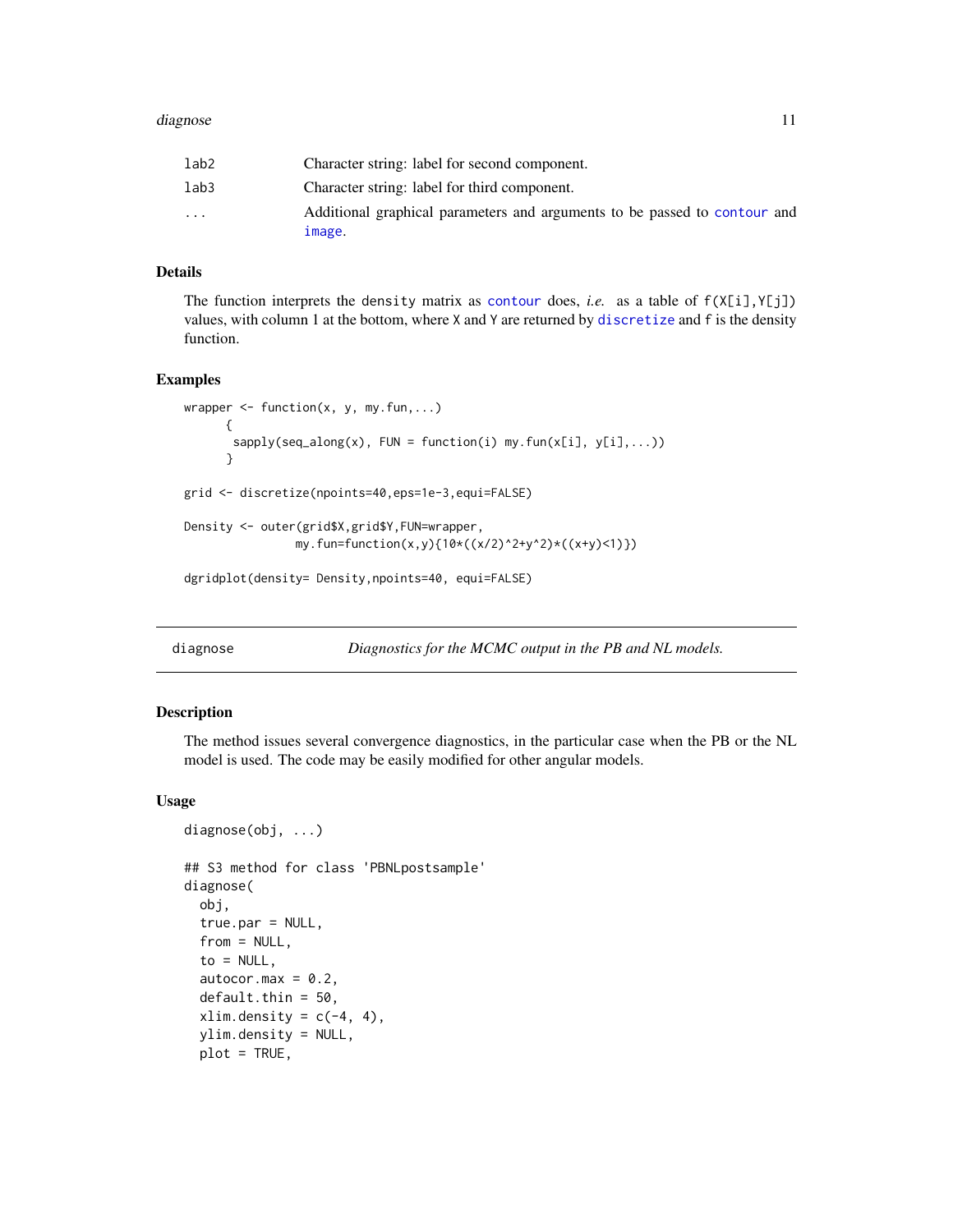#### <span id="page-10-0"></span>diagnose **11**

| lab2                    | Character string: label for second component.                                       |
|-------------------------|-------------------------------------------------------------------------------------|
| lab3                    | Character string: label for third component.                                        |
| $\cdot$ $\cdot$ $\cdot$ | Additional graphical parameters and arguments to be passed to contour and<br>image. |

#### Details

The function interprets the density matrix as [contour](#page-0-0) does, *i.e.* as a table of  $f(X[i], Y[j])$ values, with column 1 at the bottom, where X and Y are returned by [discretize](#page-12-1) and f is the density function.

### Examples

```
wrapper \leq function(x, y, my.fun,...)
      {
       sapply(seq\_along(x), \text{ FUN} = function(i) \text{ my.fun}(x[i], y[i],...)}
grid <- discretize(npoints=40,eps=1e-3,equi=FALSE)
Density <- outer(grid$X,grid$Y,FUN=wrapper,
                my.fun=function(x,y){10*((x/2)^2+y^2)*((x+y)<1)})
dgridplot(density= Density,npoints=40, equi=FALSE)
```
<span id="page-10-1"></span>diagnose *Diagnostics for the MCMC output in the PB and NL models.*

#### Description

The method issues several convergence diagnostics, in the particular case when the PB or the NL model is used. The code may be easily modified for other angular models.

#### Usage

```
diagnose(obj, ...)
## S3 method for class 'PBNLpostsample'
diagnose(
  obj,
  true.par = NULL,
  from = NULL,
  to = NULL,
  autocor.max = 0.2,default.thin = 50,
  xlim.density = c(-4, 4),
  ylim.density = NULL,
  plot = TRUE,
```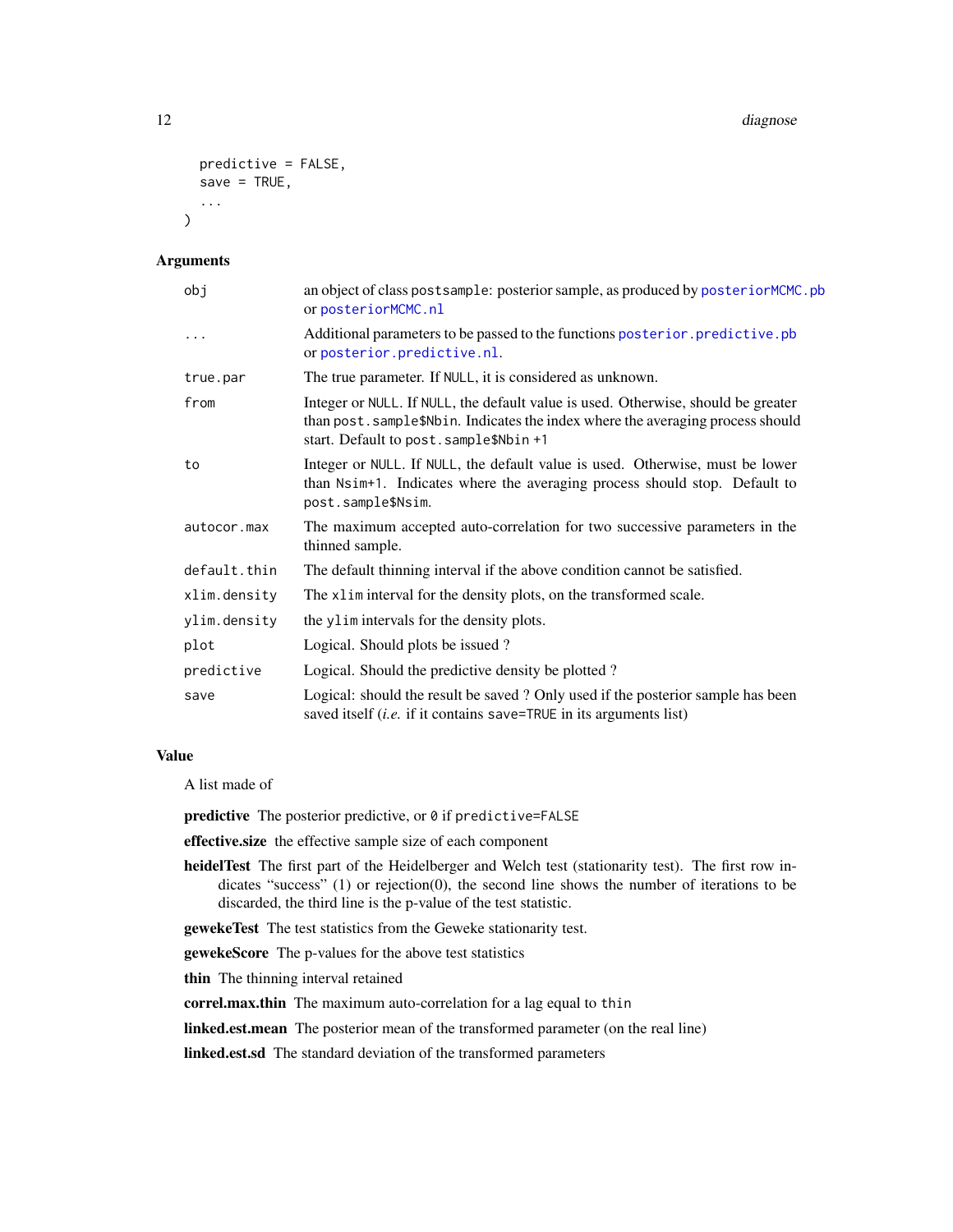```
predictive = FALSE,
  save = TRUE,
  ...
\lambda
```
#### Arguments

| obj          | an object of class postsample: posterior sample, as produced by posteriorMCMC.pb<br>or posteriorMCMC.nl                                                                                                         |
|--------------|-----------------------------------------------------------------------------------------------------------------------------------------------------------------------------------------------------------------|
| $\cdots$     | Additional parameters to be passed to the functions posterior.predictive.pb<br>or posterior.predictive.nl.                                                                                                      |
| true.par     | The true parameter. If NULL, it is considered as unknown.                                                                                                                                                       |
| from         | Integer or NULL. If NULL, the default value is used. Otherwise, should be greater<br>than post. sample\$Nbin. Indicates the index where the averaging process should<br>start. Default to post. sample\$Nbin +1 |
| to           | Integer or NULL. If NULL, the default value is used. Otherwise, must be lower<br>than Nsim+1. Indicates where the averaging process should stop. Default to<br>post.sample\$Nsim.                               |
| autocor.max  | The maximum accepted auto-correlation for two successive parameters in the<br>thinned sample.                                                                                                                   |
| default.thin | The default thinning interval if the above condition cannot be satisfied.                                                                                                                                       |
| xlim.density | The x1 im interval for the density plots, on the transformed scale.                                                                                                                                             |
| ylim.density | the ylim intervals for the density plots.                                                                                                                                                                       |
| plot         | Logical. Should plots be issued?                                                                                                                                                                                |
| predictive   | Logical. Should the predictive density be plotted?                                                                                                                                                              |
| save         | Logical: should the result be saved ? Only used if the posterior sample has been<br>saved itself (i.e. if it contains save=TRUE in its arguments list)                                                          |

#### Value

A list made of

predictive The posterior predictive, or 0 if predictive=FALSE

effective.size the effective sample size of each component

heidelTest The first part of the Heidelberger and Welch test (stationarity test). The first row indicates "success" (1) or rejection(0), the second line shows the number of iterations to be discarded, the third line is the p-value of the test statistic.

gewekeTest The test statistics from the Geweke stationarity test.

gewekeScore The p-values for the above test statistics

thin The thinning interval retained

correl.max.thin The maximum auto-correlation for a lag equal to thin

linked.est.mean The posterior mean of the transformed parameter (on the real line)

linked.est.sd The standard deviation of the transformed parameters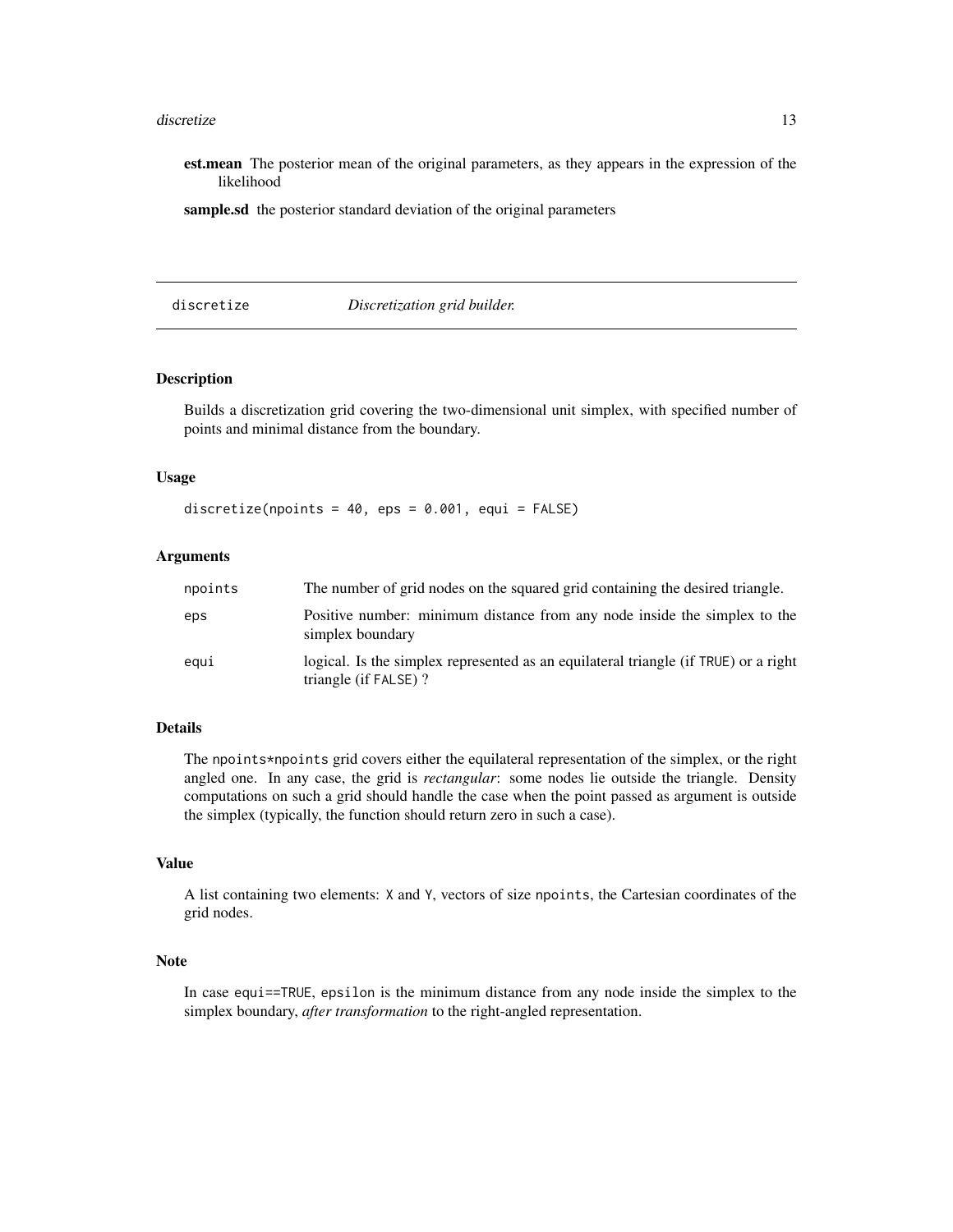#### <span id="page-12-0"></span>discretize the contract of the contract of the contract of the contract of the contract of the contract of the contract of the contract of the contract of the contract of the contract of the contract of the contract of the

est.mean The posterior mean of the original parameters, as they appears in the expression of the likelihood

sample.sd the posterior standard deviation of the original parameters

<span id="page-12-1"></span>discretize *Discretization grid builder.*

## Description

Builds a discretization grid covering the two-dimensional unit simplex, with specified number of points and minimal distance from the boundary.

#### Usage

discretize(npoints =  $40$ , eps =  $0.001$ , equi = FALSE)

## Arguments

| npoints | The number of grid nodes on the squared grid containing the desired triangle.                                |
|---------|--------------------------------------------------------------------------------------------------------------|
| eps     | Positive number: minimum distance from any node inside the simplex to the<br>simplex boundary                |
| eaui    | logical. Is the simplex represented as an equilateral triangle (if TRUE) or a right<br>triangle (if FALSE) ? |

## Details

The npoints\*npoints grid covers either the equilateral representation of the simplex, or the right angled one. In any case, the grid is *rectangular*: some nodes lie outside the triangle. Density computations on such a grid should handle the case when the point passed as argument is outside the simplex (typically, the function should return zero in such a case).

#### Value

A list containing two elements: X and Y, vectors of size npoints, the Cartesian coordinates of the grid nodes.

#### Note

In case equi==TRUE, epsilon is the minimum distance from any node inside the simplex to the simplex boundary, *after transformation* to the right-angled representation.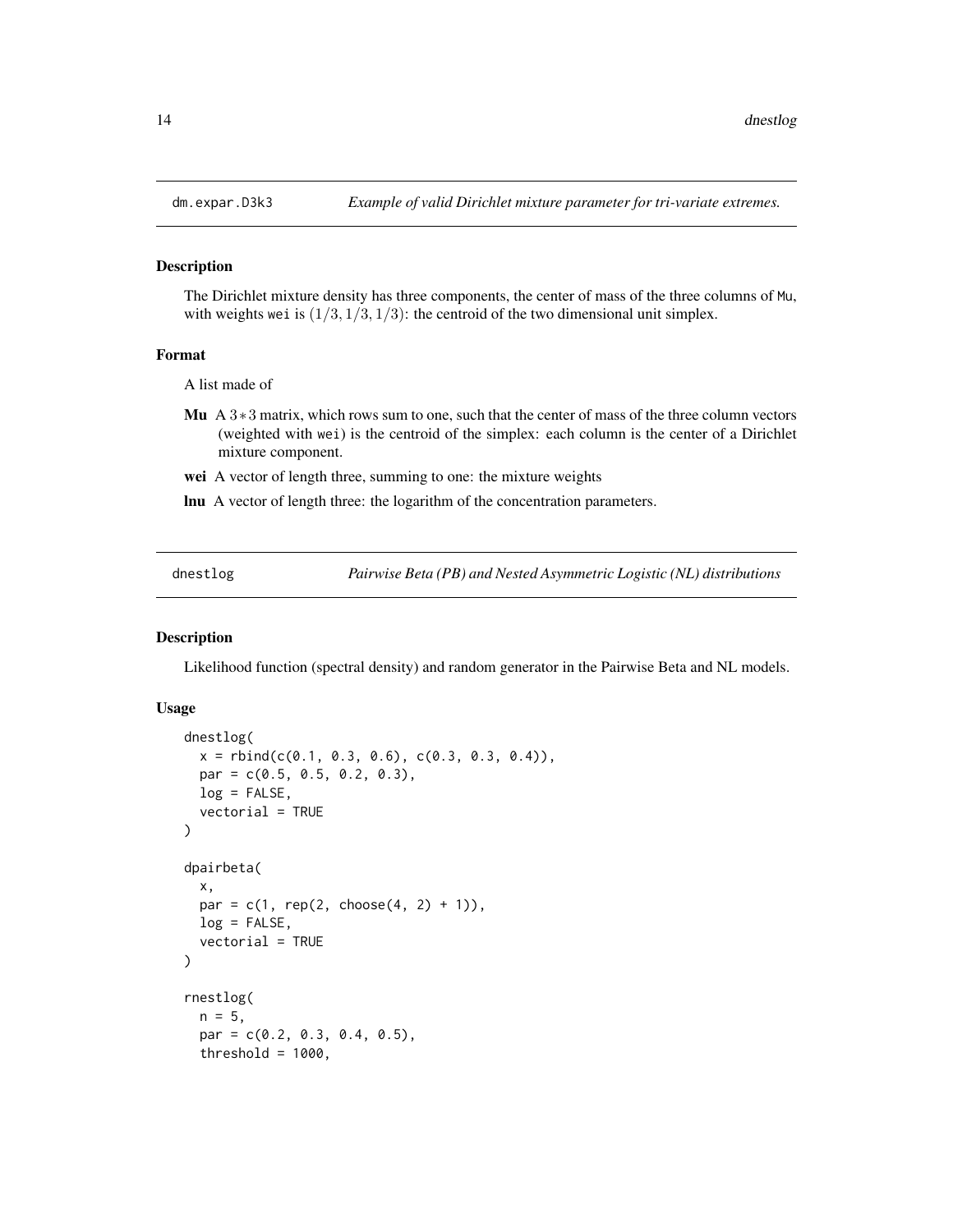#### Description

The Dirichlet mixture density has three components, the center of mass of the three columns of Mu, with weights wei is  $(1/3, 1/3, 1/3)$ : the centroid of the two dimensional unit simplex.

#### Format

A list made of

- Mu A  $3*3$  matrix, which rows sum to one, such that the center of mass of the three column vectors (weighted with wei) is the centroid of the simplex: each column is the center of a Dirichlet mixture component.
- wei A vector of length three, summing to one: the mixture weights
- lnu A vector of length three: the logarithm of the concentration parameters.

<span id="page-13-2"></span>dnestlog *Pairwise Beta (PB) and Nested Asymmetric Logistic (NL) distributions*

#### <span id="page-13-1"></span>Description

Likelihood function (spectral density) and random generator in the Pairwise Beta and NL models.

#### Usage

```
dnestlog(
  x = \text{rbind}(c(0.1, 0.3, 0.6), c(0.3, 0.3, 0.4)),par = c(0.5, 0.5, 0.2, 0.3),
 log = FALSE,vectorial = TRUE
)
dpairbeta(
  x,
 par = c(1, rep(2, choose(4, 2) + 1)),log = FALSE,vectorial = TRUE)
rnestlog(
  n = 5,
 par = c(0.2, 0.3, 0.4, 0.5),
  threshold = 1000,
```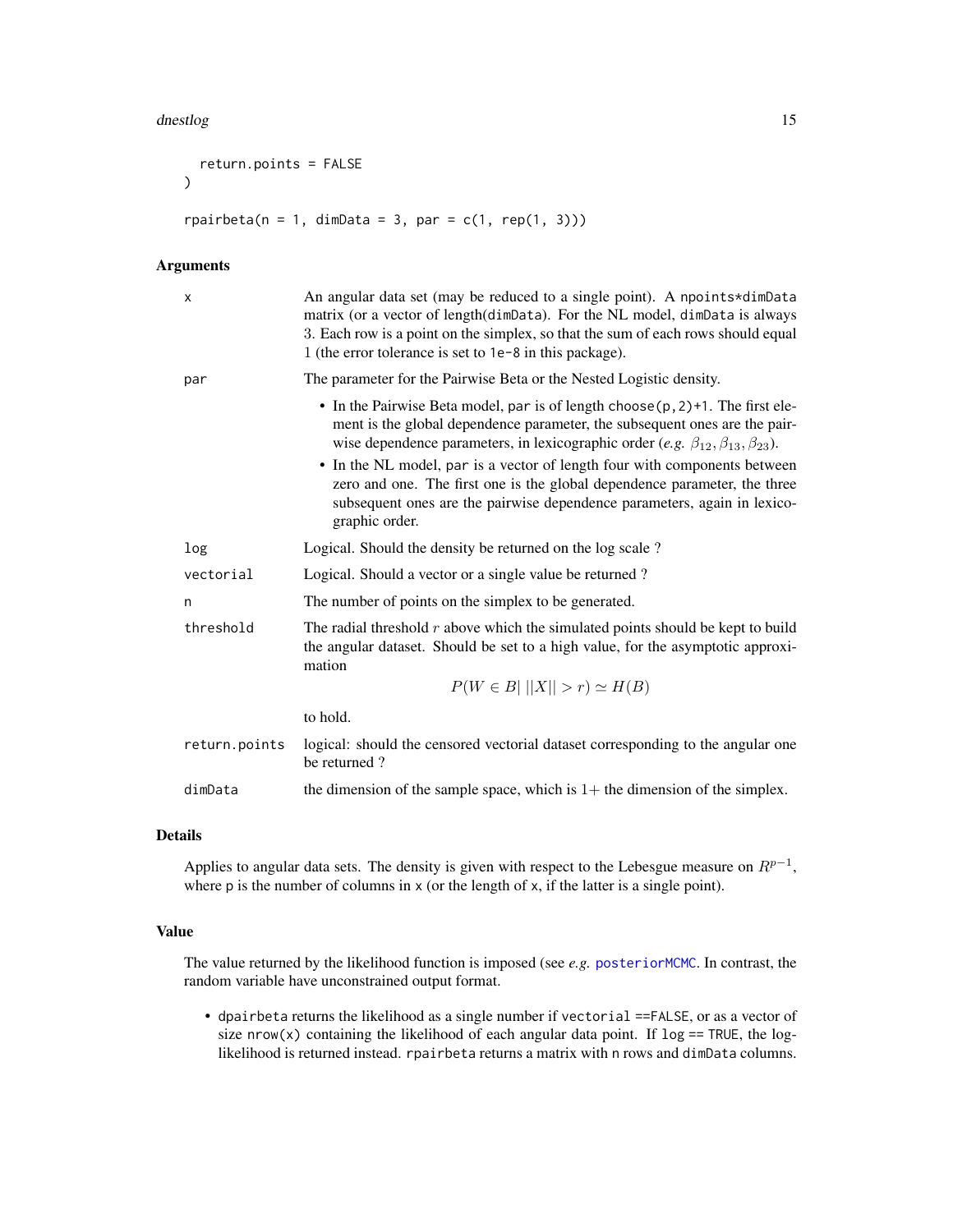#### <span id="page-14-0"></span>dnestlog and the control of the control of the control of the control of the control of the control of the control of the control of the control of the control of the control of the control of the control of the control of

```
return.points = FALSE
\mathcal{L}rpairbeta(n = 1, dimData = 3, par = c(1, rep(1, 3)))
```
#### Arguments

| X             | An angular data set (may be reduced to a single point). A npoints*dimData<br>matrix (or a vector of length(dimData). For the NL model, dimData is always<br>3. Each row is a point on the simplex, so that the sum of each rows should equal<br>1 (the error tolerance is set to 1e-8 in this package). |
|---------------|---------------------------------------------------------------------------------------------------------------------------------------------------------------------------------------------------------------------------------------------------------------------------------------------------------|
| par           | The parameter for the Pairwise Beta or the Nested Logistic density.                                                                                                                                                                                                                                     |
|               | • In the Pairwise Beta model, par is of length choose $(p, 2)$ +1. The first ele-<br>ment is the global dependence parameter, the subsequent ones are the pair-<br>wise dependence parameters, in lexicographic order (e.g. $\beta_{12}, \beta_{13}, \beta_{23}$ ).                                     |
|               | • In the NL model, par is a vector of length four with components between<br>zero and one. The first one is the global dependence parameter, the three<br>subsequent ones are the pairwise dependence parameters, again in lexico-<br>graphic order.                                                    |
| log           | Logical. Should the density be returned on the log scale?                                                                                                                                                                                                                                               |
| vectorial     | Logical. Should a vector or a single value be returned?                                                                                                                                                                                                                                                 |
| n             | The number of points on the simplex to be generated.                                                                                                                                                                                                                                                    |
| threshold     | The radial threshold $r$ above which the simulated points should be kept to build<br>the angular dataset. Should be set to a high value, for the asymptotic approxi-<br>mation                                                                                                                          |
|               | $P(W \in B \mid   X   > r) \simeq H(B)$                                                                                                                                                                                                                                                                 |
|               | to hold.                                                                                                                                                                                                                                                                                                |
| return.points | logical: should the censored vectorial dataset corresponding to the angular one<br>be returned?                                                                                                                                                                                                         |
| dimData       | the dimension of the sample space, which is $1+$ the dimension of the simplex.                                                                                                                                                                                                                          |

## Details

Applies to angular data sets. The density is given with respect to the Lebesgue measure on  $R^{p-1}$ , where p is the number of columns in x (or the length of x, if the latter is a single point).

## Value

The value returned by the likelihood function is imposed (see *e.g.* [posteriorMCMC](#page-37-1). In contrast, the random variable have unconstrained output format.

• dpairbeta returns the likelihood as a single number if vectorial ==FALSE, or as a vector of size nrow(x) containing the likelihood of each angular data point. If  $log == TRUE$ , the loglikelihood is returned instead. rpairbeta returns a matrix with n rows and dimData columns.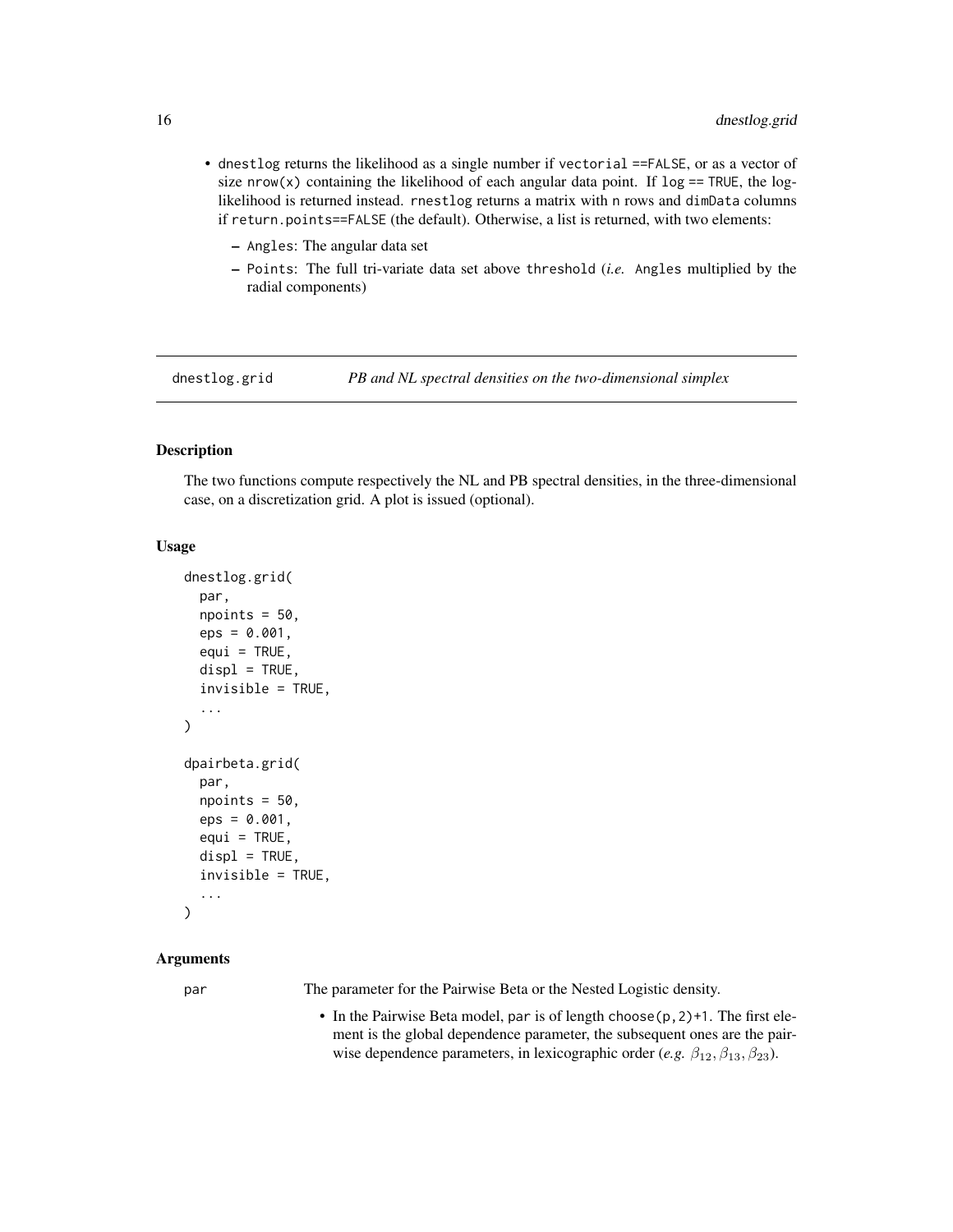- <span id="page-15-0"></span>• dnestlog returns the likelihood as a single number if vectorial ==FALSE, or as a vector of size nrow(x) containing the likelihood of each angular data point. If  $log == TRUE$ , the loglikelihood is returned instead. rnestlog returns a matrix with n rows and dimData columns if return.points==FALSE (the default). Otherwise, a list is returned, with two elements:
	- Angles: The angular data set
	- Points: The full tri-variate data set above threshold (*i.e.* Angles multiplied by the radial components)

dnestlog.grid *PB and NL spectral densities on the two-dimensional simplex*

## Description

The two functions compute respectively the NL and PB spectral densities, in the three-dimensional case, on a discretization grid. A plot is issued (optional).

#### Usage

```
dnestlog.grid(
 par,
  npoints = 50,
  eps = 0.001,
  equi = TRUE,displ = TRUE,invisible = TRUE,
  ...
)
dpairbeta.grid(
 par,
  npoints = 50,
  eps = 0.001,equi = TRUE,displ = TRUE,invisible = TRUE,
  ...
)
```
## Arguments

par The parameter for the Pairwise Beta or the Nested Logistic density.

• In the Pairwise Beta model, par is of length choose(p,2)+1. The first element is the global dependence parameter, the subsequent ones are the pairwise dependence parameters, in lexicographic order (*e.g.*  $\beta_{12}, \beta_{13}, \beta_{23}$ ).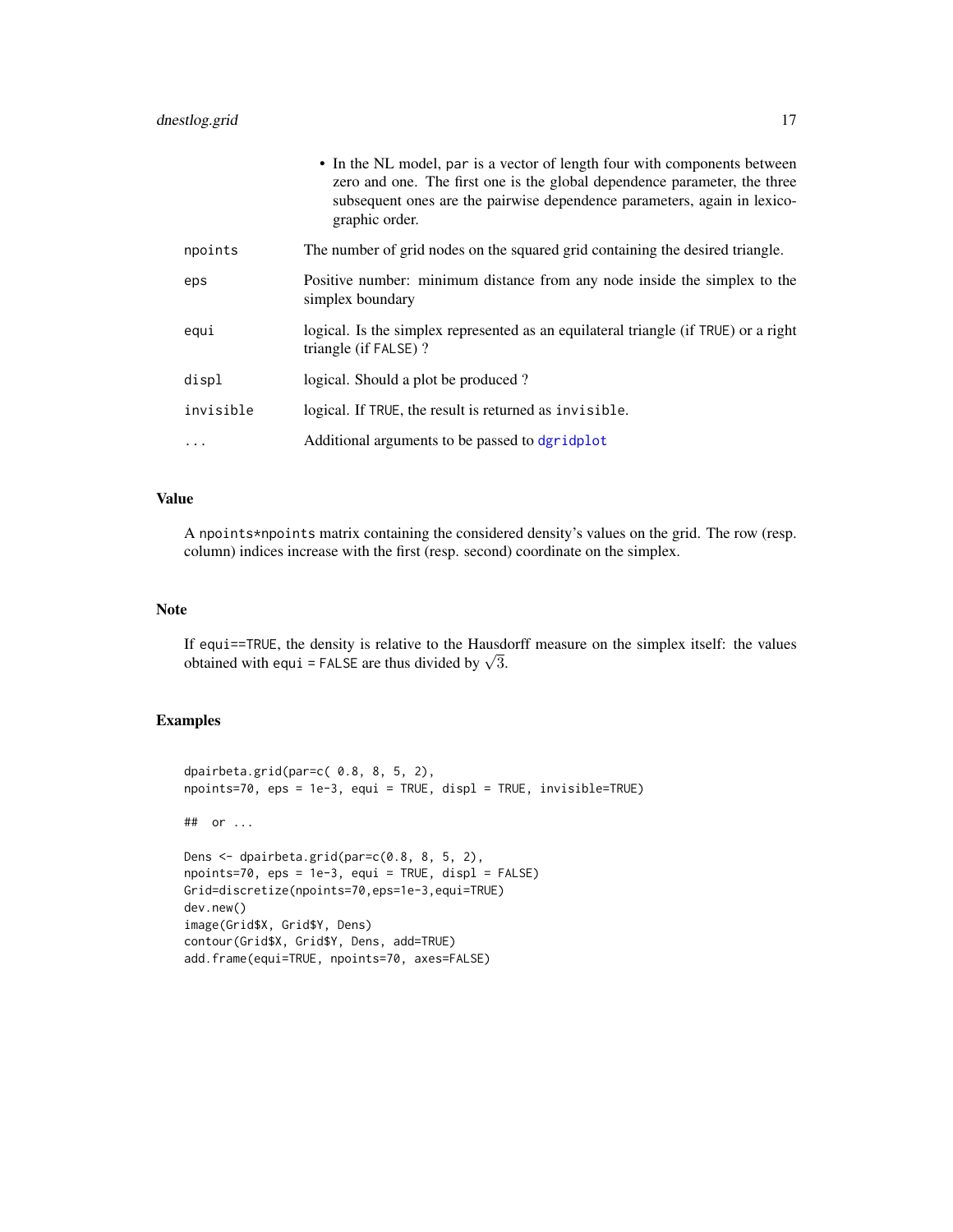<span id="page-16-0"></span>

|           | • In the NL model, par is a vector of length four with components between<br>zero and one. The first one is the global dependence parameter, the three<br>subsequent ones are the pairwise dependence parameters, again in lexico-<br>graphic order. |
|-----------|------------------------------------------------------------------------------------------------------------------------------------------------------------------------------------------------------------------------------------------------------|
| npoints   | The number of grid nodes on the squared grid containing the desired triangle.                                                                                                                                                                        |
| eps       | Positive number: minimum distance from any node inside the simplex to the<br>simplex boundary                                                                                                                                                        |
| equi      | logical. Is the simplex represented as an equilateral triangle (if TRUE) or a right<br>triangle (if FALSE)?                                                                                                                                          |
| displ     | logical. Should a plot be produced?                                                                                                                                                                                                                  |
| invisible | logical. If TRUE, the result is returned as invisible.                                                                                                                                                                                               |
| $\cdots$  | Additional arguments to be passed to dgridplot                                                                                                                                                                                                       |

## Value

A npoints\*npoints matrix containing the considered density's values on the grid. The row (resp. column) indices increase with the first (resp. second) coordinate on the simplex.

#### Note

If equi==TRUE, the density is relative to the Hausdorff measure on the simplex itself: the values It equi =  $\frac{1}{1}$  RUE, the density is relative to the Hausd-<br>obtained with equi = FALSE are thus divided by  $\sqrt{3}$ .

## Examples

```
dpairbeta.grid(par=c( 0.8, 8, 5, 2),
npoints=70, eps = 1e-3, equi = TRUE, displ = TRUE, invisible=TRUE)
## or ...
Dens <- dpairbeta.grid(par=c(0.8, 8, 5, 2),
npoints=70, eps = 1e-3, equi = TRUE, displ = FALSE)
Grid=discretize(npoints=70,eps=1e-3,equi=TRUE)
dev.new()
image(Grid$X, Grid$Y, Dens)
contour(Grid$X, Grid$Y, Dens, add=TRUE)
add.frame(equi=TRUE, npoints=70, axes=FALSE)
```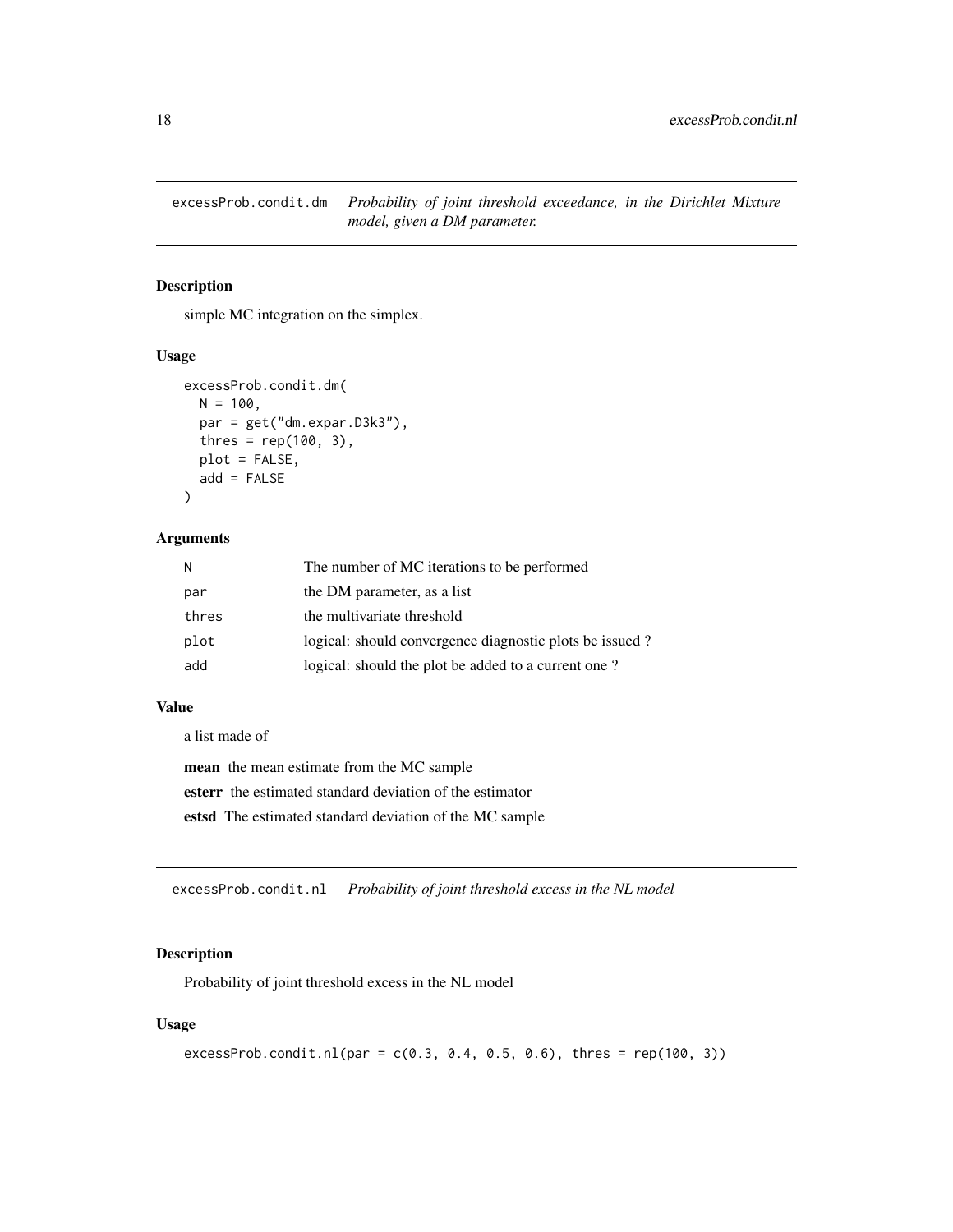<span id="page-17-0"></span>excessProb.condit.dm *Probability of joint threshold exceedance, in the Dirichlet Mixture model, given a DM parameter.*

## Description

simple MC integration on the simplex.

#### Usage

```
excessProb.condit.dm(
 N = 100,
 par = get("dm.expar.D3k3"),
  thres = rep(100, 3),
  plot = FALSE,
  add = FALSE)
```
## Arguments

| N     | The number of MC iterations to be performed             |
|-------|---------------------------------------------------------|
| par   | the DM parameter, as a list                             |
| thres | the multivariate threshold                              |
| plot  | logical: should convergence diagnostic plots be issued? |
| add   | logical: should the plot be added to a current one?     |

#### Value

a list made of

mean the mean estimate from the MC sample esterr the estimated standard deviation of the estimator estsd The estimated standard deviation of the MC sample

excessProb.condit.nl *Probability of joint threshold excess in the NL model*

## Description

Probability of joint threshold excess in the NL model

#### Usage

```
excessProb.condit.nl(par = c(0.3, 0.4, 0.5, 0.6), thres = rep(100, 3))
```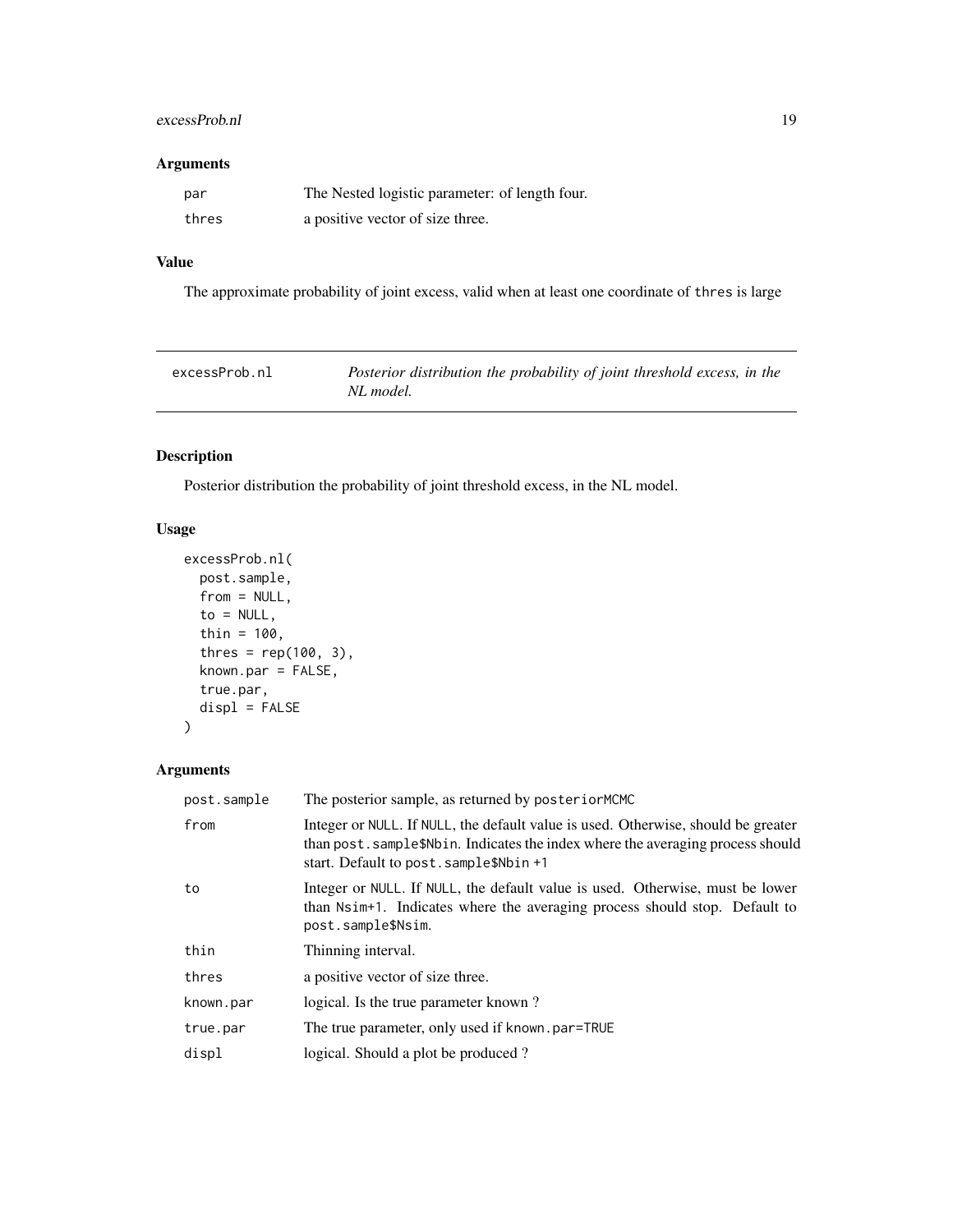## <span id="page-18-0"></span>excessProb.nl 19

## Arguments

| par   | The Nested logistic parameter: of length four. |
|-------|------------------------------------------------|
| thres | a positive vector of size three.               |

## Value

The approximate probability of joint excess, valid when at least one coordinate of thres is large

| excessProb.nl | Posterior distribution the probability of joint threshold excess, in the |
|---------------|--------------------------------------------------------------------------|
|               | NL model.                                                                |

## Description

Posterior distribution the probability of joint threshold excess, in the NL model.

## Usage

```
excessProb.nl(
  post.sample,
  from = NULL,
  to = NULL,
  thin = 100,
  thres = rep(100, 3),
  known.par = FALSE,true.par,
  displ = FALSE\mathcal{E}
```

| post.sample | The posterior sample, as returned by posteriorMCMC                                                                                                                                                              |
|-------------|-----------------------------------------------------------------------------------------------------------------------------------------------------------------------------------------------------------------|
| from        | Integer or NULL. If NULL, the default value is used. Otherwise, should be greater<br>than post. sample\$Nbin. Indicates the index where the averaging process should<br>start. Default to post. sample\$Nbin +1 |
| to          | Integer or NULL. If NULL, the default value is used. Otherwise, must be lower<br>than Nsim+1. Indicates where the averaging process should stop. Default to<br>post.sample\$Nsim.                               |
| thin        | Thinning interval.                                                                                                                                                                                              |
| thres       | a positive vector of size three.                                                                                                                                                                                |
| known.par   | logical. Is the true parameter known?                                                                                                                                                                           |
| true.par    | The true parameter, only used if known. par=TRUE                                                                                                                                                                |
| displ       | logical. Should a plot be produced?                                                                                                                                                                             |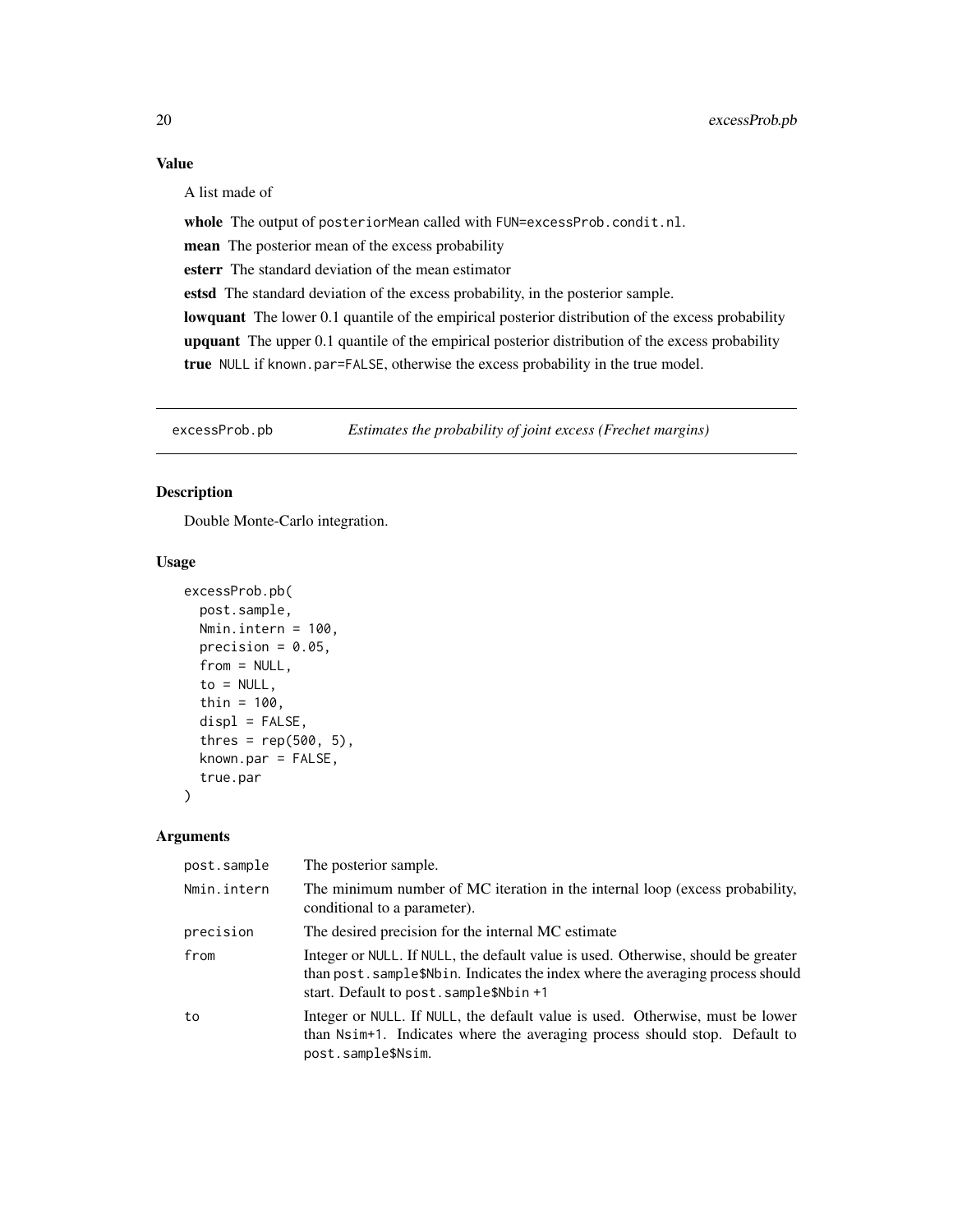## <span id="page-19-0"></span>Value

A list made of

whole The output of posteriorMean called with FUN=excessProb.condit.nl.

mean The posterior mean of the excess probability

esterr The standard deviation of the mean estimator

estsd The standard deviation of the excess probability, in the posterior sample.

lowquant The lower 0.1 quantile of the empirical posterior distribution of the excess probability upquant The upper 0.1 quantile of the empirical posterior distribution of the excess probability true NULL if known.par=FALSE, otherwise the excess probability in the true model.

excessProb.pb *Estimates the probability of joint excess (Frechet margins)*

#### Description

Double Monte-Carlo integration.

#### Usage

```
excessProb.pb(
  post.sample,
 Nmin.intern = 100,
  precision = 0.05,
  from = NULL,
  to = NULL,
  thin = 100,
  displ = FALSE,thres = rep(500, 5),
  known.par = FALSE,
  true.par
)
```

| post.sample | The posterior sample.                                                                                                                                                                                           |
|-------------|-----------------------------------------------------------------------------------------------------------------------------------------------------------------------------------------------------------------|
| Nmin.intern | The minimum number of MC iteration in the internal loop (excess probability,<br>conditional to a parameter).                                                                                                    |
| precision   | The desired precision for the internal MC estimate                                                                                                                                                              |
| from        | Integer or NULL. If NULL, the default value is used. Otherwise, should be greater<br>than post. sample\$Nbin. Indicates the index where the averaging process should<br>start. Default to post. sample\$Nbin +1 |
| to          | Integer or NULL. If NULL, the default value is used. Otherwise, must be lower<br>than Nsim+1. Indicates where the averaging process should stop. Default to<br>post.sample\$Nsim.                               |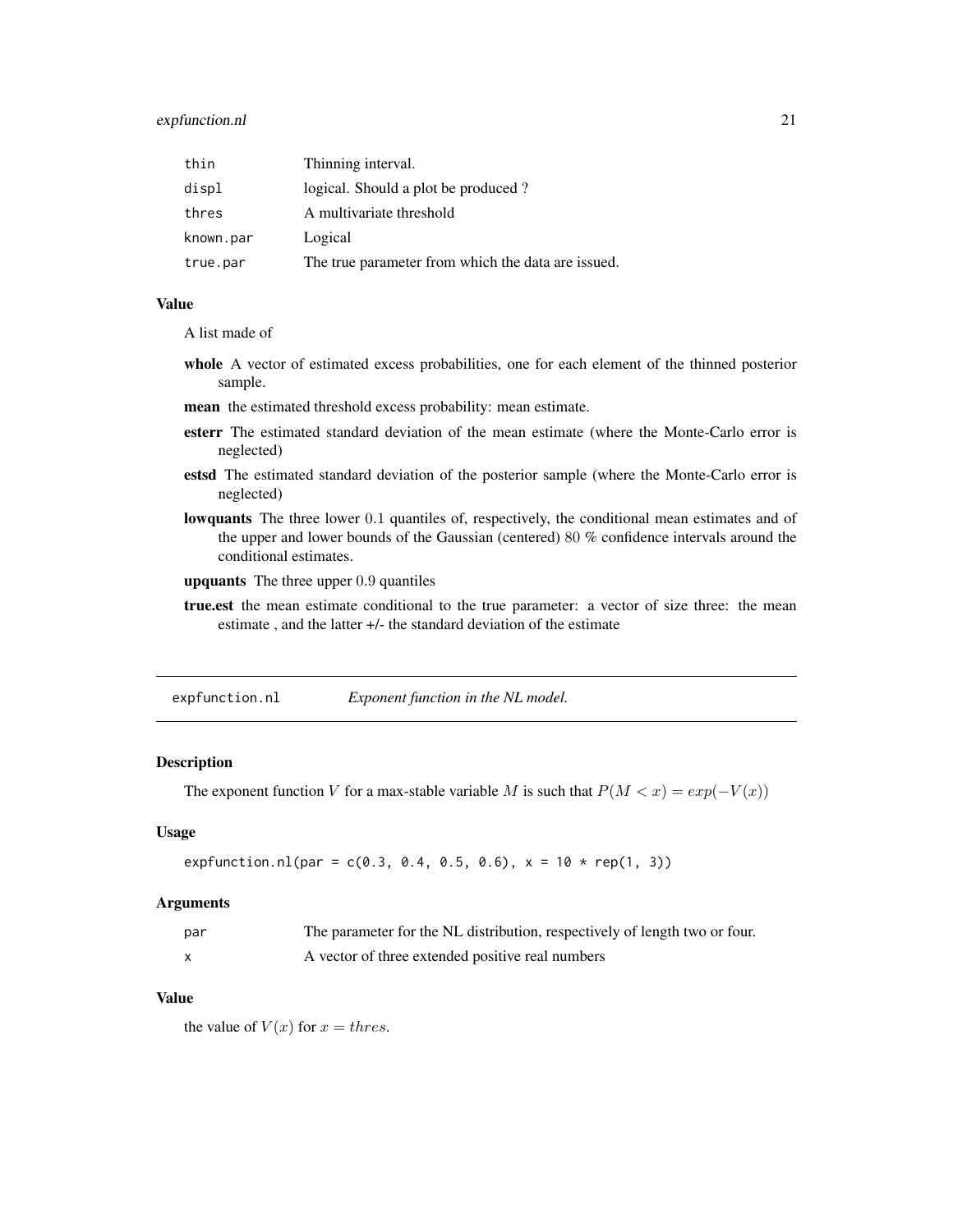## <span id="page-20-0"></span>expfunction.nl 21

| thin      | Thinning interval.                                 |
|-----------|----------------------------------------------------|
| displ     | logical. Should a plot be produced?                |
| thres     | A multivariate threshold                           |
| known.par | Logical                                            |
| true.par  | The true parameter from which the data are issued. |

#### Value

A list made of

- whole A vector of estimated excess probabilities, one for each element of the thinned posterior sample.
- mean the estimated threshold excess probability: mean estimate.
- esterr The estimated standard deviation of the mean estimate (where the Monte-Carlo error is neglected)
- estsd The estimated standard deviation of the posterior sample (where the Monte-Carlo error is neglected)
- lowquants The three lower 0.1 quantiles of, respectively, the conditional mean estimates and of the upper and lower bounds of the Gaussian (centered) 80 % confidence intervals around the conditional estimates.
- upquants The three upper 0.9 quantiles
- true.est the mean estimate conditional to the true parameter: a vector of size three: the mean estimate , and the latter +/- the standard deviation of the estimate

expfunction.nl *Exponent function in the NL model.*

#### Description

The exponent function V for a max-stable variable M is such that  $P(M < x) = exp(-V(x))$ 

#### Usage

expfunction.nl(par =  $c(0.3, 0.4, 0.5, 0.6)$ , x =  $10 * rep(1, 3)$ )

#### Arguments

| par | The parameter for the NL distribution, respectively of length two or four. |
|-----|----------------------------------------------------------------------------|
|     | A vector of three extended positive real numbers                           |

#### Value

the value of  $V(x)$  for  $x = thres$ .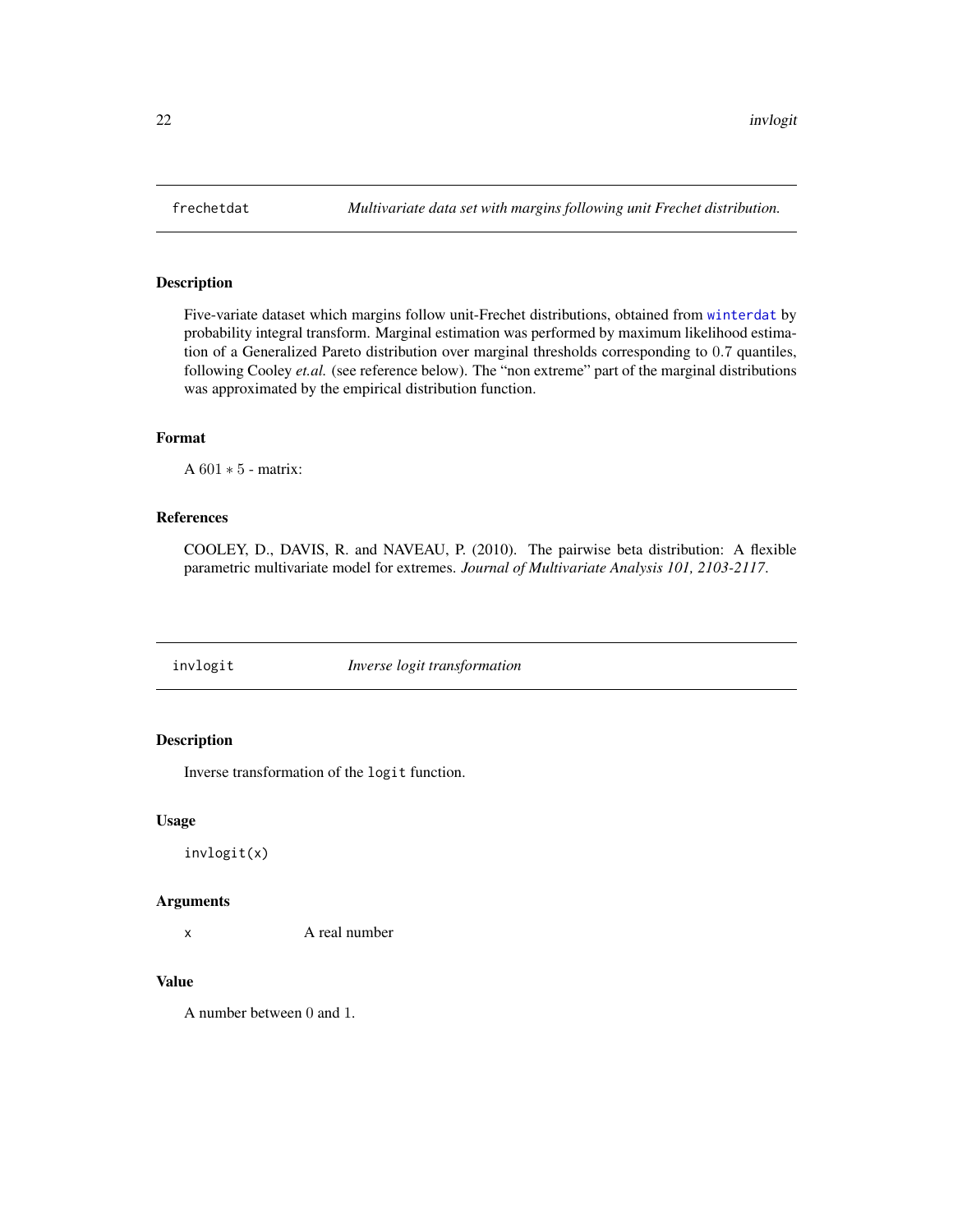<span id="page-21-1"></span><span id="page-21-0"></span>

## Description

Five-variate dataset which margins follow unit-Frechet distributions, obtained from [winterdat](#page-52-1) by probability integral transform. Marginal estimation was performed by maximum likelihood estimation of a Generalized Pareto distribution over marginal thresholds corresponding to 0.7 quantiles, following Cooley *et.al.* (see reference below). The "non extreme" part of the marginal distributions was approximated by the empirical distribution function.

#### Format

A 601 ∗ 5 - matrix:

#### References

COOLEY, D., DAVIS, R. and NAVEAU, P. (2010). The pairwise beta distribution: A flexible parametric multivariate model for extremes. *Journal of Multivariate Analysis 101, 2103-2117*.

invlogit *Inverse logit transformation*

## Description

Inverse transformation of the logit function.

#### Usage

invlogit(x)

#### Arguments

x A real number

#### Value

A number between 0 and 1.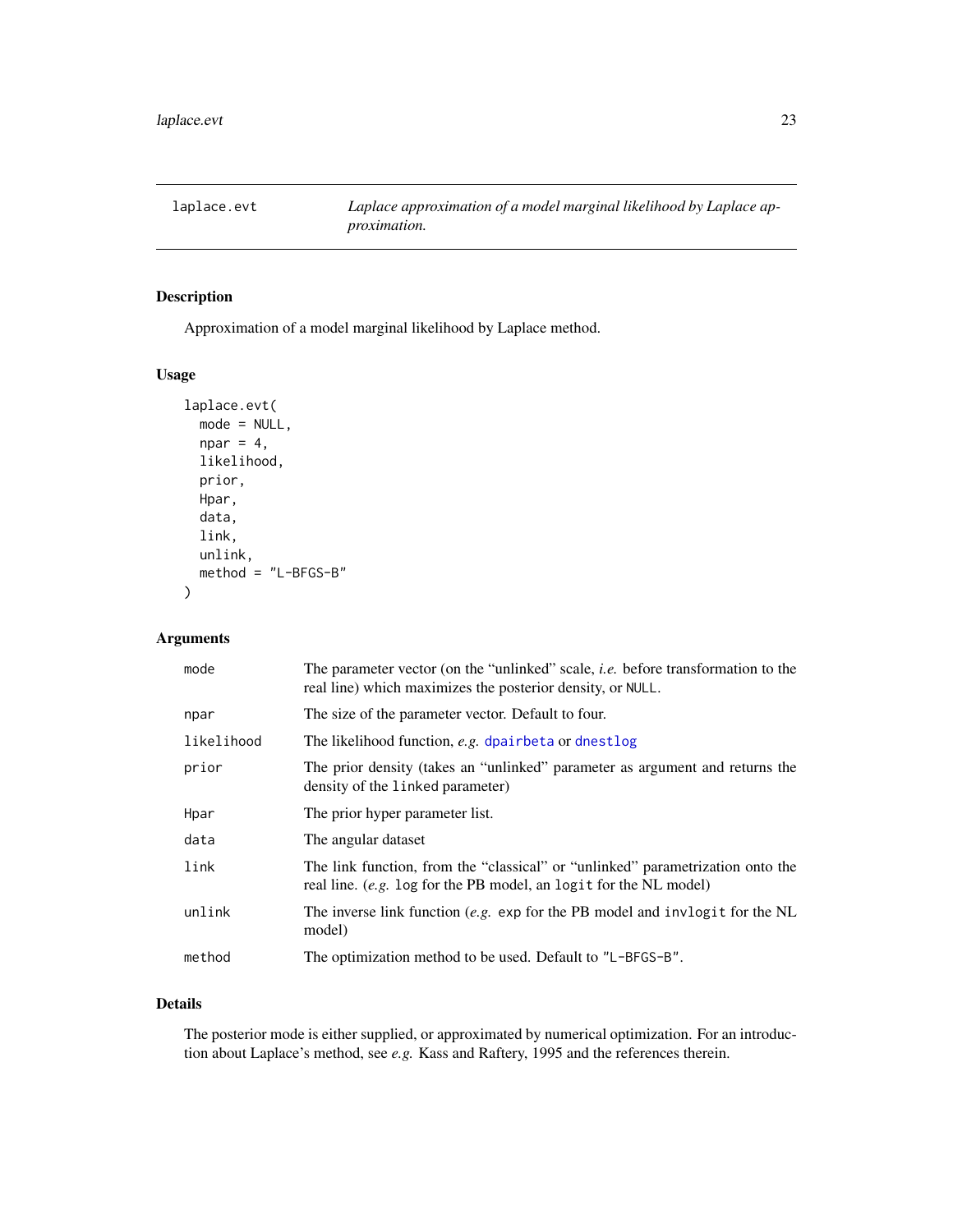<span id="page-22-0"></span>laplace.evt *Laplace approximation of a model marginal likelihood by Laplace approximation.*

## Description

Approximation of a model marginal likelihood by Laplace method.

## Usage

```
laplace.evt(
  mode = NULL,
  npar = 4,
  likelihood,
  prior,
  Hpar,
  data,
  link,
  unlink,
  method = "L-BFGS-B"
\mathcal{L}
```
## Arguments

| mode       | The parameter vector (on the "unlinked" scale, <i>i.e.</i> before transformation to the<br>real line) which maximizes the posterior density, or NULL. |
|------------|-------------------------------------------------------------------------------------------------------------------------------------------------------|
| npar       | The size of the parameter vector. Default to four.                                                                                                    |
| likelihood | The likelihood function, e.g. dpairbeta or dnestlog                                                                                                   |
| prior      | The prior density (takes an "unlinked" parameter as argument and returns the<br>density of the linked parameter)                                      |
| Hpar       | The prior hyper parameter list.                                                                                                                       |
| data       | The angular dataset                                                                                                                                   |
| link       | The link function, from the "classical" or "unlinked" parametrization onto the<br>real line. (e.g. log for the PB model, an logit for the NL model)   |
| unlink     | The inverse link function (e.g. exp for the PB model and invlogit for the NL<br>model)                                                                |
| method     | The optimization method to be used. Default to "L-BFGS-B".                                                                                            |

## Details

The posterior mode is either supplied, or approximated by numerical optimization. For an introduction about Laplace's method, see *e.g.* Kass and Raftery, 1995 and the references therein.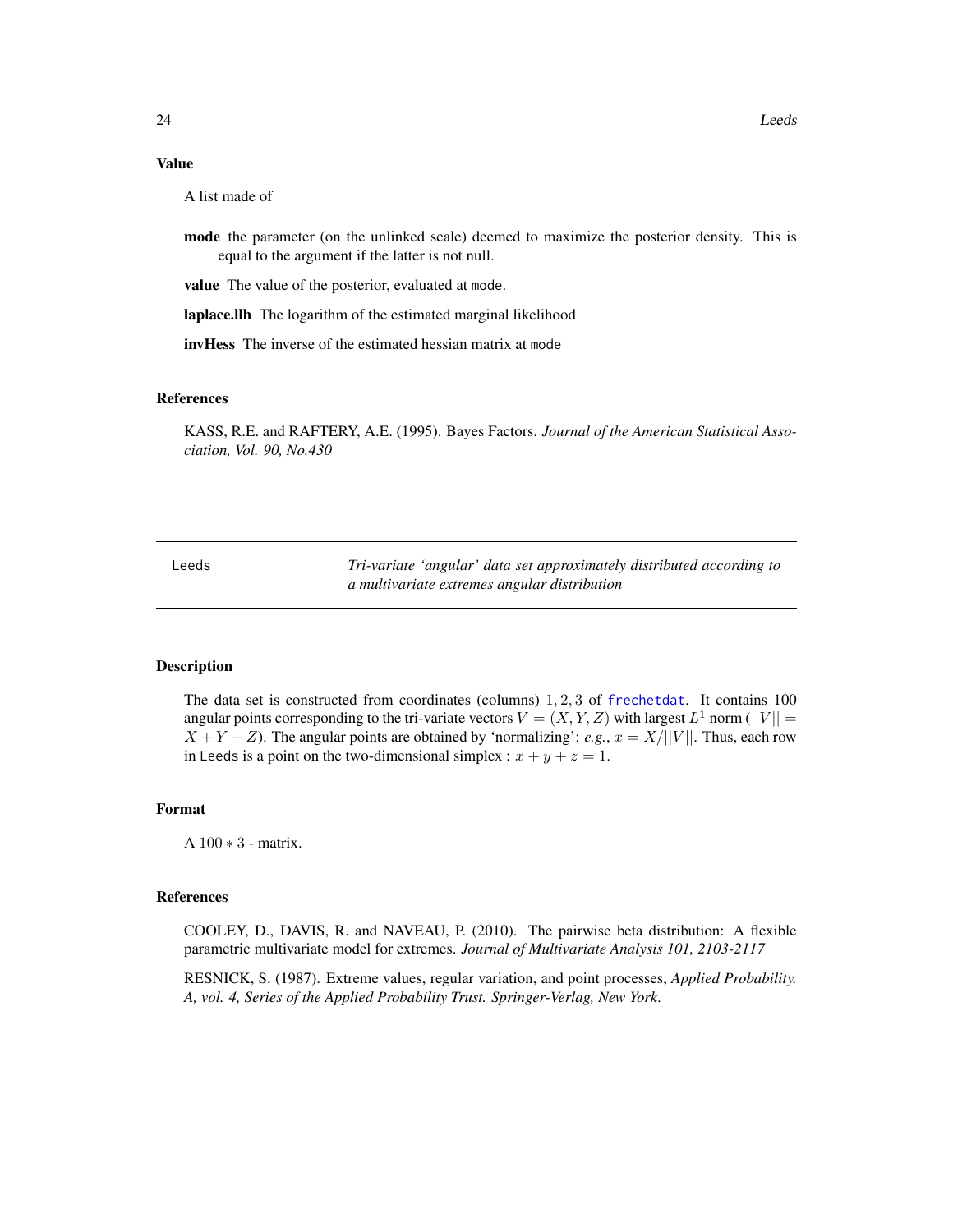#### <span id="page-23-0"></span>Value

A list made of

mode the parameter (on the unlinked scale) deemed to maximize the posterior density. This is equal to the argument if the latter is not null.

value The value of the posterior, evaluated at mode.

laplace.llh The logarithm of the estimated marginal likelihood

invHess The inverse of the estimated hessian matrix at mode

#### References

KASS, R.E. and RAFTERY, A.E. (1995). Bayes Factors. *Journal of the American Statistical Association, Vol. 90, No.430*

Leeds *Tri-variate 'angular' data set approximately distributed according to a multivariate extremes angular distribution*

## Description

The data set is constructed from coordinates (columns) 1, 2, 3 of [frechetdat](#page-21-1). It contains 100 angular points corresponding to the tri-variate vectors  $V = (X, Y, Z)$  with largest  $L^1$  norm ( $||V|| =$  $X + Y + Z$ ). The angular points are obtained by 'normalizing': *e.g.*,  $x = X/||V||$ . Thus, each row in Leeds is a point on the two-dimensional simplex :  $x + y + z = 1$ .

#### Format

A 100 ∗ 3 - matrix.

#### References

COOLEY, D., DAVIS, R. and NAVEAU, P. (2010). The pairwise beta distribution: A flexible parametric multivariate model for extremes. *Journal of Multivariate Analysis 101, 2103-2117*

RESNICK, S. (1987). Extreme values, regular variation, and point processes, *Applied Probability. A, vol. 4, Series of the Applied Probability Trust. Springer-Verlag, New York*.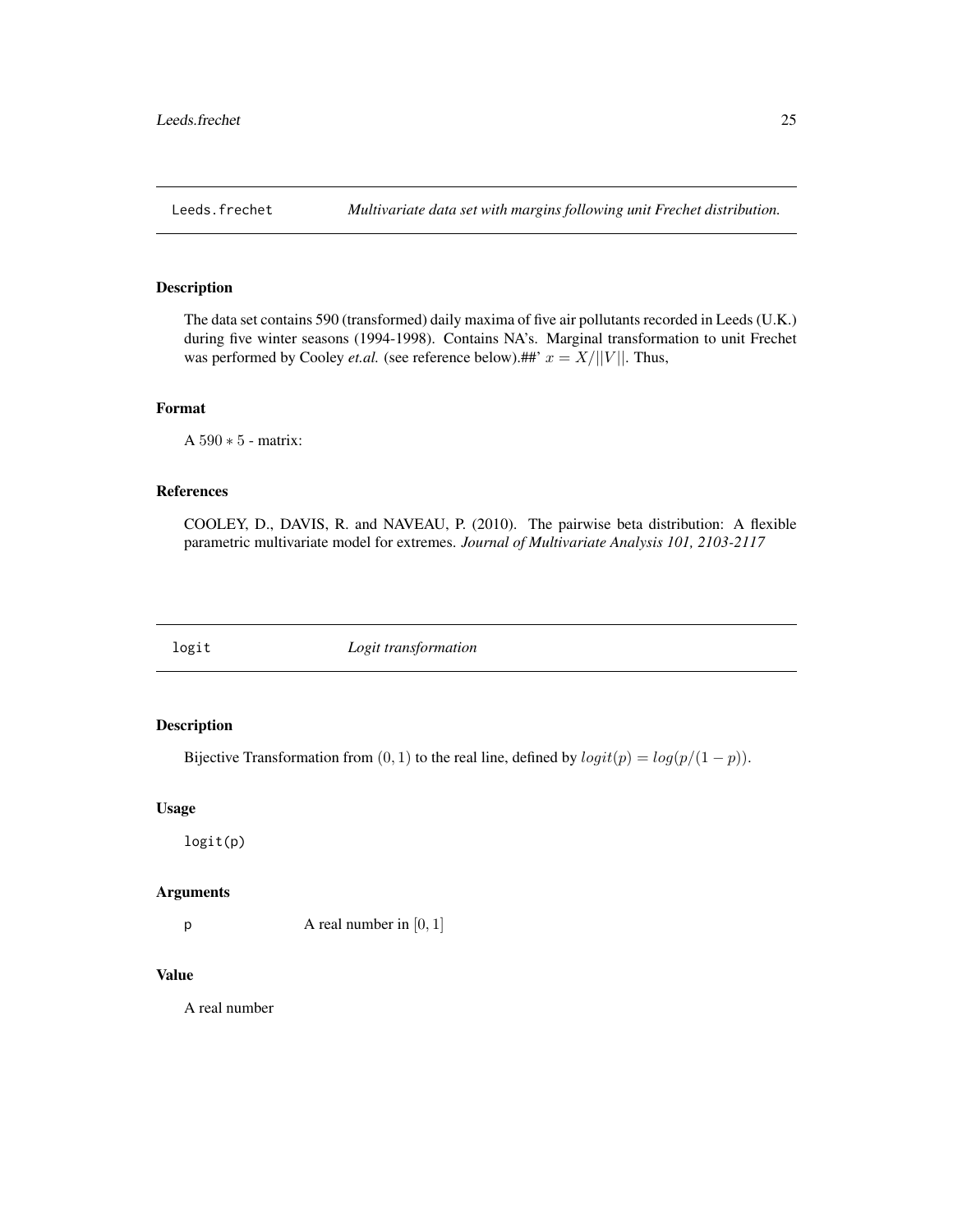<span id="page-24-0"></span>

#### Description

The data set contains 590 (transformed) daily maxima of five air pollutants recorded in Leeds (U.K.) during five winter seasons (1994-1998). Contains NA's. Marginal transformation to unit Frechet was performed by Cooley *et.al.* (see reference below).##'  $x = X/||V||$ . Thus,

## Format

A 590 ∗ 5 - matrix:

#### References

COOLEY, D., DAVIS, R. and NAVEAU, P. (2010). The pairwise beta distribution: A flexible parametric multivariate model for extremes. *Journal of Multivariate Analysis 101, 2103-2117*

logit *Logit transformation*

## Description

Bijective Transformation from  $(0, 1)$  to the real line, defined by  $logit(p) = log(p/(1 - p))$ .

#### Usage

logit(p)

## Arguments

 $p$  A real number in [0, 1]

## Value

A real number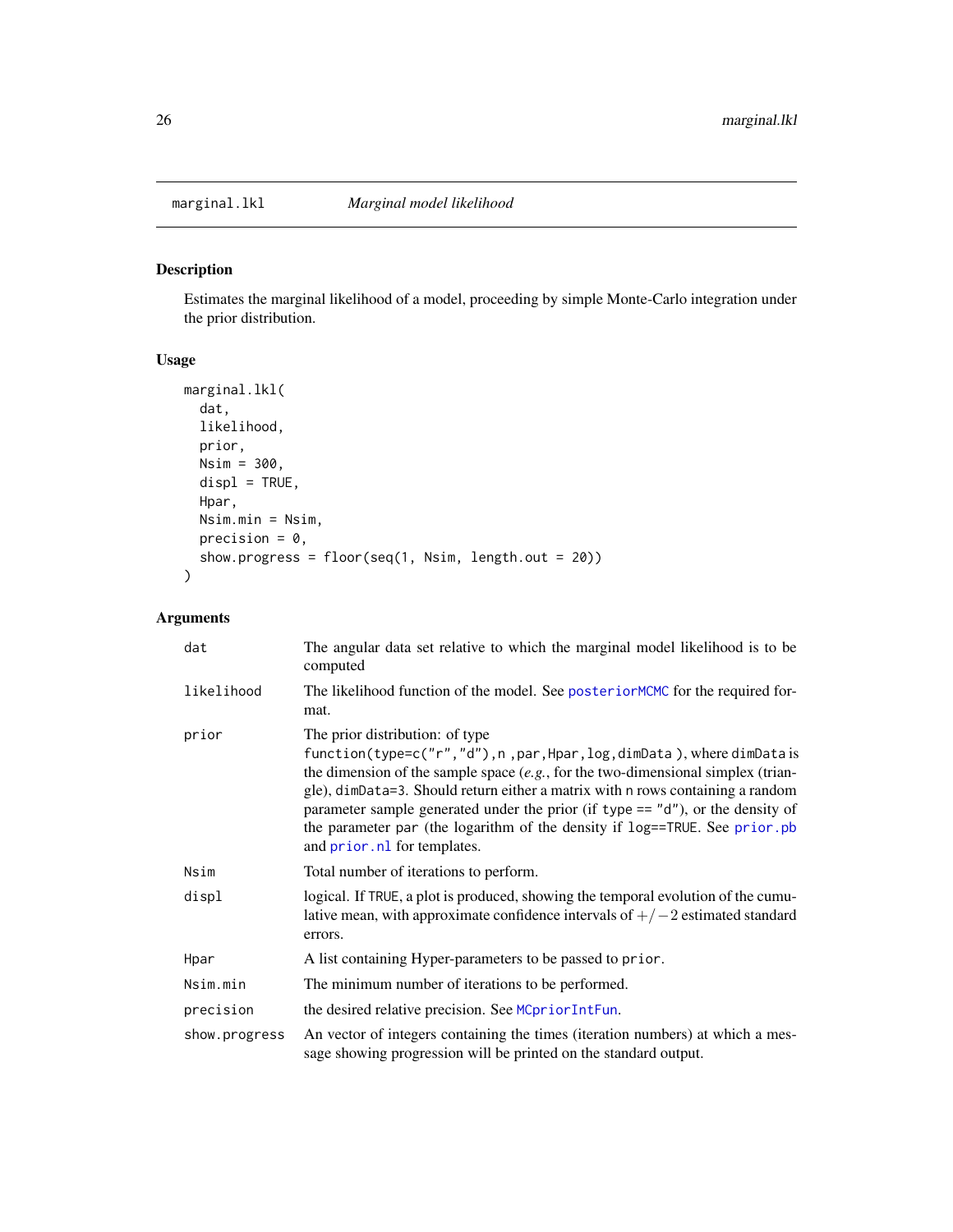<span id="page-25-1"></span><span id="page-25-0"></span>

## Description

Estimates the marginal likelihood of a model, proceeding by simple Monte-Carlo integration under the prior distribution.

## Usage

```
marginal.lkl(
 dat,
 likelihood,
 prior,
 Nsim = 300,
 displ = TRUE,Hpar,
 Nsim.min = Nsim,
 precision = 0,
 show.progress = floor(seq(1, Nsim, length.out = 20))
)
```

| dat           | The angular data set relative to which the marginal model likelihood is to be<br>computed                                                                                                                                                                                                                                                                                                                                                                                             |
|---------------|---------------------------------------------------------------------------------------------------------------------------------------------------------------------------------------------------------------------------------------------------------------------------------------------------------------------------------------------------------------------------------------------------------------------------------------------------------------------------------------|
| likelihood    | The likelihood function of the model. See posteriorMCMC for the required for-<br>mat.                                                                                                                                                                                                                                                                                                                                                                                                 |
| prior         | The prior distribution: of type<br>function(type=c("r","d"), n, par, Hpar, log, dimData), where dimData is<br>the dimension of the sample space $(e.g., for the two-dimensional simplex (train-$<br>gle), dimData=3. Should return either a matrix with n rows containing a random<br>parameter sample generated under the prior (if type $== "d")$ , or the density of<br>the parameter par (the logarithm of the density if log==TRUE. See prior.pb<br>and prior. nl for templates. |
| Nsim          | Total number of iterations to perform.                                                                                                                                                                                                                                                                                                                                                                                                                                                |
| displ         | logical. If TRUE, a plot is produced, showing the temporal evolution of the cumu-<br>lative mean, with approximate confidence intervals of $+/-2$ estimated standard<br>errors.                                                                                                                                                                                                                                                                                                       |
| Hpar          | A list containing Hyper-parameters to be passed to prior.                                                                                                                                                                                                                                                                                                                                                                                                                             |
| Nsim.min      | The minimum number of iterations to be performed.                                                                                                                                                                                                                                                                                                                                                                                                                                     |
| precision     | the desired relative precision. See MCpriorIntFun.                                                                                                                                                                                                                                                                                                                                                                                                                                    |
| show.progress | An vector of integers containing the times (iteration numbers) at which a mes-<br>sage showing progression will be printed on the standard output.                                                                                                                                                                                                                                                                                                                                    |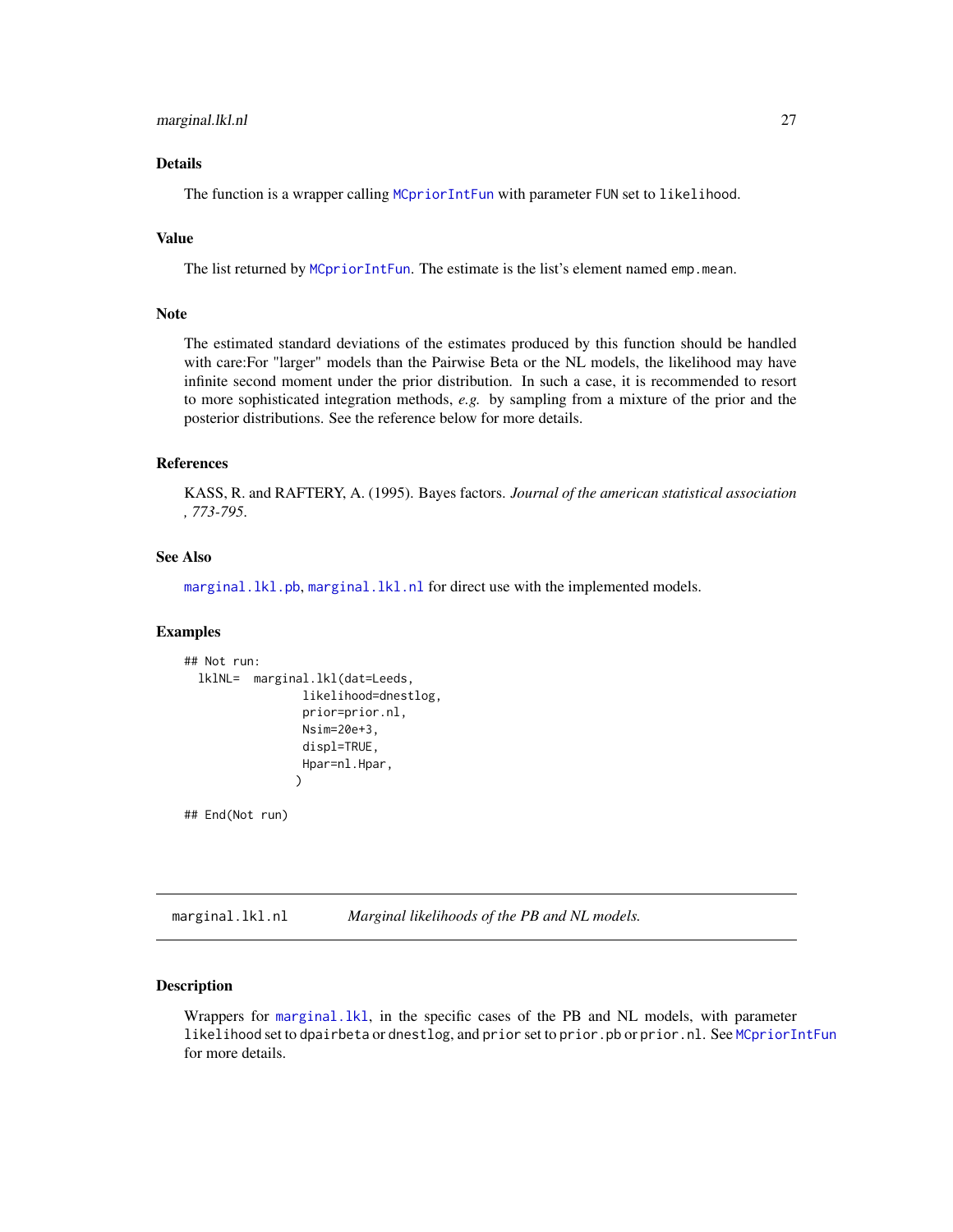## <span id="page-26-0"></span>Details

The function is a wrapper calling [MCpriorIntFun](#page-29-1) with parameter FUN set to likelihood.

## Value

The list returned by [MCpriorIntFun](#page-29-1). The estimate is the list's element named emp.mean.

#### Note

The estimated standard deviations of the estimates produced by this function should be handled with care:For "larger" models than the Pairwise Beta or the NL models, the likelihood may have infinite second moment under the prior distribution. In such a case, it is recommended to resort to more sophisticated integration methods, *e.g.* by sampling from a mixture of the prior and the posterior distributions. See the reference below for more details.

## References

KASS, R. and RAFTERY, A. (1995). Bayes factors. *Journal of the american statistical association , 773-795*.

## See Also

[marginal.lkl.pb](#page-26-1), [marginal.lkl.nl](#page-26-2) for direct use with the implemented models.

#### **Examples**

```
## Not run:
 lklNL= marginal.lkl(dat=Leeds,
                 likelihood=dnestlog,
                 prior=prior.nl,
                 Nsim=20e+3,
                 displ=TRUE,
                 Hpar=nl.Hpar,
                )
```
## End(Not run)

<span id="page-26-2"></span>marginal.lkl.nl *Marginal likelihoods of the PB and NL models.*

#### <span id="page-26-1"></span>**Description**

Wrappers for [marginal.lkl](#page-25-1), in the specific cases of the PB and NL models, with parameter likelihood set to dpairbeta or dnestlog, and prior set to prior.pb or prior.nl. See [MCpriorIntFun](#page-29-1) for more details.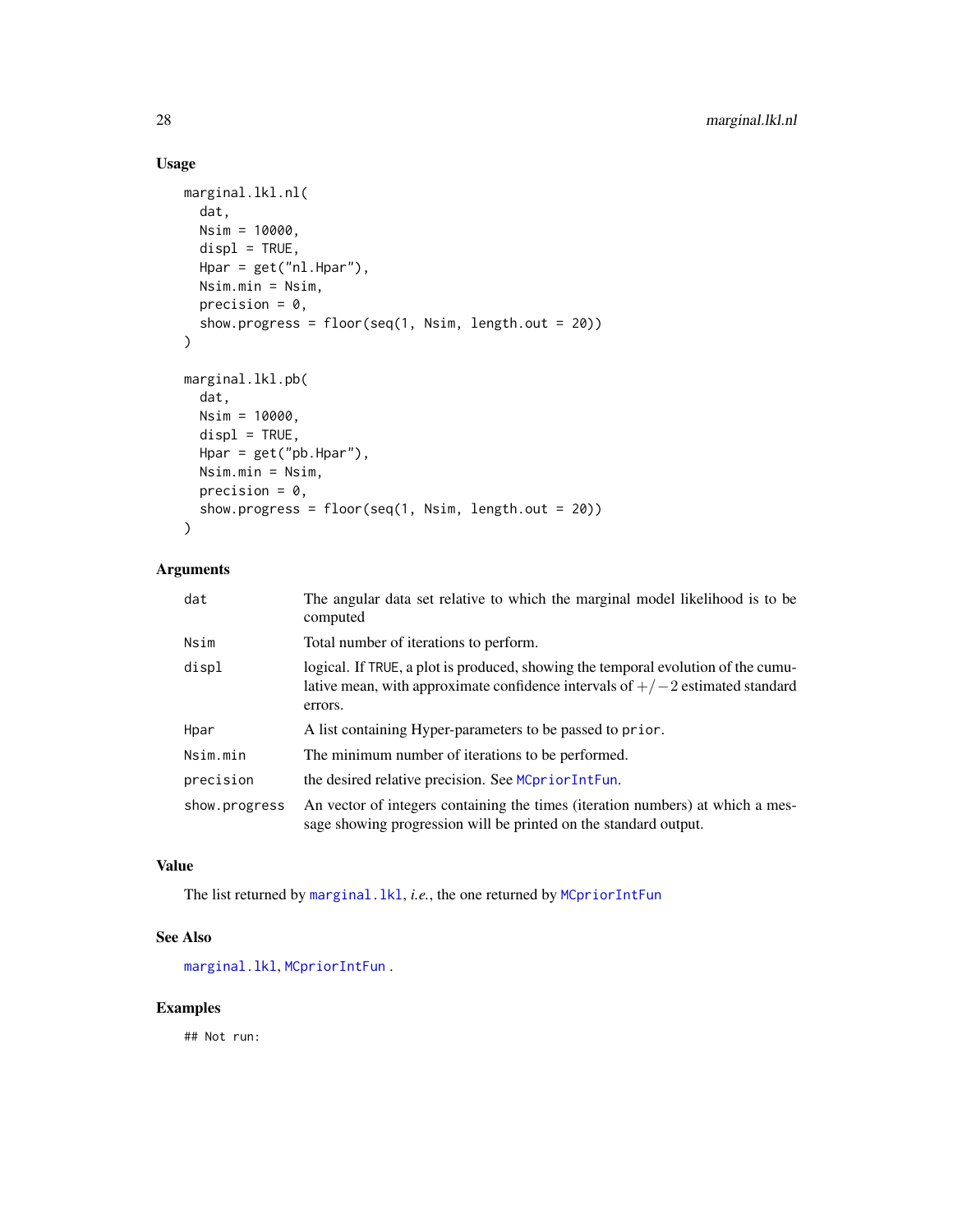## Usage

```
marginal.lkl.nl(
  dat,
 Nsim = 10000,
 displ = TRUE,Hpar = get("nl.Hpar"),
 Nsim.min = Nsim,
 precision = 0,
 show.progress = floor(seq(1, Nsim, length.out = 20))
\mathcal{L}marginal.lkl.pb(
  dat,
 Nsim = 10000,
 displ = TRUE,Hpar = get("pb.Hpar"),
 Nsim.min = Nsim,
 precision = 0,
  show.progress = floor(seq(1, Nsim, length.out = 20))
)
```
## Arguments

| dat           | The angular data set relative to which the marginal model likelihood is to be<br>computed                                                                                       |
|---------------|---------------------------------------------------------------------------------------------------------------------------------------------------------------------------------|
| Nsim          | Total number of iterations to perform.                                                                                                                                          |
| displ         | logical. If TRUE, a plot is produced, showing the temporal evolution of the cumu-<br>lative mean, with approximate confidence intervals of $+/-2$ estimated standard<br>errors. |
| Hpar          | A list containing Hyper-parameters to be passed to prior.                                                                                                                       |
| Nsim.min      | The minimum number of iterations to be performed.                                                                                                                               |
| precision     | the desired relative precision. See MCpriorIntFun.                                                                                                                              |
| show.progress | An vector of integers containing the times (iteration numbers) at which a mes-<br>sage showing progression will be printed on the standard output.                              |

## Value

The list returned by [marginal.lkl](#page-25-1), *i.e.*, the one returned by [MCpriorIntFun](#page-29-1)

## See Also

[marginal.lkl](#page-25-1), [MCpriorIntFun](#page-29-1) .

## Examples

## Not run:

<span id="page-27-0"></span>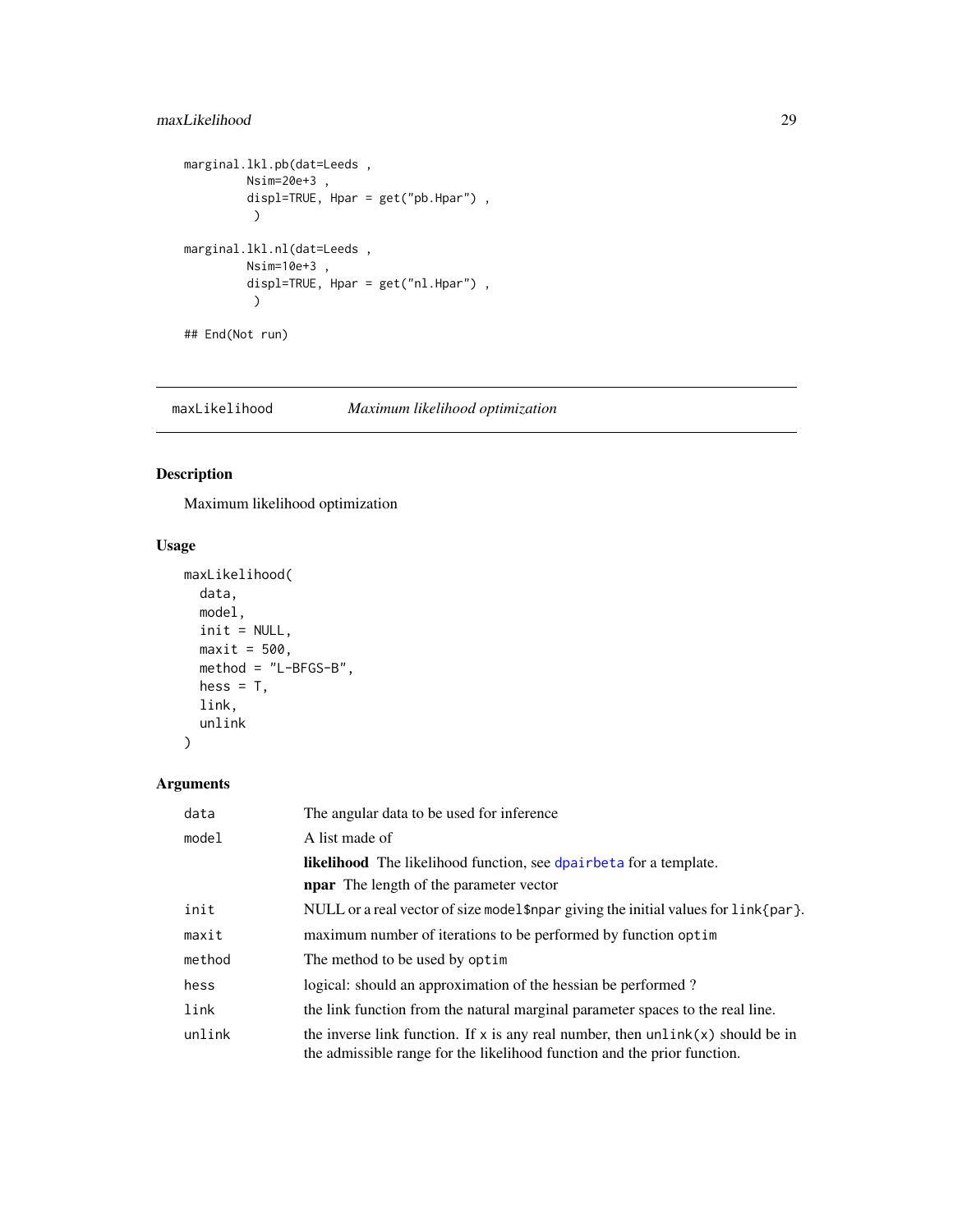## <span id="page-28-0"></span>maxLikelihood 29

```
marginal.lkl.pb(dat=Leeds ,
         Nsim=20e+3 ,
         displ=TRUE, Hpar = get("pb.Hpar") ,
         \lambdamarginal.lkl.nl(dat=Leeds ,
         Nsim=10e+3 ,
         displ=TRUE, Hpar = get("nl.Hpar") ,
          )
```
## End(Not run)

maxLikelihood *Maximum likelihood optimization*

## Description

Maximum likelihood optimization

## Usage

```
maxLikelihood(
 data,
 model,
 init = NULL,
 maxit = 500,
 method = "L-BFGS-B",
 hess = T,
 link,
  unlink
)
```

| data   | The angular data to be used for inference.                                                                                                                    |
|--------|---------------------------------------------------------------------------------------------------------------------------------------------------------------|
| model  | A list made of                                                                                                                                                |
|        | <b>likelihood</b> The likelihood function, see dpairbet a for a template.<br><b>npar</b> The length of the parameter vector                                   |
| init   | NULL or a real vector of size model $\frac{1}{2}$ npar giving the initial values for $\frac{1}{2}$ ink {par }.                                                |
| maxit  | maximum number of iterations to be performed by function optim                                                                                                |
| method | The method to be used by optim                                                                                                                                |
| hess   | logical: should an approximation of the hessian be performed?                                                                                                 |
| link   | the link function from the natural marginal parameter spaces to the real line.                                                                                |
| unlink | the inverse link function. If x is any real number, then $unlink(x)$ should be in<br>the admissible range for the likelihood function and the prior function. |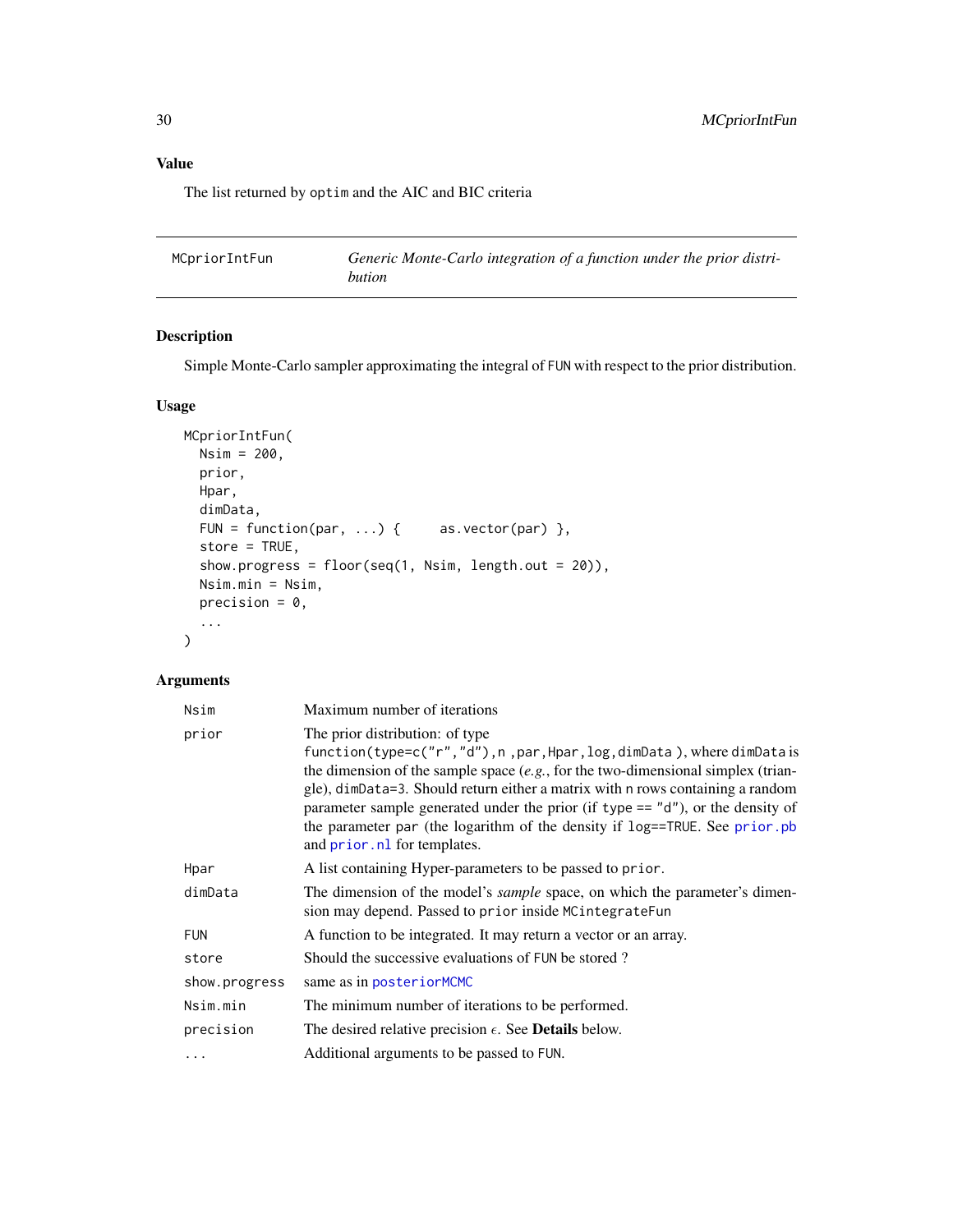## <span id="page-29-0"></span>Value

The list returned by optim and the AIC and BIC criteria

<span id="page-29-1"></span>

| MCpriorIntFun | Generic Monte-Carlo integration of a function under the prior distri- |
|---------------|-----------------------------------------------------------------------|
|               | bution                                                                |

## Description

Simple Monte-Carlo sampler approximating the integral of FUN with respect to the prior distribution.

## Usage

```
MCpriorIntFun(
 Nsim = 200,
 prior,
 Hpar,
 dimData,
 FUN = function(par, ...) { as.vector(par) },
 store = TRUE,
  show.progress = floor(seq(1, Nsim, length.out = 20)),
 Nsim.min = Nsim,
 precision = 0,
  ...
)
```

| Nsim          | Maximum number of iterations                                                                                                                                                                                                                                                                                                                                                                                                                                                         |
|---------------|--------------------------------------------------------------------------------------------------------------------------------------------------------------------------------------------------------------------------------------------------------------------------------------------------------------------------------------------------------------------------------------------------------------------------------------------------------------------------------------|
| prior         | The prior distribution: of type<br>function(type=c("r","d"), n, par, Hpar, log, dimData), where dimData is<br>the dimension of the sample space $(e.g.,$ for the two-dimensional simplex (trian-<br>gle), dimData=3. Should return either a matrix with n rows containing a random<br>parameter sample generated under the prior (if type $== "d")$ , or the density of<br>the parameter par (the logarithm of the density if log==TRUE. See prior.pb<br>and prior.nl for templates. |
| Hpar          | A list containing Hyper-parameters to be passed to prior.                                                                                                                                                                                                                                                                                                                                                                                                                            |
| dimData       | The dimension of the model's <i>sample</i> space, on which the parameter's dimen-<br>sion may depend. Passed to prior inside MC integrate Fun                                                                                                                                                                                                                                                                                                                                        |
| <b>FUN</b>    | A function to be integrated. It may return a vector or an array.                                                                                                                                                                                                                                                                                                                                                                                                                     |
| store         | Should the successive evaluations of FUN be stored?                                                                                                                                                                                                                                                                                                                                                                                                                                  |
| show.progress | same as in posteriorMCMC                                                                                                                                                                                                                                                                                                                                                                                                                                                             |
| Nsim.min      | The minimum number of iterations to be performed.                                                                                                                                                                                                                                                                                                                                                                                                                                    |
| precision     | The desired relative precision $\epsilon$ . See <b>Details</b> below.                                                                                                                                                                                                                                                                                                                                                                                                                |
| $\cdots$      | Additional arguments to be passed to FUN.                                                                                                                                                                                                                                                                                                                                                                                                                                            |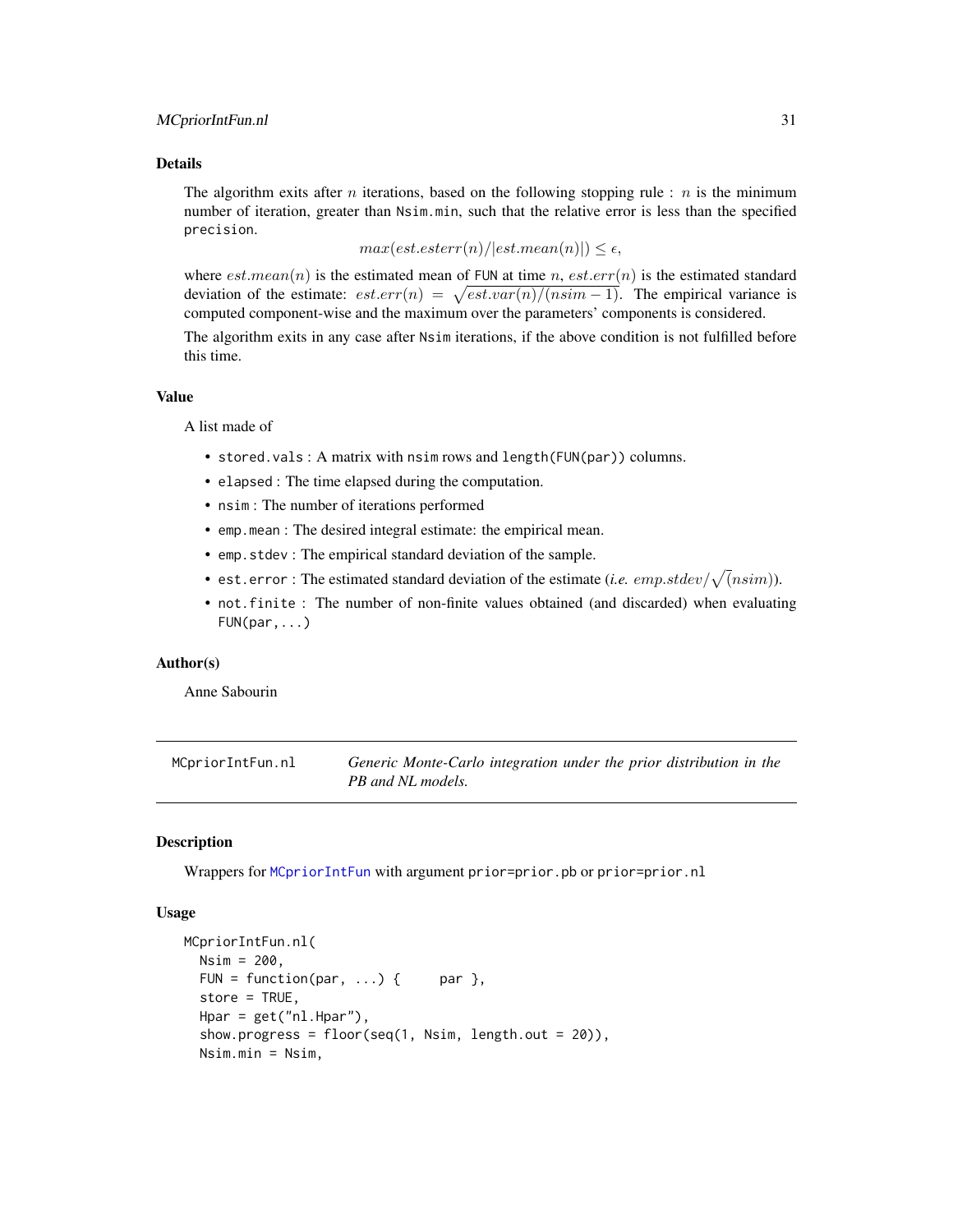#### <span id="page-30-0"></span>MCpriorIntFun.nl 31

## Details

The algorithm exits after n iterations, based on the following stopping rule : n is the minimum number of iteration, greater than Nsim.min, such that the relative error is less than the specified precision.

 $max(est.esterr(n)/|est.mean(n)|) \leq \epsilon,$ 

where  $est-mean(n)$  is the estimated mean of FUN at time n,  $est.err(n)$  is the estimated standard deviation of the estimate:  $est.err(n) = \sqrt{est.var(n)/(nsim - 1)}$ . The empirical variance is computed component-wise and the maximum over the parameters' components is considered.

The algorithm exits in any case after Nsim iterations, if the above condition is not fulfilled before this time.

#### Value

A list made of

- stored.vals : A matrix with nsim rows and length(FUN(par)) columns.
- elapsed : The time elapsed during the computation.
- nsim : The number of iterations performed
- emp.mean : The desired integral estimate: the empirical mean.
- emp.stdev : The empirical standard deviation of the sample.
- est.error: The estimated standard deviation of the estimate (*i.e.*  $emp.stdev / \sqrt(nsim)$ ).
- not.finite : The number of non-finite values obtained (and discarded) when evaluating  $FUN(par, \ldots)$

#### Author(s)

Anne Sabourin

MCpriorIntFun.nl *Generic Monte-Carlo integration under the prior distribution in the PB and NL models.*

#### **Description**

Wrappers for [MCpriorIntFun](#page-29-1) with argument prior=prior.pb or prior=prior.nl

#### Usage

```
MCpriorIntFun.nl(
 Nsim = 200,
  FUN = function(par, ...) { par },
  store = TRUE,
 Hpar = get("nl.Hpar"),
  show.progress = floor(seq(1, Nsim, length.out = 20)),Nsim.min = Nsim,
```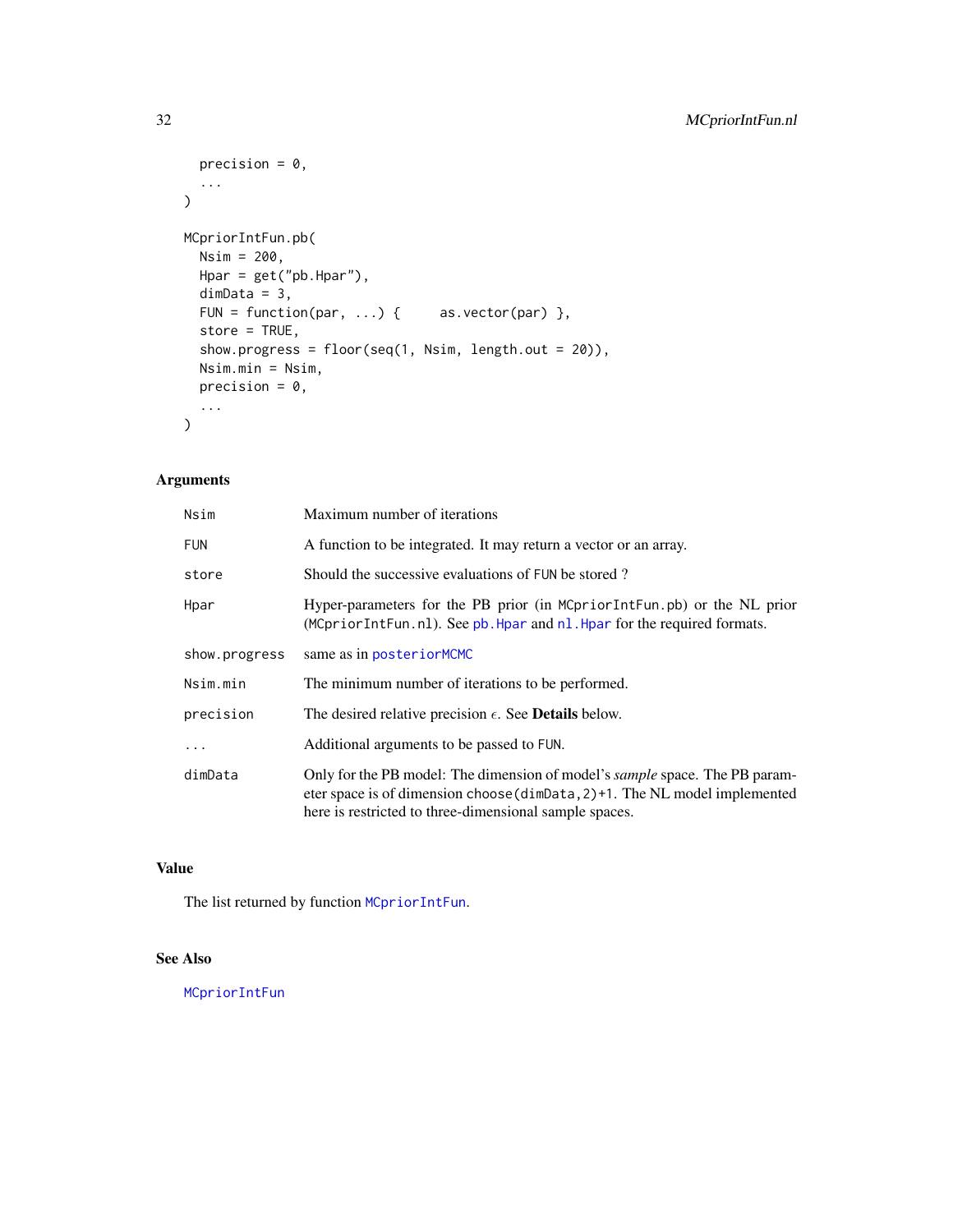```
precision = 0,
  ...
\mathcal{L}MCpriorIntFun.pb(
 Nsim = 200,
 Hpar = get("pb.Hpar"),
 dimData = 3,
 FUN = function(par, ...) { \qquad as.vector(par) },
 store = TRUE,
  show.progress = floor(seq(1, Nsim, length.out = 20)),
 Nsim.min = Nsim,
 precision = 0,
  ...
\mathcal{L}
```
## Arguments

| Nsim          | Maximum number of iterations                                                                                                                                                                                             |
|---------------|--------------------------------------------------------------------------------------------------------------------------------------------------------------------------------------------------------------------------|
| <b>FUN</b>    | A function to be integrated. It may return a vector or an array.                                                                                                                                                         |
| store         | Should the successive evaluations of FUN be stored?                                                                                                                                                                      |
| Hpar          | Hyper-parameters for the PB prior (in MCpriorIntFun.pb) or the NL prior<br>(MCpriorIntFun.nl). See pb. Hpar and nl. Hpar for the required formats.                                                                       |
| show.progress | same as in posteriorMCMC                                                                                                                                                                                                 |
| Nsim.min      | The minimum number of iterations to be performed.                                                                                                                                                                        |
| precision     | The desired relative precision $\epsilon$ . See <b>Details</b> below.                                                                                                                                                    |
| $\cdots$      | Additional arguments to be passed to FUN.                                                                                                                                                                                |
| dimData       | Only for the PB model: The dimension of model's sample space. The PB param-<br>eter space is of dimension choose (dim $Data, 2$ ) +1. The NL model implemented<br>here is restricted to three-dimensional sample spaces. |

## Value

The list returned by function [MCpriorIntFun](#page-29-1).

## See Also

[MCpriorIntFun](#page-29-1)

<span id="page-31-0"></span>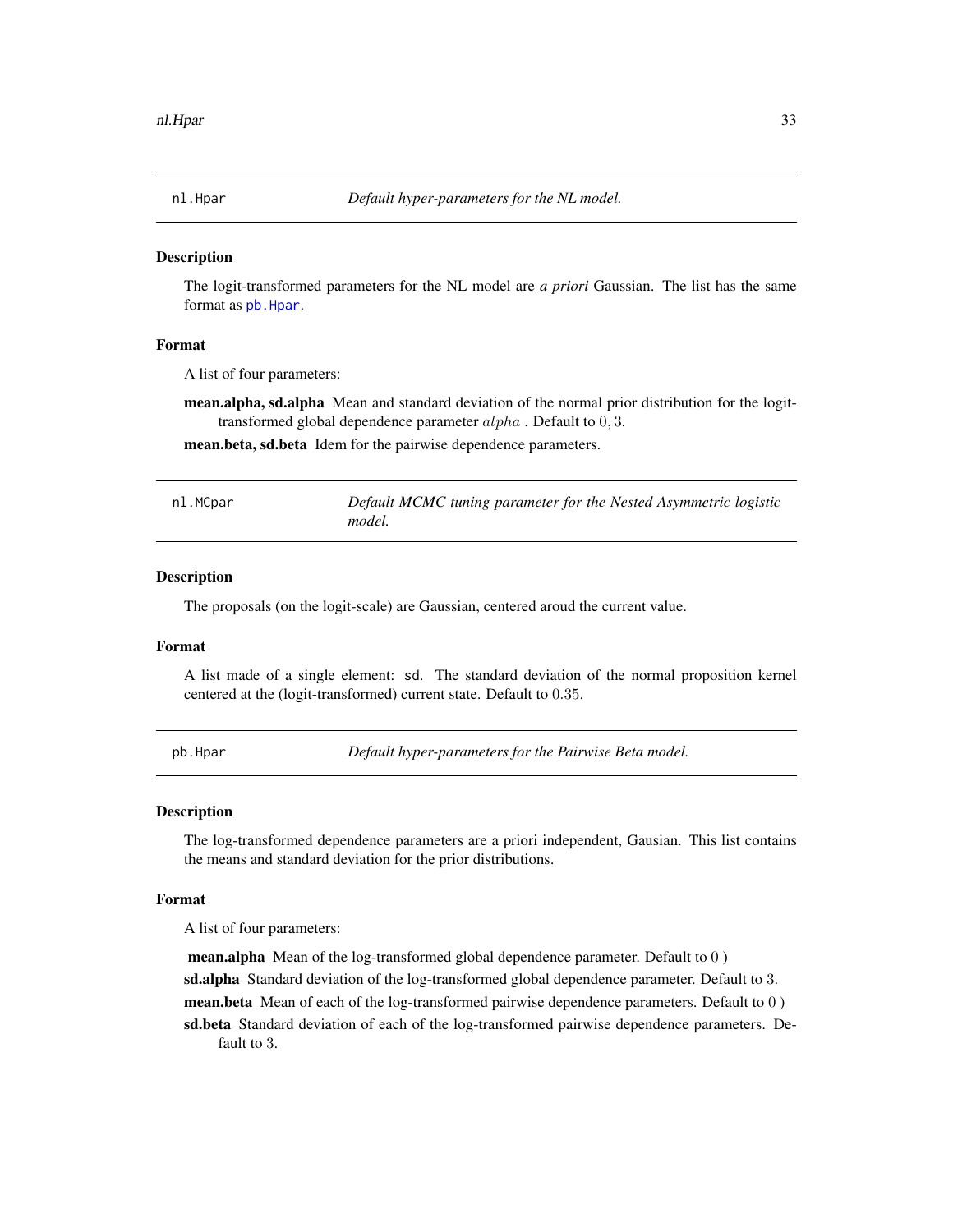<span id="page-32-2"></span><span id="page-32-0"></span>

#### Description

The logit-transformed parameters for the NL model are *a priori* Gaussian. The list has the same format as [pb.Hpar](#page-32-1).

#### Format

A list of four parameters:

mean.alpha, sd.alpha Mean and standard deviation of the normal prior distribution for the logittransformed global dependence parameter  $alpha$ . Default to  $0, 3$ .

mean.beta, sd.beta Idem for the pairwise dependence parameters.

| nl.MCpar | Default MCMC tuning parameter for the Nested Asymmetric logistic |
|----------|------------------------------------------------------------------|
|          | model.                                                           |

#### Description

The proposals (on the logit-scale) are Gaussian, centered aroud the current value.

#### Format

A list made of a single element: sd. The standard deviation of the normal proposition kernel centered at the (logit-transformed) current state. Default to 0.35.

<span id="page-32-1"></span>pb.Hpar *Default hyper-parameters for the Pairwise Beta model.*

#### Description

The log-transformed dependence parameters are a priori independent, Gausian. This list contains the means and standard deviation for the prior distributions.

#### Format

A list of four parameters:

mean.alpha Mean of the log-transformed global dependence parameter. Default to 0 ) sd.alpha Standard deviation of the log-transformed global dependence parameter. Default to 3. mean.beta Mean of each of the log-transformed pairwise dependence parameters. Default to 0) sd.beta Standard deviation of each of the log-transformed pairwise dependence parameters. Default to 3.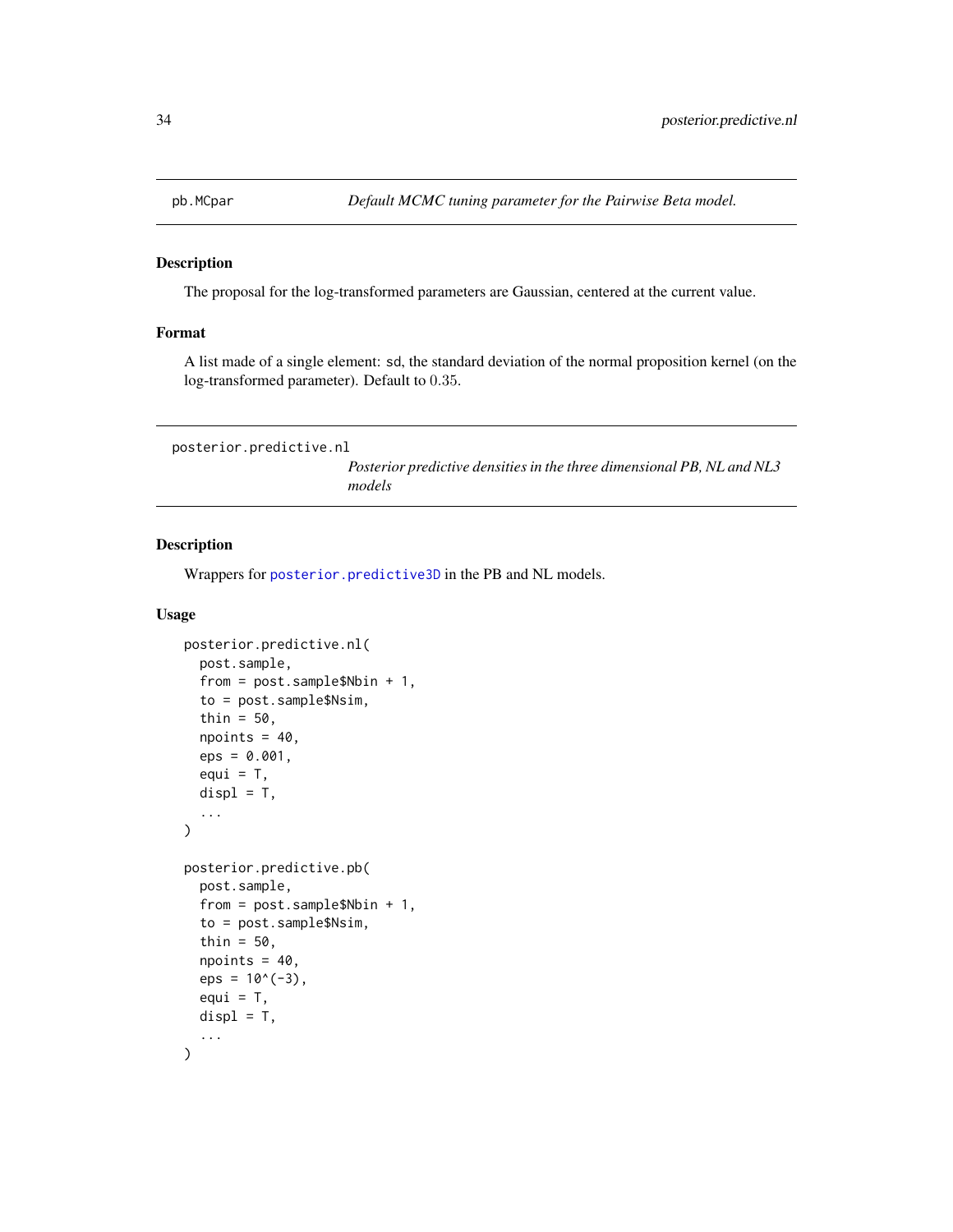<span id="page-33-3"></span><span id="page-33-0"></span>

#### Description

The proposal for the log-transformed parameters are Gaussian, centered at the current value.

## Format

A list made of a single element: sd, the standard deviation of the normal proposition kernel (on the log-transformed parameter). Default to 0.35.

<span id="page-33-2"></span>posterior.predictive.nl

*Posterior predictive densities in the three dimensional PB, NL and NL3 models*

#### <span id="page-33-1"></span>Description

Wrappers for [posterior.predictive3D](#page-34-1) in the PB and NL models.

#### Usage

```
posterior.predictive.nl(
  post.sample,
  from = post.sample$Nbin + 1,
  to = post.sample$Nsim,
  thin = 50,
  npoints = 40,eps = 0.001,
  equi = T,
  display = T,
  ...
\mathcal{E}posterior.predictive.pb(
  post.sample,
  from = post.sample$Nbin + 1,
  to = post.sample$Nsim,
  thin = 50,
  npoints = 40,
  eps = 10^(-3),
  equi = T,
  display = T,
  ...
)
```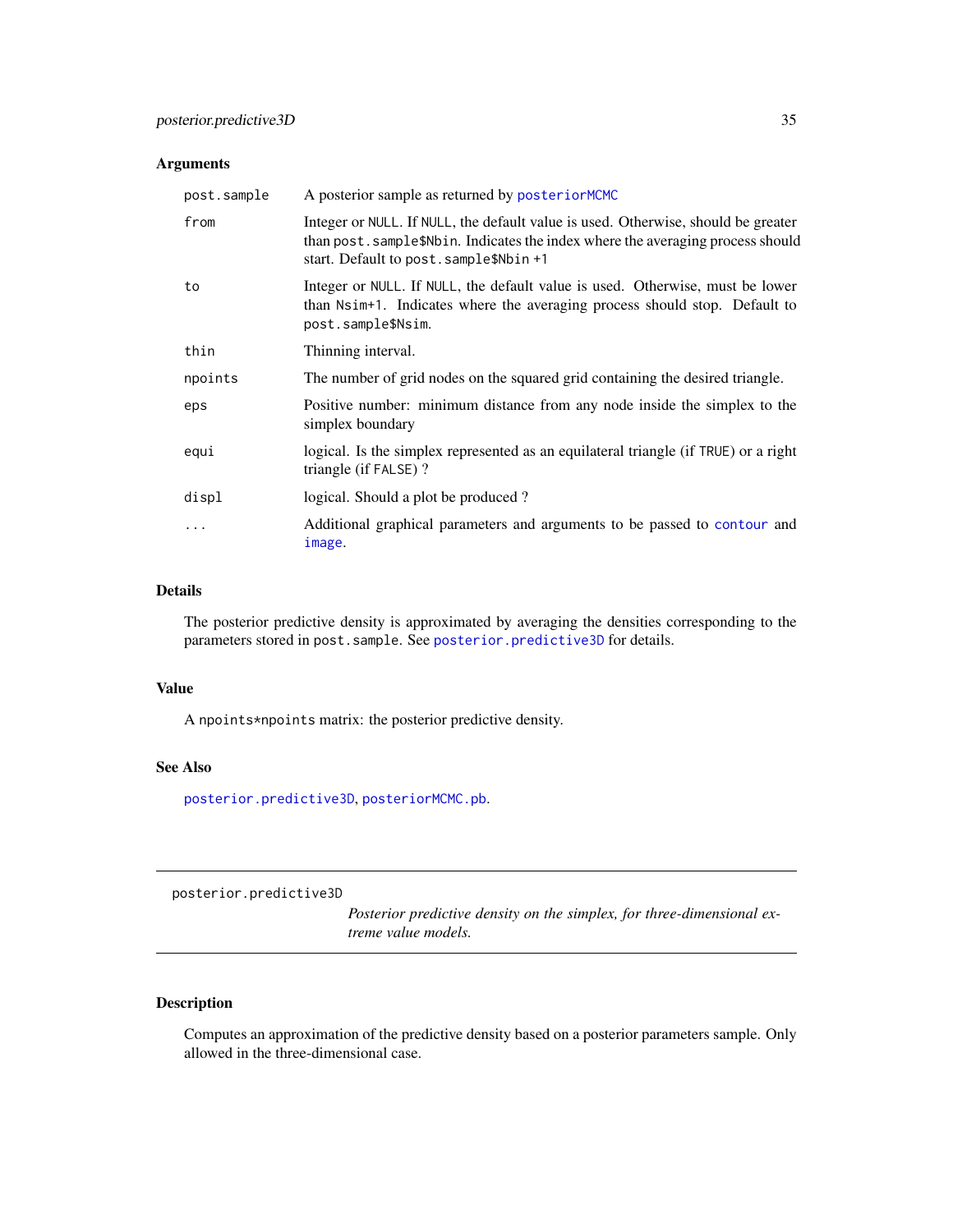### <span id="page-34-0"></span>Arguments

| post.sample | A posterior sample as returned by posteriorMCMC                                                                                                                                                                 |
|-------------|-----------------------------------------------------------------------------------------------------------------------------------------------------------------------------------------------------------------|
| from        | Integer or NULL. If NULL, the default value is used. Otherwise, should be greater<br>than post. sample\$Nbin. Indicates the index where the averaging process should<br>start. Default to post. sample\$Nbin +1 |
| to          | Integer or NULL. If NULL, the default value is used. Otherwise, must be lower<br>than Nsim+1. Indicates where the averaging process should stop. Default to<br>post.sample\$Nsim.                               |
| thin        | Thinning interval.                                                                                                                                                                                              |
| npoints     | The number of grid nodes on the squared grid containing the desired triangle.                                                                                                                                   |
| eps         | Positive number: minimum distance from any node inside the simplex to the<br>simplex boundary                                                                                                                   |
| equi        | logical. Is the simplex represented as an equilateral triangle (if TRUE) or a right<br>triangle (if FALSE)?                                                                                                     |
| displ       | logical. Should a plot be produced?                                                                                                                                                                             |
| .           | Additional graphical parameters and arguments to be passed to contour and<br>image.                                                                                                                             |

## Details

The posterior predictive density is approximated by averaging the densities corresponding to the parameters stored in post.sample. See [posterior.predictive3D](#page-34-1) for details.

## Value

A npoints\*npoints matrix: the posterior predictive density.

## See Also

[posterior.predictive3D](#page-34-1), [posteriorMCMC.pb](#page-40-1).

<span id="page-34-1"></span>posterior.predictive3D

*Posterior predictive density on the simplex, for three-dimensional extreme value models.*

## Description

Computes an approximation of the predictive density based on a posterior parameters sample. Only allowed in the three-dimensional case.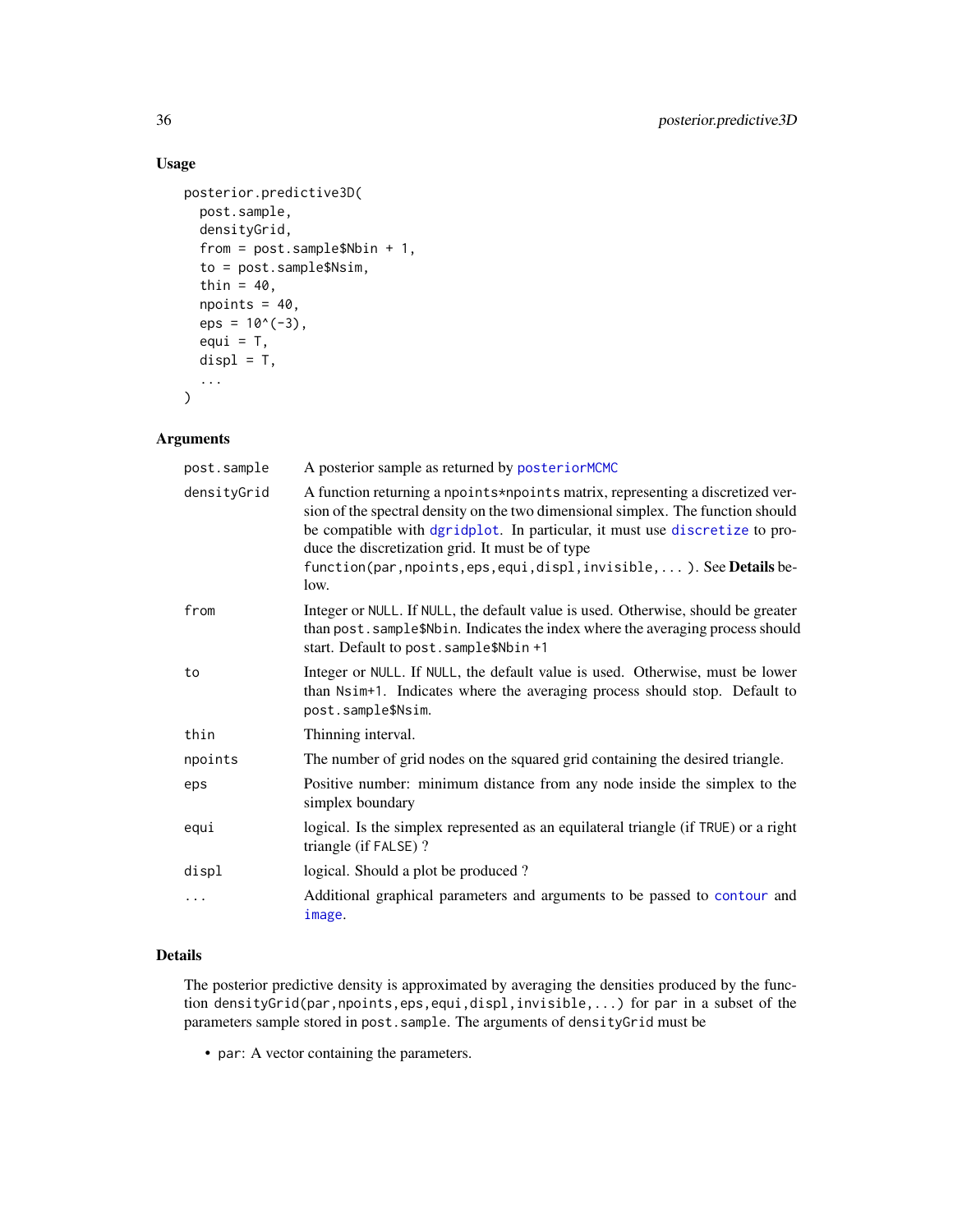## Usage

```
posterior.predictive3D(
 post.sample,
  densityGrid,
  from = post.sample$Nbin + 1,
  to = post.sample$Nsim,
  thin = 40,
  npoints = 40,eps = 10^(-3),
  equi = T,
  display = T,
  ...
\mathcal{L}
```
## Arguments

| post.sample | A posterior sample as returned by posteriorMCMC                                                                                                                                                                                                                                                                                                                                           |
|-------------|-------------------------------------------------------------------------------------------------------------------------------------------------------------------------------------------------------------------------------------------------------------------------------------------------------------------------------------------------------------------------------------------|
| densityGrid | A function returning a npoints *npoints matrix, representing a discretized ver-<br>sion of the spectral density on the two dimensional simplex. The function should<br>be compatible with dgridplot. In particular, it must use discretize to pro-<br>duce the discretization grid. It must be of type<br>function(par, npoints, eps, equi, displ, invisible,  ). See Details be-<br>low. |
| from        | Integer or NULL. If NULL, the default value is used. Otherwise, should be greater<br>than post. sample\$Nbin. Indicates the index where the averaging process should<br>start. Default to post. sample\$Nbin +1                                                                                                                                                                           |
| to          | Integer or NULL. If NULL, the default value is used. Otherwise, must be lower<br>than Nsim+1. Indicates where the averaging process should stop. Default to<br>post.sample\$Nsim.                                                                                                                                                                                                         |
| thin        | Thinning interval.                                                                                                                                                                                                                                                                                                                                                                        |
| npoints     | The number of grid nodes on the squared grid containing the desired triangle.                                                                                                                                                                                                                                                                                                             |
| eps         | Positive number: minimum distance from any node inside the simplex to the<br>simplex boundary                                                                                                                                                                                                                                                                                             |
| equi        | logical. Is the simplex represented as an equilateral triangle (if TRUE) or a right<br>triangle (if FALSE)?                                                                                                                                                                                                                                                                               |
| displ       | logical. Should a plot be produced?                                                                                                                                                                                                                                                                                                                                                       |
| $\cdots$    | Additional graphical parameters and arguments to be passed to contour and<br>image.                                                                                                                                                                                                                                                                                                       |

#### Details

The posterior predictive density is approximated by averaging the densities produced by the function densityGrid(par,npoints,eps,equi,displ,invisible,...) for par in a subset of the parameters sample stored in post.sample. The arguments of densityGrid must be

• par: A vector containing the parameters.

<span id="page-35-0"></span>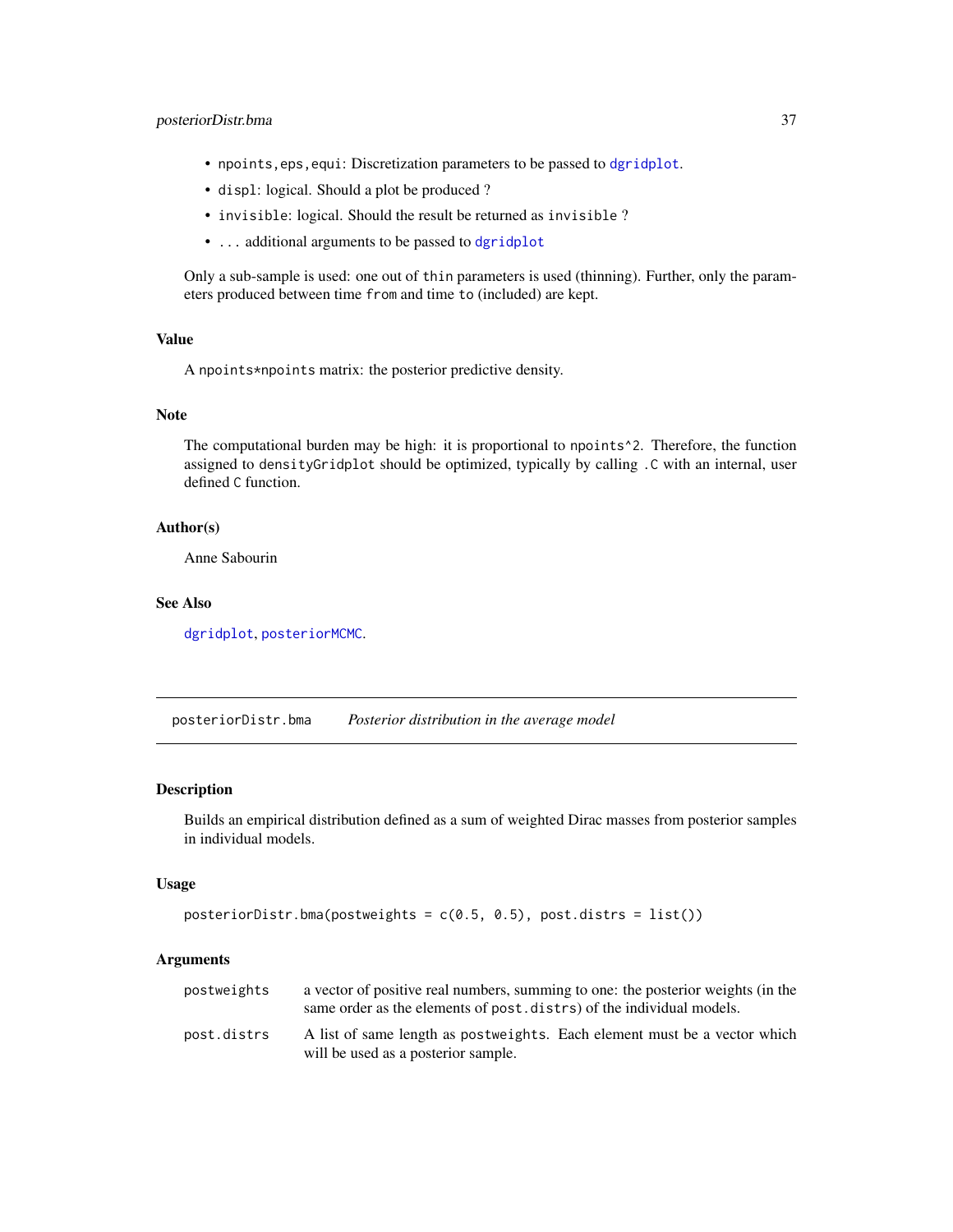## <span id="page-36-0"></span>posteriorDistr.bma 37

- npoints,eps,equi: Discretization parameters to be passed to [dgridplot](#page-9-1).
- displ: logical. Should a plot be produced ?
- invisible: logical. Should the result be returned as invisible ?
- ... additional arguments to be passed to [dgridplot](#page-9-1)

Only a sub-sample is used: one out of thin parameters is used (thinning). Further, only the parameters produced between time from and time to (included) are kept.

## Value

A npoints\*npoints matrix: the posterior predictive density.

#### Note

The computational burden may be high: it is proportional to npoints<sup>^2</sup>. Therefore, the function assigned to densityGridplot should be optimized, typically by calling .C with an internal, user defined C function.

#### Author(s)

Anne Sabourin

## See Also

[dgridplot](#page-9-1), [posteriorMCMC](#page-37-1).

posteriorDistr.bma *Posterior distribution in the average model*

#### Description

Builds an empirical distribution defined as a sum of weighted Dirac masses from posterior samples in individual models.

#### Usage

```
posteriorDistr.bma(postweights = c(0.5, 0.5), post.distrs = list())
```

| postweights | a vector of positive real numbers, summing to one: the posterior weights (in the<br>same order as the elements of post. distrs) of the individual models. |
|-------------|-----------------------------------------------------------------------------------------------------------------------------------------------------------|
| post.distrs | A list of same length as postweights. Each element must be a vector which<br>will be used as a posterior sample.                                          |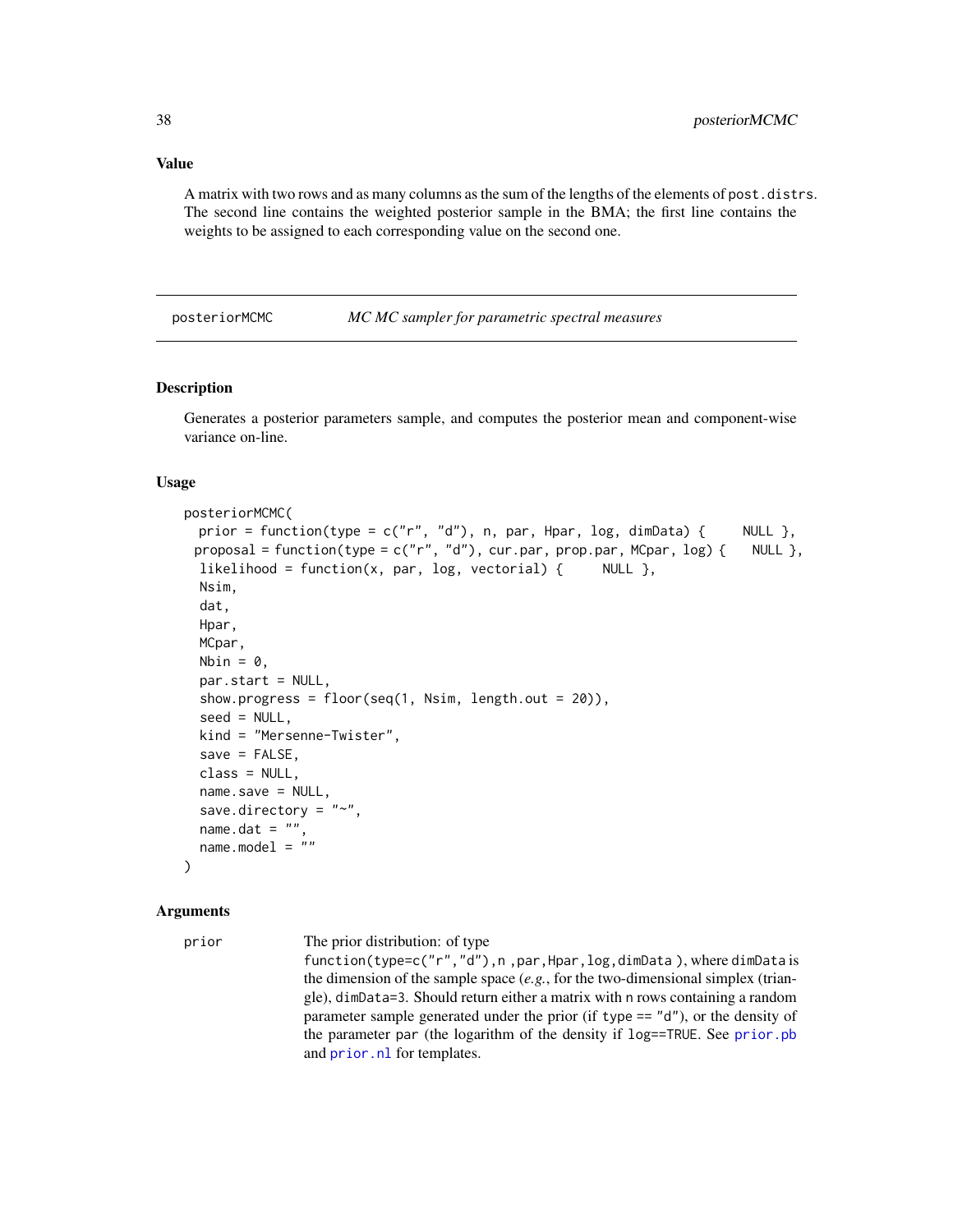<span id="page-37-0"></span>A matrix with two rows and as many columns as the sum of the lengths of the elements of post.distrs. The second line contains the weighted posterior sample in the BMA; the first line contains the weights to be assigned to each corresponding value on the second one.

<span id="page-37-1"></span>posteriorMCMC *MC MC sampler for parametric spectral measures*

#### Description

Generates a posterior parameters sample, and computes the posterior mean and component-wise variance on-line.

#### Usage

```
posteriorMCMC(
 prior = function(type = c("r", "d"), n, par, Hpar, log, dimData) { NULL },
 proposal = function(type = c("r", "d"), cur.par, prop.par, MCpar, log) { NULL },
 likelihood = function(x, par, log, vectorial) { NULL },
 Nsim,
 dat,
 Hpar,
 MCpar,
 Nbin = 0,
 par.start = NULL,
  show.progress = floor(seq(1, Nsim, length.out = 20)),seed = NULL,kind = "Mersenne-Twister",
  save = FALSE,class = NULL,
 name.save = NULL,save.directory = "~",
 name.dat = ""name.model = "")
```
#### Arguments

prior The prior distribution: of type

function(type=c("r","d"),n ,par,Hpar,log,dimData ), where dimData is the dimension of the sample space (*e.g.*, for the two-dimensional simplex (triangle), dimData=3. Should return either a matrix with n rows containing a random parameter sample generated under the prior (if type == "d"), or the density of the parameter par (the logarithm of the density if log==TRUE. See [prior.pb](#page-45-1) and [prior.nl](#page-44-1) for templates.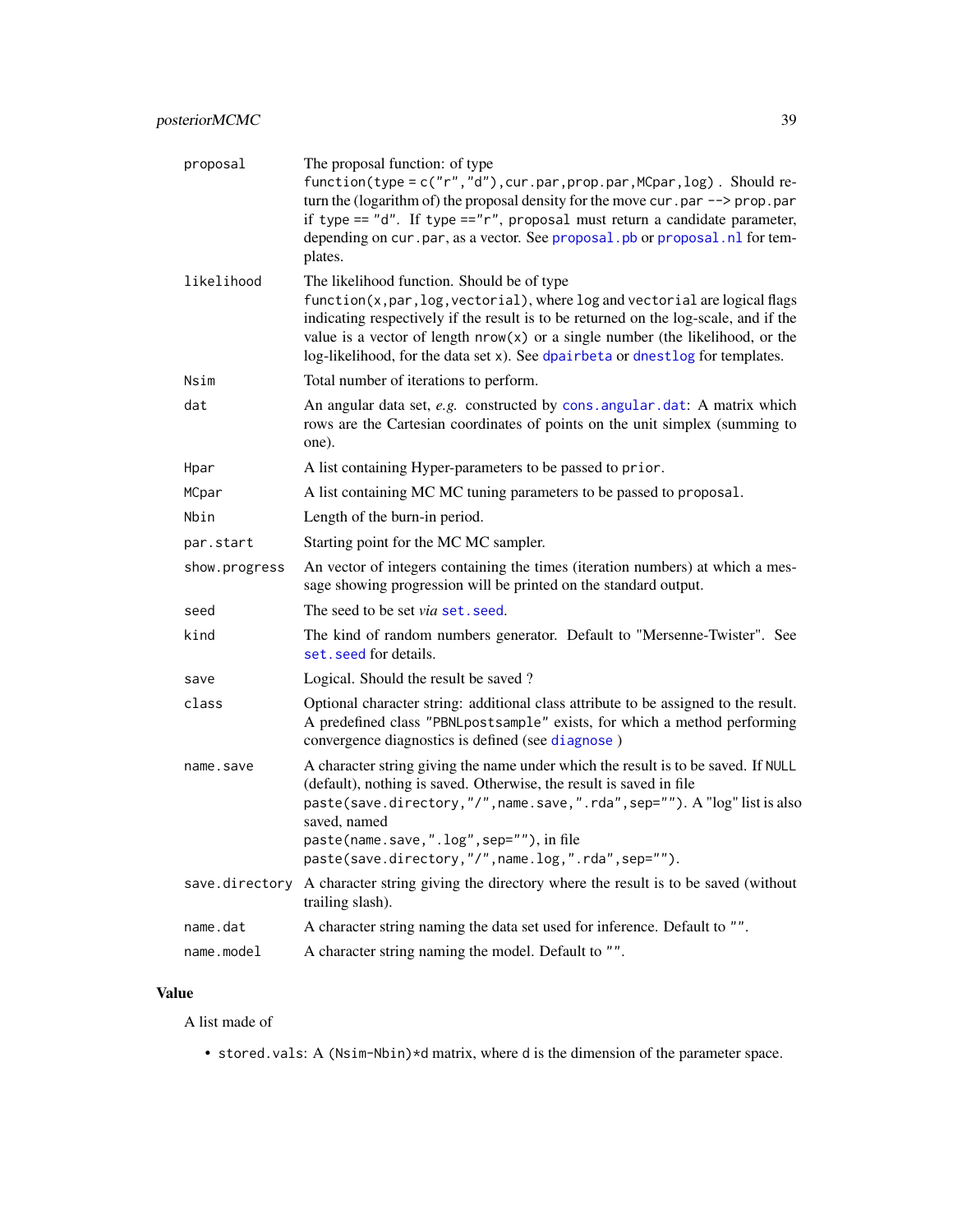<span id="page-38-0"></span>

| proposal       | The proposal function: of type<br>function(type = c("r","d"), cur.par, prop.par, MCpar, log). Should re-<br>turn the (logarithm of) the proposal density for the move cur. par $\rightarrow$ prop. par<br>if type == $"d".$ If type == $"r",$ proposal must return a candidate parameter,<br>depending on cur. par, as a vector. See proposal. pb or proposal. nl for tem-<br>plates.  |
|----------------|----------------------------------------------------------------------------------------------------------------------------------------------------------------------------------------------------------------------------------------------------------------------------------------------------------------------------------------------------------------------------------------|
| likelihood     | The likelihood function. Should be of type<br>function(x, par, log, vectorial), where log and vectorial are logical flags<br>indicating respectively if the result is to be returned on the log-scale, and if the<br>value is a vector of length $nrow(x)$ or a single number (the likelihood, or the<br>log-likelihood, for the data set x). See dpairbeta or dnestlog for templates. |
| Nsim           | Total number of iterations to perform.                                                                                                                                                                                                                                                                                                                                                 |
| dat            | An angular data set, e.g. constructed by cons. angular. dat: A matrix which<br>rows are the Cartesian coordinates of points on the unit simplex (summing to<br>one).                                                                                                                                                                                                                   |
| Hpar           | A list containing Hyper-parameters to be passed to prior.                                                                                                                                                                                                                                                                                                                              |
| MCpar          | A list containing MC MC tuning parameters to be passed to proposal.                                                                                                                                                                                                                                                                                                                    |
| Nbin           | Length of the burn-in period.                                                                                                                                                                                                                                                                                                                                                          |
| par.start      | Starting point for the MC MC sampler.                                                                                                                                                                                                                                                                                                                                                  |
| show.progress  | An vector of integers containing the times (iteration numbers) at which a mes-<br>sage showing progression will be printed on the standard output.                                                                                                                                                                                                                                     |
| seed           | The seed to be set <i>via</i> set, seed.                                                                                                                                                                                                                                                                                                                                               |
| kind           | The kind of random numbers generator. Default to "Mersenne-Twister". See<br>set. seed for details.                                                                                                                                                                                                                                                                                     |
| save           | Logical. Should the result be saved?                                                                                                                                                                                                                                                                                                                                                   |
| class          | Optional character string: additional class attribute to be assigned to the result.<br>A predefined class "PBNLpostsample" exists, for which a method performing<br>convergence diagnostics is defined (see diagnose)                                                                                                                                                                  |
| name.save      | A character string giving the name under which the result is to be saved. If NULL<br>(default), nothing is saved. Otherwise, the result is saved in file<br>paste(save.directory,"/", name.save,".rda", sep=""). A "log" list is also<br>saved, named<br>paste(name.save,".log",sep=""), in file<br>paste(save.directory,"/",name.log,".rda",sep="").                                  |
| save.directory | A character string giving the directory where the result is to be saved (without<br>trailing slash).                                                                                                                                                                                                                                                                                   |
| name.dat       | A character string naming the data set used for inference. Default to "".                                                                                                                                                                                                                                                                                                              |
| name.model     | A character string naming the model. Default to "".                                                                                                                                                                                                                                                                                                                                    |

## Value

A list made of

• stored.vals: A (Nsim-Nbin)\*d matrix, where d is the dimension of the parameter space.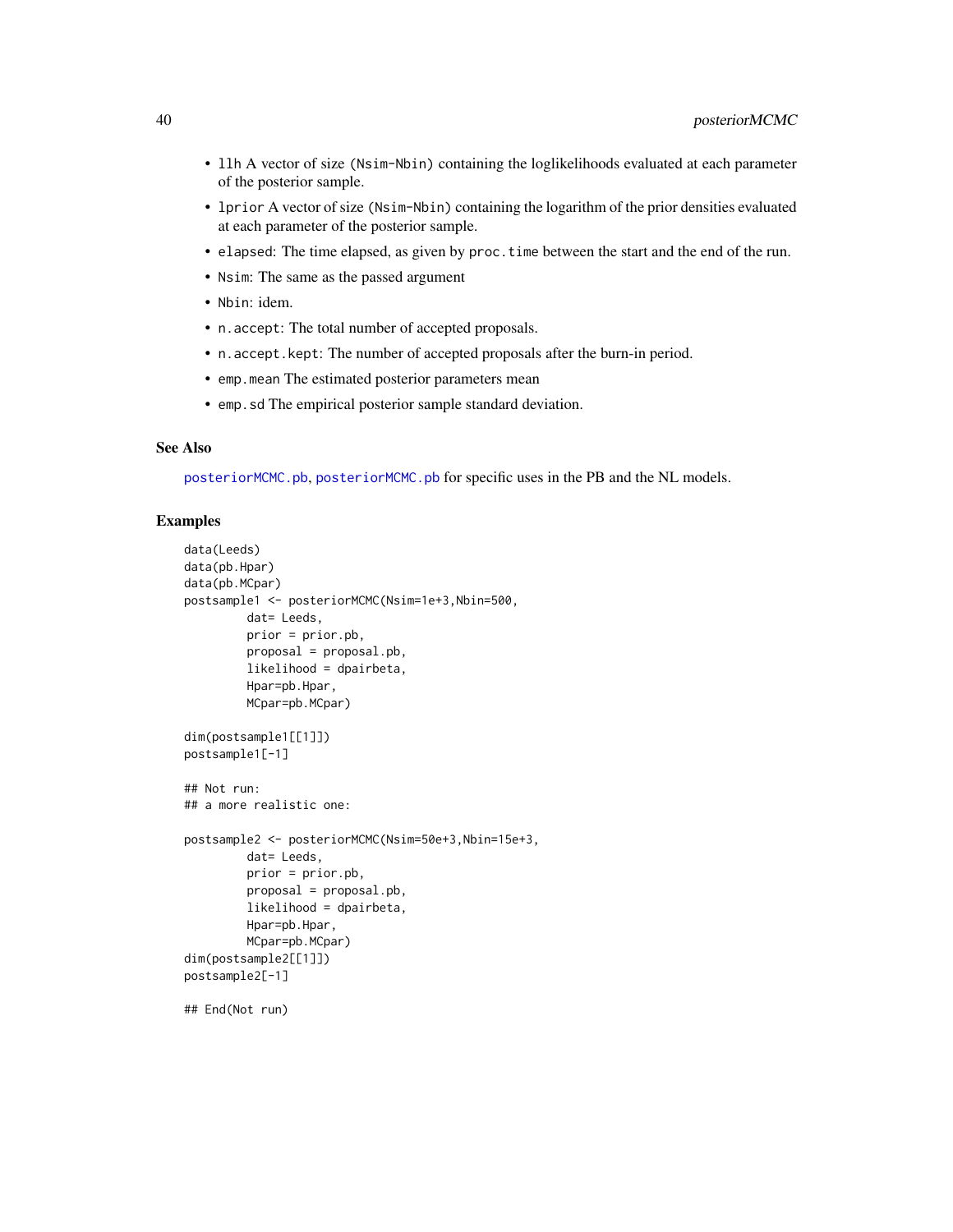- <span id="page-39-0"></span>• llh A vector of size (Nsim-Nbin) containing the loglikelihoods evaluated at each parameter of the posterior sample.
- lprior A vector of size (Nsim-Nbin) containing the logarithm of the prior densities evaluated at each parameter of the posterior sample.
- elapsed: The time elapsed, as given by proc.time between the start and the end of the run.
- Nsim: The same as the passed argument
- Nbin: idem.
- n.accept: The total number of accepted proposals.
- n.accept.kept: The number of accepted proposals after the burn-in period.
- emp.mean The estimated posterior parameters mean
- emp.sd The empirical posterior sample standard deviation.

#### See Also

[posteriorMCMC.pb](#page-40-1), [posteriorMCMC.pb](#page-40-1) for specific uses in the PB and the NL models.

## Examples

```
data(Leeds)
data(pb.Hpar)
data(pb.MCpar)
postsample1 <- posteriorMCMC(Nsim=1e+3,Nbin=500,
        dat= Leeds,
        prior = prior.pb,
        proposal = proposal.pb,
        likelihood = dpairbeta,
        Hpar=pb.Hpar,
        MCpar=pb.MCpar)
dim(postsample1[[1]])
postsample1[-1]
## Not run:
## a more realistic one:
postsample2 <- posteriorMCMC(Nsim=50e+3,Nbin=15e+3,
        dat= Leeds,
        prior = prior.pb,
        proposal = proposal.pb,
        likelihood = dpairbeta,
        Hpar=pb.Hpar,
        MCpar=pb.MCpar)
dim(postsample2[[1]])
postsample2[-1]
## End(Not run)
```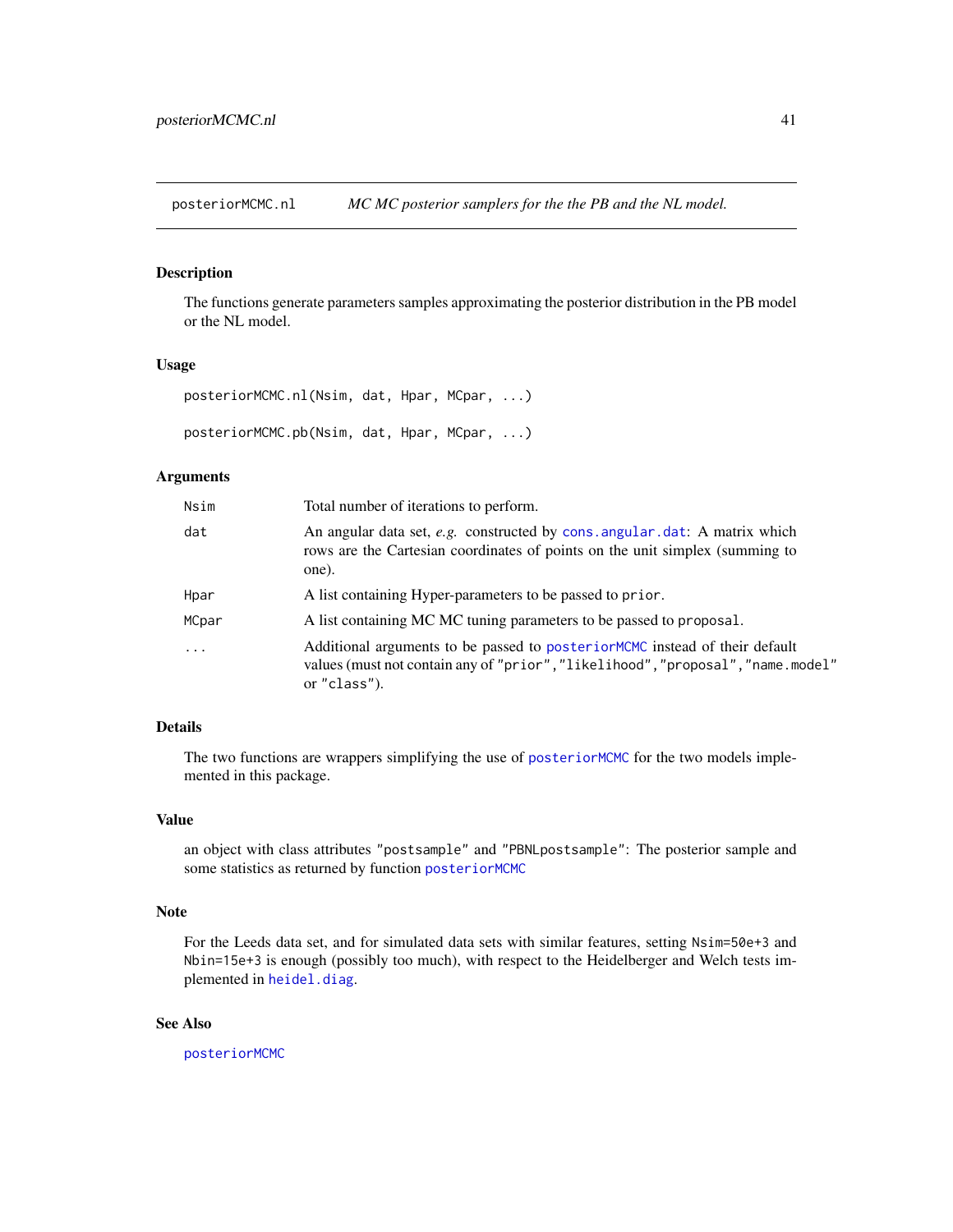<span id="page-40-2"></span><span id="page-40-0"></span>posteriorMCMC.nl *MC MC posterior samplers for the the PB and the NL model.*

## <span id="page-40-1"></span>**Description**

The functions generate parameters samples approximating the posterior distribution in the PB model or the NL model.

#### Usage

posteriorMCMC.nl(Nsim, dat, Hpar, MCpar, ...)

posteriorMCMC.pb(Nsim, dat, Hpar, MCpar, ...)

#### Arguments

| Nsim     | Total number of iterations to perform.                                                                                                                                          |
|----------|---------------------------------------------------------------------------------------------------------------------------------------------------------------------------------|
| dat      | An angular data set, e.g. constructed by cons. angular. dat: A matrix which<br>rows are the Cartesian coordinates of points on the unit simplex (summing to<br>one).            |
| Hpar     | A list containing Hyper-parameters to be passed to prior.                                                                                                                       |
| MCpar    | A list containing MC MC tuning parameters to be passed to proposal.                                                                                                             |
| $\cdots$ | Additional arguments to be passed to posterior MCMC instead of their default<br>values (must not contain any of "prior", "likelihood", "proposal", "name.model"<br>or "class"). |

## Details

The two functions are wrappers simplifying the use of [posteriorMCMC](#page-37-1) for the two models implemented in this package.

## Value

an object with class attributes "postsample" and "PBNLpostsample": The posterior sample and some statistics as returned by function [posteriorMCMC](#page-37-1)

#### Note

For the Leeds data set, and for simulated data sets with similar features, setting Nsim=50e+3 and Nbin=15e+3 is enough (possibly too much), with respect to the Heidelberger and Welch tests implemented in [heidel.diag](#page-0-0).

#### See Also

[posteriorMCMC](#page-37-1)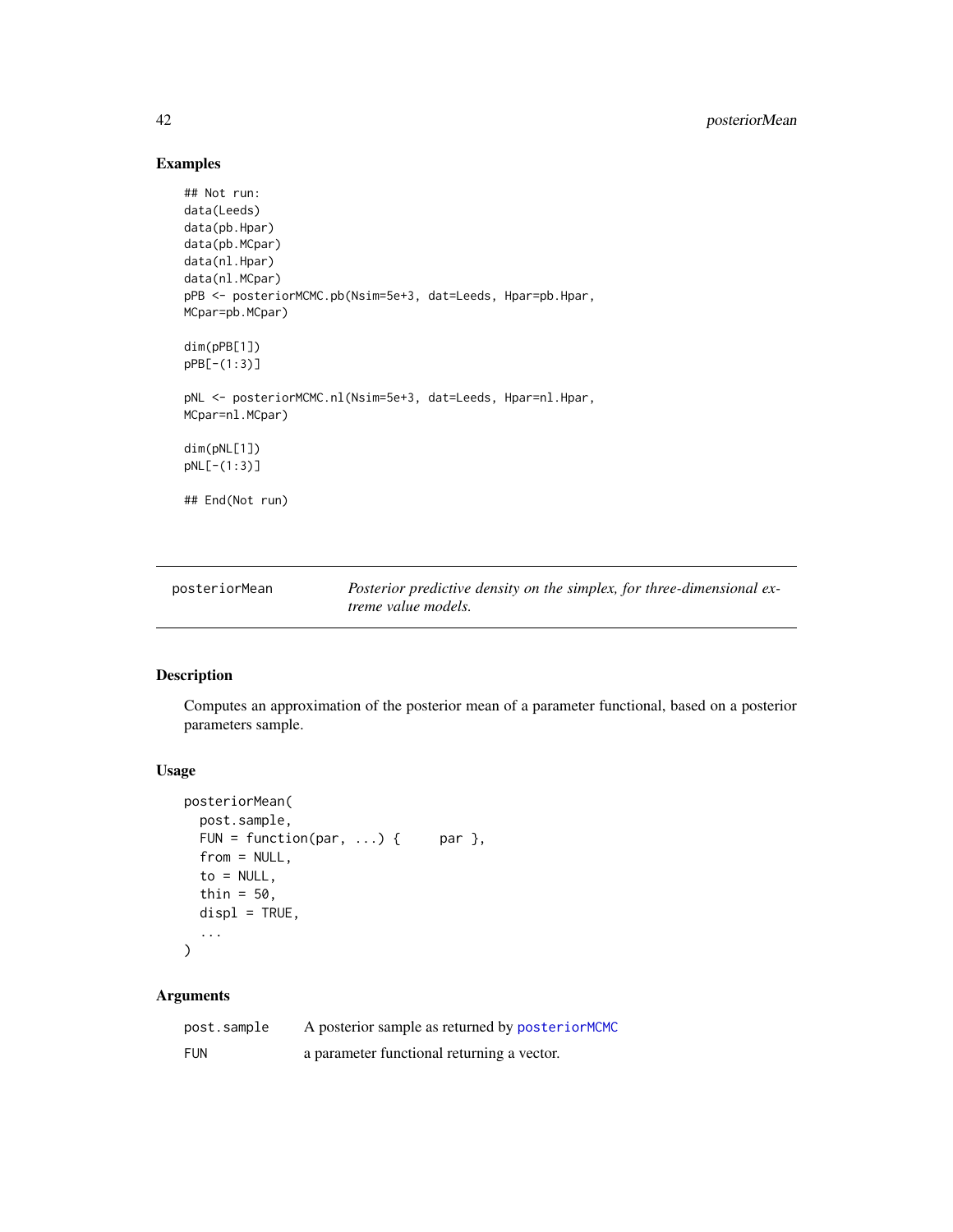## Examples

```
## Not run:
data(Leeds)
data(pb.Hpar)
data(pb.MCpar)
data(nl.Hpar)
data(nl.MCpar)
pPB <- posteriorMCMC.pb(Nsim=5e+3, dat=Leeds, Hpar=pb.Hpar,
MCpar=pb.MCpar)
dim(pPB[1])
pPB[-(1:3)]
pNL <- posteriorMCMC.nl(Nsim=5e+3, dat=Leeds, Hpar=nl.Hpar,
MCpar=nl.MCpar)
dim(pNL[1])
pNL[-(1:3)]
## End(Not run)
```

| posteriorMean | Posterior predictive density on the simplex, for three-dimensional ex- |
|---------------|------------------------------------------------------------------------|
|               | <i>treme value models.</i>                                             |

## Description

Computes an approximation of the posterior mean of a parameter functional, based on a posterior parameters sample.

#### Usage

```
posteriorMean(
 post.sample,
 FUN = function(par, ...) { par },
 from = NULL,
 to = NULL,
  thin = 50,
 displ = TRUE,...
)
```

| post.sample | A posterior sample as returned by posterior MCMC |
|-------------|--------------------------------------------------|
| <b>FUN</b>  | a parameter functional returning a vector.       |

<span id="page-41-0"></span>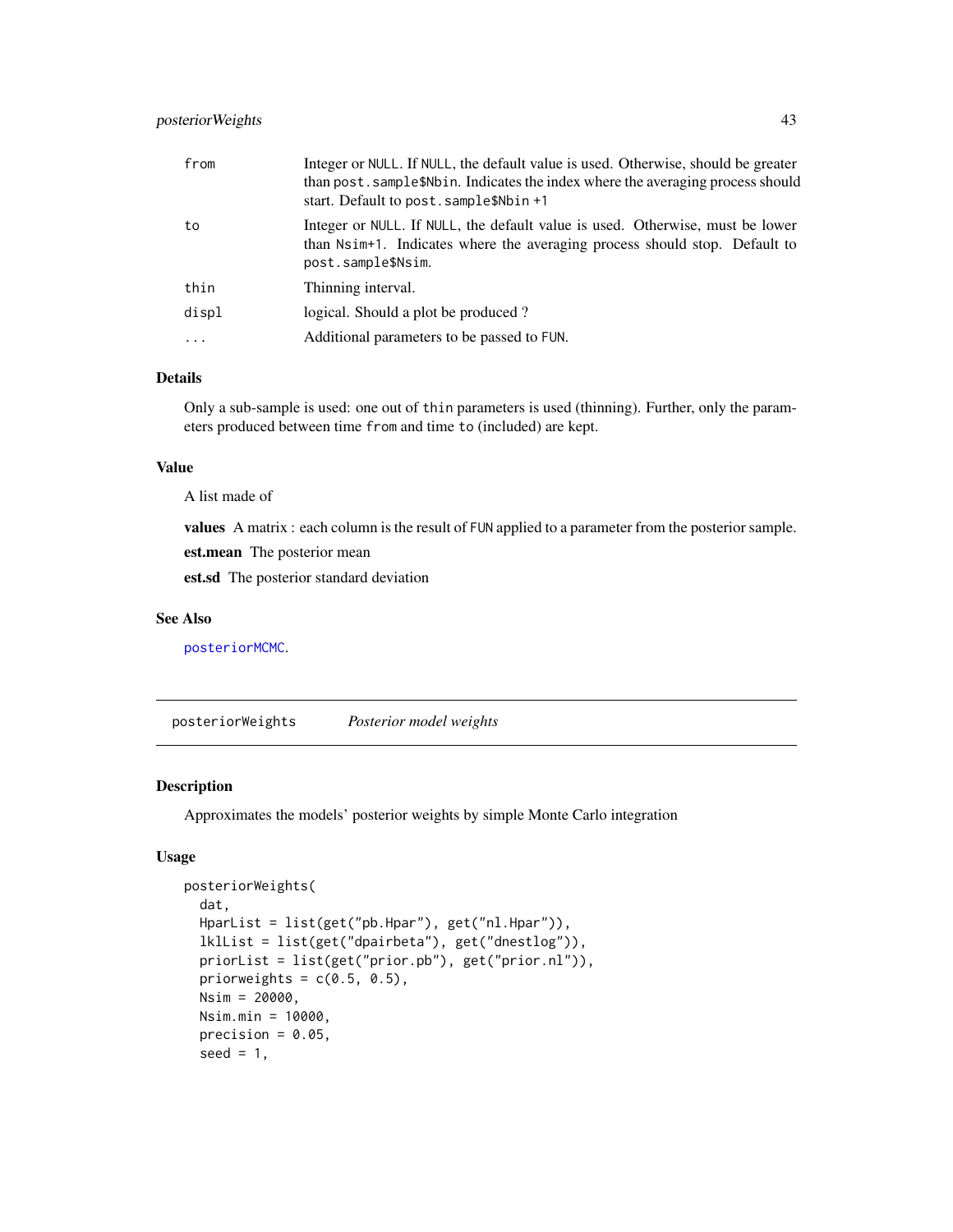## <span id="page-42-0"></span>posteriorWeights 43

| from    | Integer or NULL. If NULL, the default value is used. Otherwise, should be greater<br>than post. sample\$Nbin. Indicates the index where the averaging process should<br>start. Default to post. sample\$Nbin +1 |
|---------|-----------------------------------------------------------------------------------------------------------------------------------------------------------------------------------------------------------------|
| to      | Integer or NULL. If NULL, the default value is used. Otherwise, must be lower<br>than Nsim+1. Indicates where the averaging process should stop. Default to<br>post.sample\$Nsim.                               |
| thin    | Thinning interval.                                                                                                                                                                                              |
| displ   | logical. Should a plot be produced?                                                                                                                                                                             |
| $\cdot$ | Additional parameters to be passed to FUN.                                                                                                                                                                      |

## Details

Only a sub-sample is used: one out of thin parameters is used (thinning). Further, only the parameters produced between time from and time to (included) are kept.

#### Value

A list made of

values A matrix : each column is the result of FUN applied to a parameter from the posterior sample.

est.mean The posterior mean

est.sd The posterior standard deviation

#### See Also

[posteriorMCMC](#page-37-1).

posteriorWeights *Posterior model weights*

## Description

Approximates the models' posterior weights by simple Monte Carlo integration

#### Usage

```
posteriorWeights(
  dat,
  HparList = list(get("pb.Hpar"), get("nl.Hpar")),
  lklList = list(get("dpairbeta"), get("dnestlog")),
  priorList = list(get("prior.pb"), get("prior.nl")),
  priorweights = c(0.5, 0.5),
 Nsim = 20000,
 Nsim.min = 10000,
  precision = 0.05,
  seed = 1,
```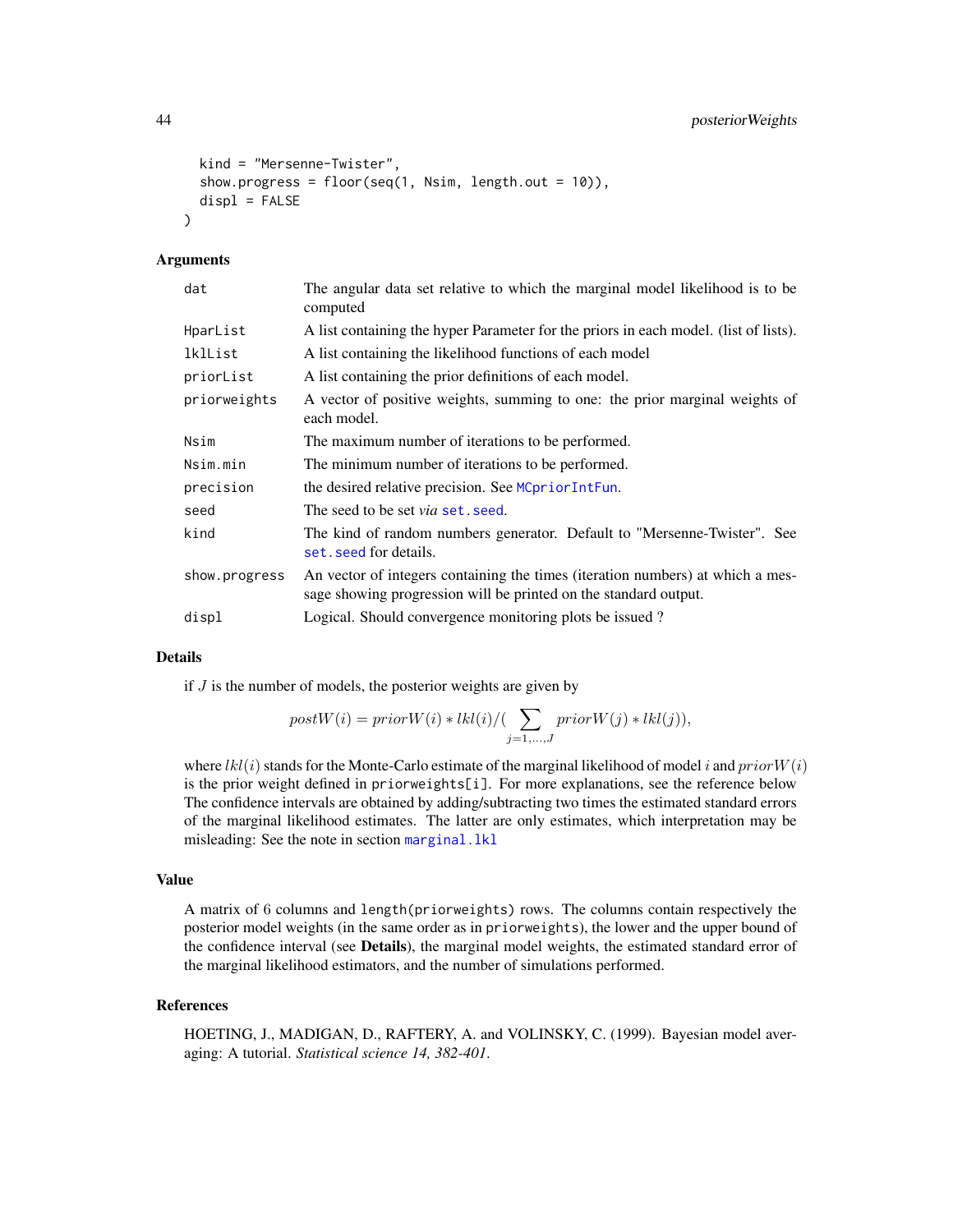```
kind = "Mersenne-Twister",
show.progress = floor(seq(1, Nsim, length.out = 10)),displ = FALSE
```
## Arguments

 $\lambda$ 

| dat           | The angular data set relative to which the marginal model likelihood is to be<br>computed                                                          |
|---------------|----------------------------------------------------------------------------------------------------------------------------------------------------|
| HparList      | A list containing the hyper Parameter for the priors in each model. (list of lists).                                                               |
| lklList       | A list containing the likelihood functions of each model                                                                                           |
| priorList     | A list containing the prior definitions of each model.                                                                                             |
| priorweights  | A vector of positive weights, summing to one: the prior marginal weights of<br>each model.                                                         |
| Nsim          | The maximum number of iterations to be performed.                                                                                                  |
| Nsim.min      | The minimum number of iterations to be performed.                                                                                                  |
| precision     | the desired relative precision. See MCpriorIntFun.                                                                                                 |
| seed          | The seed to be set <i>via</i> set, seed.                                                                                                           |
| kind          | The kind of random numbers generator. Default to "Mersenne-Twister". See<br>set. seed for details.                                                 |
| show.progress | An vector of integers containing the times (iteration numbers) at which a mes-<br>sage showing progression will be printed on the standard output. |
| displ         | Logical. Should convergence monitoring plots be issued?                                                                                            |

#### Details

if  $J$  is the number of models, the posterior weights are given by

$$
postW(i) = priorW(i) * lkl(i)/(\sum_{j=1,...,J}priorW(j) * lkl(j)),
$$

where  $lkl(i)$  stands for the Monte-Carlo estimate of the marginal likelihood of model i and prior  $W(i)$ is the prior weight defined in priorweights[i]. For more explanations, see the reference below The confidence intervals are obtained by adding/subtracting two times the estimated standard errors of the marginal likelihood estimates. The latter are only estimates, which interpretation may be misleading: See the note in section [marginal.lkl](#page-25-1)

## Value

A matrix of 6 columns and length(priorweights) rows. The columns contain respectively the posterior model weights (in the same order as in priorweights), the lower and the upper bound of the confidence interval (see Details), the marginal model weights, the estimated standard error of the marginal likelihood estimators, and the number of simulations performed.

#### References

HOETING, J., MADIGAN, D., RAFTERY, A. and VOLINSKY, C. (1999). Bayesian model averaging: A tutorial. *Statistical science 14, 382-401*.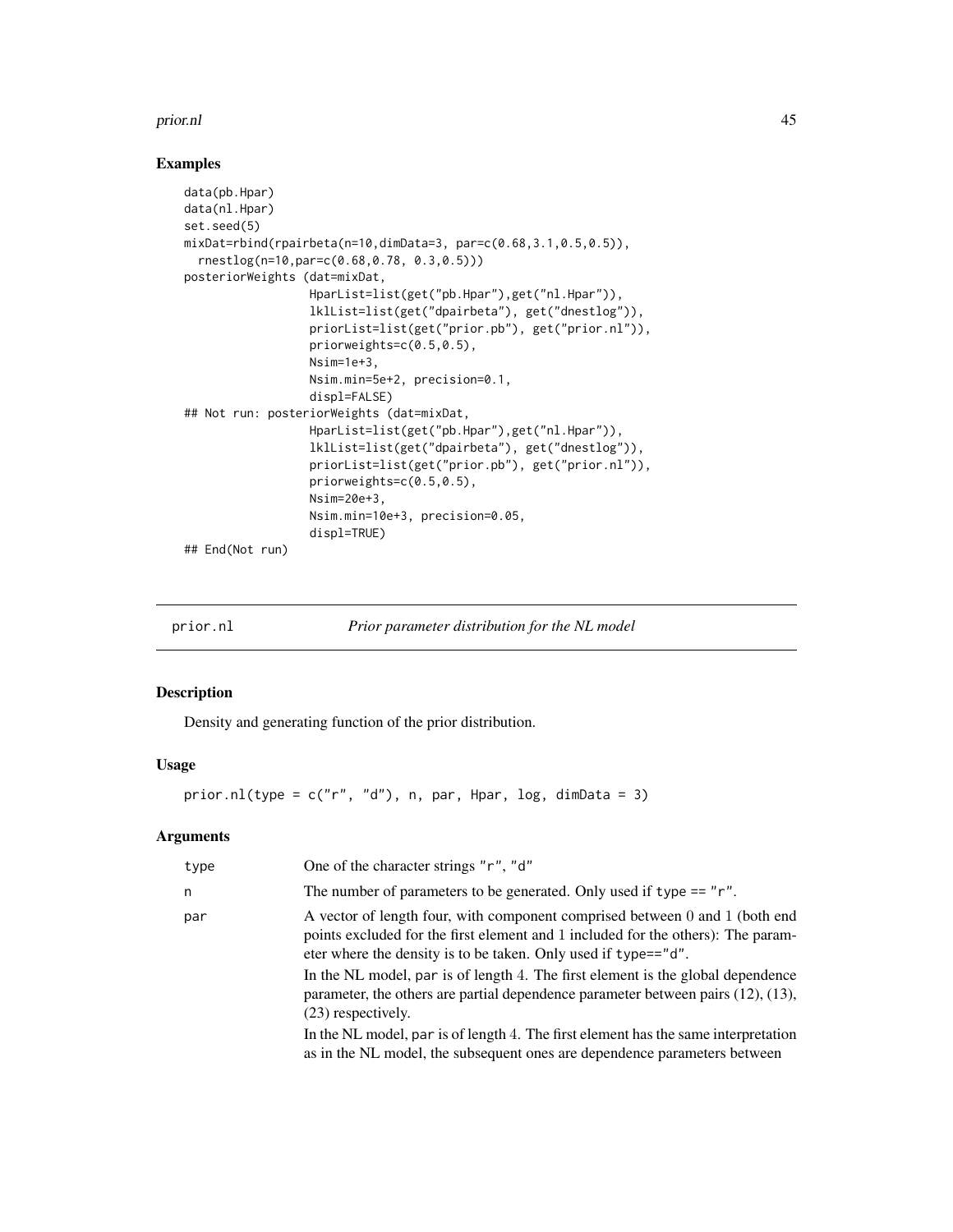#### <span id="page-44-0"></span>prior.nl 45

#### Examples

```
data(pb.Hpar)
data(nl.Hpar)
set.seed(5)
mixDat=rbind(rpairbeta(n=10,dimData=3, par=c(0.68,3.1,0.5,0.5)),
  rnestlog(n=10,par=c(0.68,0.78, 0.3,0.5)))
posteriorWeights (dat=mixDat,
                  HparList=list(get("pb.Hpar"),get("nl.Hpar")),
                  lklList=list(get("dpairbeta"), get("dnestlog")),
                  priorList=list(get("prior.pb"), get("prior.nl")),
                  priorweights=c(0.5,0.5),
                  Nsim=1e+3,
                  Nsim.min=5e+2, precision=0.1,
                  displ=FALSE)
## Not run: posteriorWeights (dat=mixDat,
                  HparList=list(get("pb.Hpar"),get("nl.Hpar")),
                  lklList=list(get("dpairbeta"), get("dnestlog")),
                  priorList=list(get("prior.pb"), get("prior.nl")),
                  priorweights=c(0.5,0.5),
                  Nsim=20e+3,
                  Nsim.min=10e+3, precision=0.05,
                  displ=TRUE)
## End(Not run)
```
<span id="page-44-1"></span>

prior.nl *Prior parameter distribution for the NL model*

## Description

Density and generating function of the prior distribution.

## Usage

prior.nl(type =  $c("r", "d")$ , n, par, Hpar, log, dimData = 3)

| type | One of the character strings "r", "d"                                                                                                                                                                                             |
|------|-----------------------------------------------------------------------------------------------------------------------------------------------------------------------------------------------------------------------------------|
| n    | The number of parameters to be generated. Only used if type $== "r".$                                                                                                                                                             |
| par  | A vector of length four, with component comprised between 0 and 1 (both end<br>points excluded for the first element and 1 included for the others): The param-<br>eter where the density is to be taken. Only used if type=="d". |
|      | In the NL model, par is of length 4. The first element is the global dependence<br>parameter, the others are partial dependence parameter between pairs $(12)$ , $(13)$ ,<br>(23) respectively.                                   |
|      | In the NL model, par is of length 4. The first element has the same interpretation<br>as in the NL model, the subsequent ones are dependence parameters between                                                                   |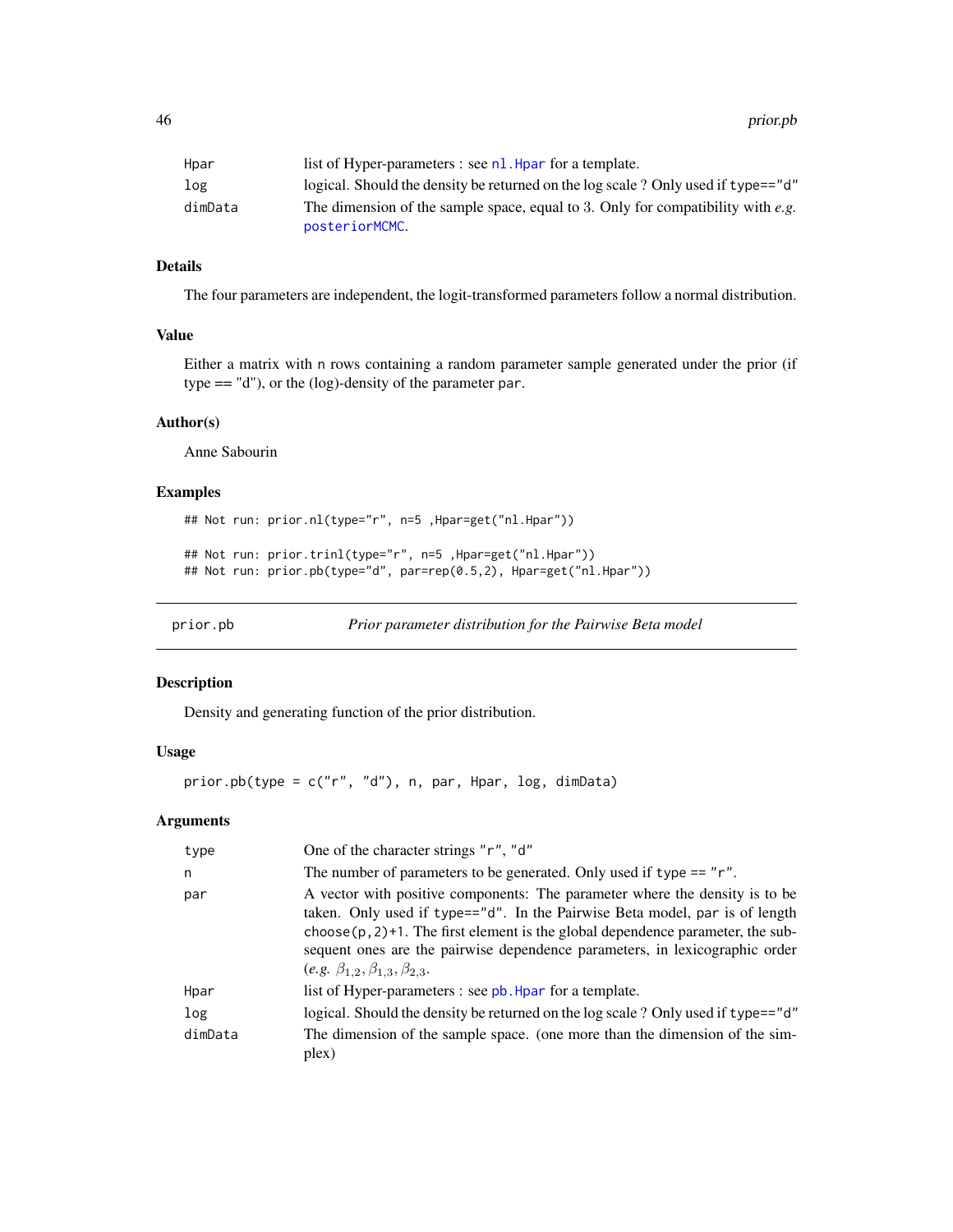<span id="page-45-0"></span>46 prior.pb

| Hpar    | list of Hyper-parameters : see $nl$ . Hpar for a template.                                        |
|---------|---------------------------------------------------------------------------------------------------|
| log     | logical. Should the density be returned on the log scale ? Only used if type=="d"                 |
| dimData | The dimension of the sample space, equal to 3. Only for compatibility with e.g.<br>posteriorMCMC. |

## Details

The four parameters are independent, the logit-transformed parameters follow a normal distribution.

## Value

Either a matrix with n rows containing a random parameter sample generated under the prior (if type == "d"), or the (log)-density of the parameter par.

#### Author(s)

Anne Sabourin

#### Examples

```
## Not run: prior.nl(type="r", n=5 ,Hpar=get("nl.Hpar"))
## Not run: prior.trinl(type="r", n=5 ,Hpar=get("nl.Hpar"))
## Not run: prior.pb(type="d", par=rep(0.5,2), Hpar=get("nl.Hpar"))
```
<span id="page-45-1"></span>prior.pb *Prior parameter distribution for the Pairwise Beta model*

#### Description

Density and generating function of the prior distribution.

## Usage

prior.pb(type = c("r", "d"), n, par, Hpar, log, dimData)

| type    | One of the character strings "r", "d"                                                                                                                                                                                                                                                                                                                                              |
|---------|------------------------------------------------------------------------------------------------------------------------------------------------------------------------------------------------------------------------------------------------------------------------------------------------------------------------------------------------------------------------------------|
| n       | The number of parameters to be generated. Only used if type $== "r".$                                                                                                                                                                                                                                                                                                              |
| par     | A vector with positive components: The parameter where the density is to be<br>taken. Only used if type=="d". In the Pairwise Beta model, par is of length<br>$choose(p, 2) + 1$ . The first element is the global dependence parameter, the sub-<br>sequent ones are the pairwise dependence parameters, in lexicographic order<br>$(e.g. \beta_{1,2}, \beta_{1,3}, \beta_{2,3})$ |
| Hpar    | list of Hyper-parameters : see pb. Hpar for a template.                                                                                                                                                                                                                                                                                                                            |
| log     | logical. Should the density be returned on the log scale ? Only used if type=="d"                                                                                                                                                                                                                                                                                                  |
| dimData | The dimension of the sample space. (one more than the dimension of the sim-<br>plex)                                                                                                                                                                                                                                                                                               |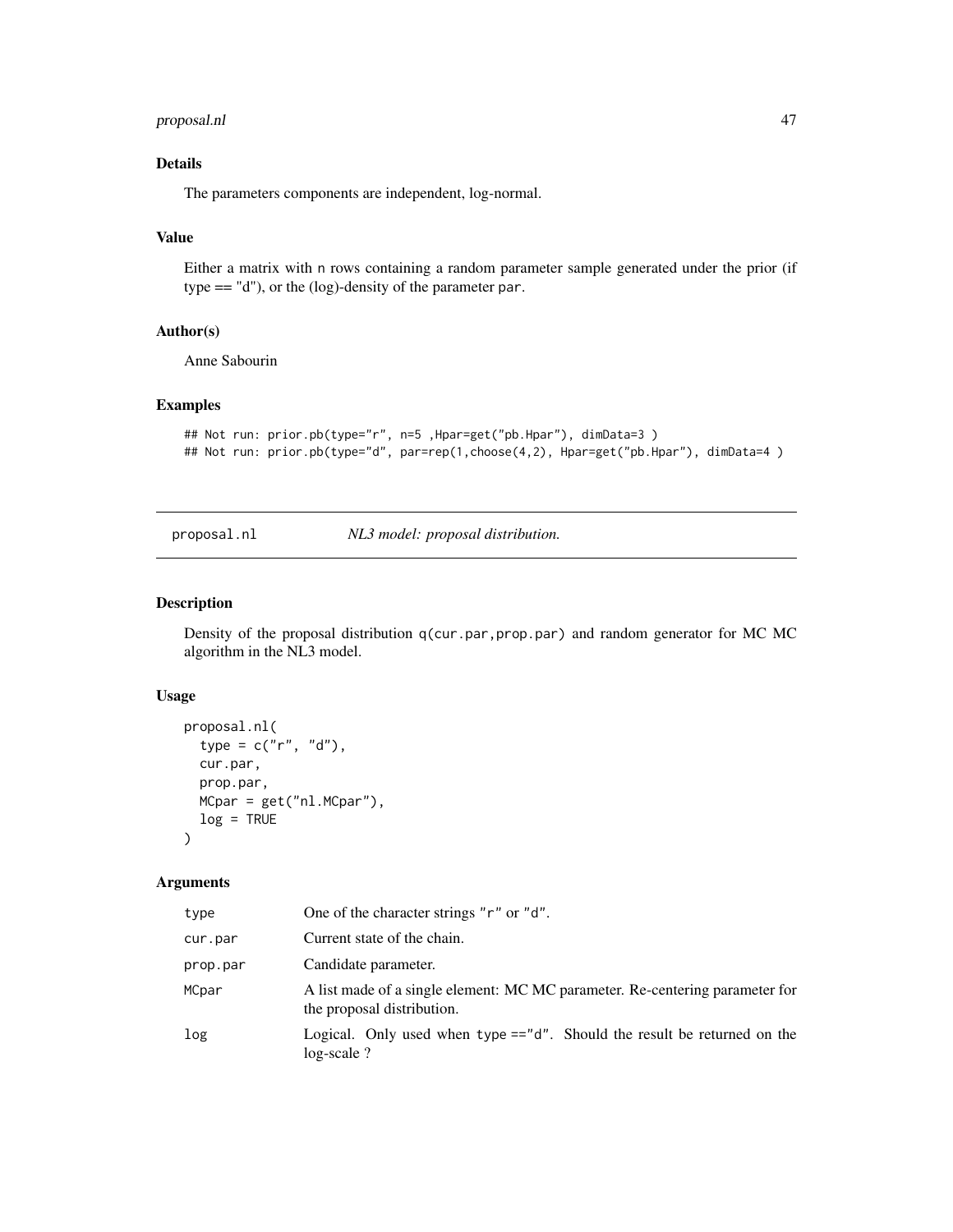## <span id="page-46-0"></span>proposal.nl 47

## Details

The parameters components are independent, log-normal.

#### Value

Either a matrix with n rows containing a random parameter sample generated under the prior (if type == "d"), or the (log)-density of the parameter par.

## Author(s)

Anne Sabourin

## Examples

```
## Not run: prior.pb(type="r", n=5 ,Hpar=get("pb.Hpar"), dimData=3 )
## Not run: prior.pb(type="d", par=rep(1,choose(4,2), Hpar=get("pb.Hpar"), dimData=4 )
```
#### <span id="page-46-1"></span>proposal.nl *NL3 model: proposal distribution.*

## Description

Density of the proposal distribution  $q(cur.par,prop.par)$  and random generator for MC MC algorithm in the NL3 model.

## Usage

```
proposal.nl(
  type = c("r", "d"),
  cur.par,
 prop.par,
 MCpar = get("nl.MCpar"),
  log = TRUE)
```

| type     | One of the character strings "r" or "d".                                                                   |
|----------|------------------------------------------------------------------------------------------------------------|
| cur.par  | Current state of the chain.                                                                                |
| prop.par | Candidate parameter.                                                                                       |
| MCpar    | A list made of a single element: MC MC parameter. Re-centering parameter for<br>the proposal distribution. |
| log      | Logical. Only used when type $=="d"$ . Should the result be returned on the<br>$log-scale$ ?               |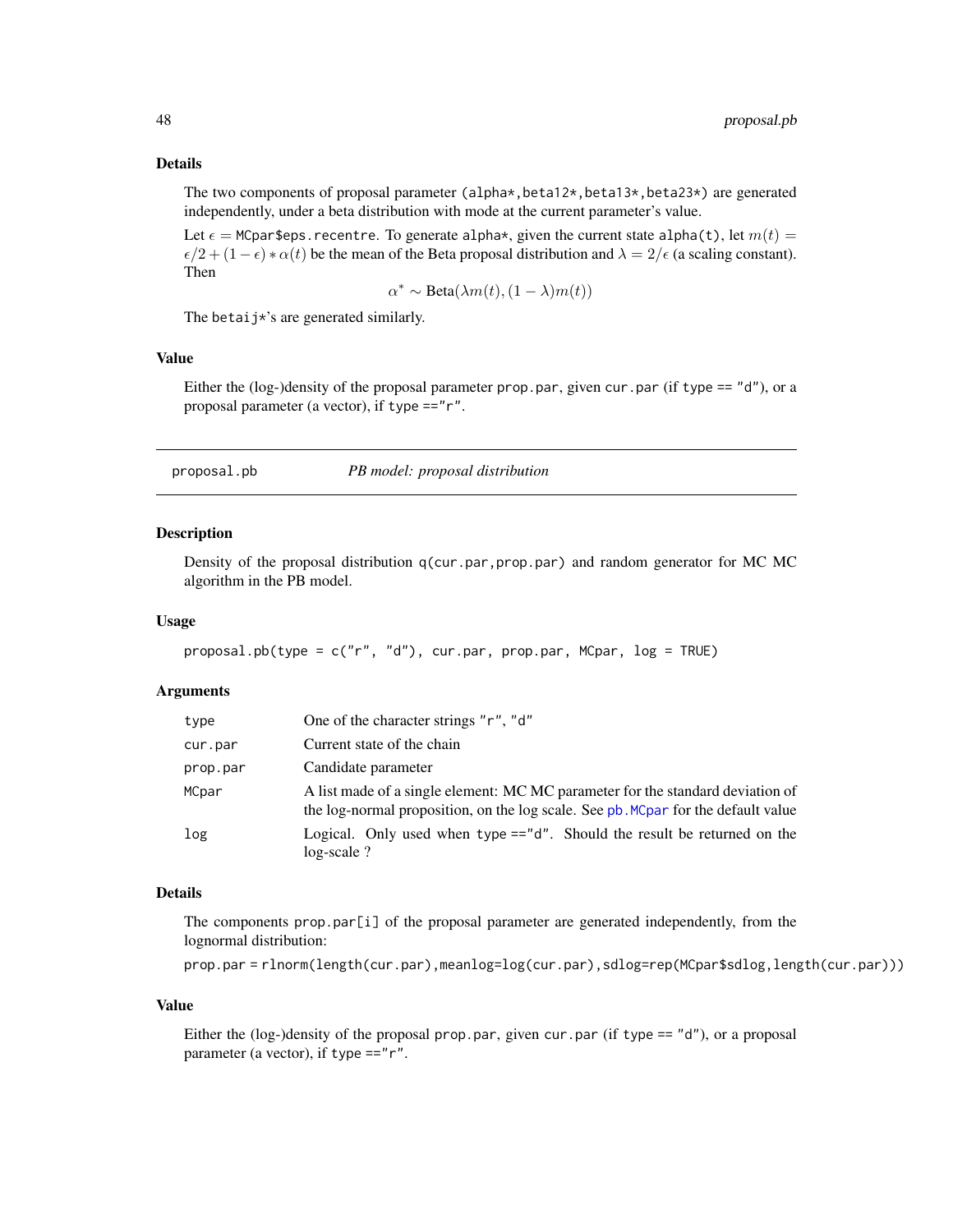#### <span id="page-47-0"></span>Details

The two components of proposal parameter (alpha $\star$ , beta12 $\star$ , beta13 $\star$ , beta23 $\star$ ) are generated independently, under a beta distribution with mode at the current parameter's value.

Let  $\epsilon$  = MCpar\$eps. recentre. To generate alpha $\star$ , given the current state alpha(t), let  $m(t)$  =  $\epsilon/2 + (1 - \epsilon) * \alpha(t)$  be the mean of the Beta proposal distribution and  $\lambda = 2/\epsilon$  (a scaling constant). Then

$$
\alpha^* \sim \text{Beta}(\lambda m(t), (1 - \lambda) m(t))
$$

The betaij\*'s are generated similarly.

## Value

Either the (log-)density of the proposal parameter prop.par, given cur.par (if type  $== "d")$ , or a proposal parameter (a vector), if type =="r".

<span id="page-47-1"></span>proposal.pb *PB model: proposal distribution*

#### **Description**

Density of the proposal distribution  $q$ (cur.par, prop.par) and random generator for MC MC algorithm in the PB model.

#### Usage

```
proposal.pb(type = c("r", "d"), cur.par, prop.par, MCpar, log = TRUE)
```
## Arguments

| type     | One of the character strings "r", "d"                                                                                                                               |
|----------|---------------------------------------------------------------------------------------------------------------------------------------------------------------------|
| cur.par  | Current state of the chain                                                                                                                                          |
| prop.par | Candidate parameter                                                                                                                                                 |
| MCpar    | A list made of a single element: MC MC parameter for the standard deviation of<br>the log-normal proposition, on the log scale. See pb. MCpar for the default value |
| log      | Logical. Only used when type =="d". Should the result be returned on the<br>$log-scale$ ?                                                                           |

## Details

The components prop.par[i] of the proposal parameter are generated independently, from the lognormal distribution:

```
prop.par = rlnorm(length(cur.par),meanlog=log(cur.par),sdlog=rep(MCpar$sdlog,length(cur.par)))
```
#### Value

Either the (log-)density of the proposal prop.par, given cur.par (if type  $== "d")$ , or a proposal parameter (a vector), if type =="r".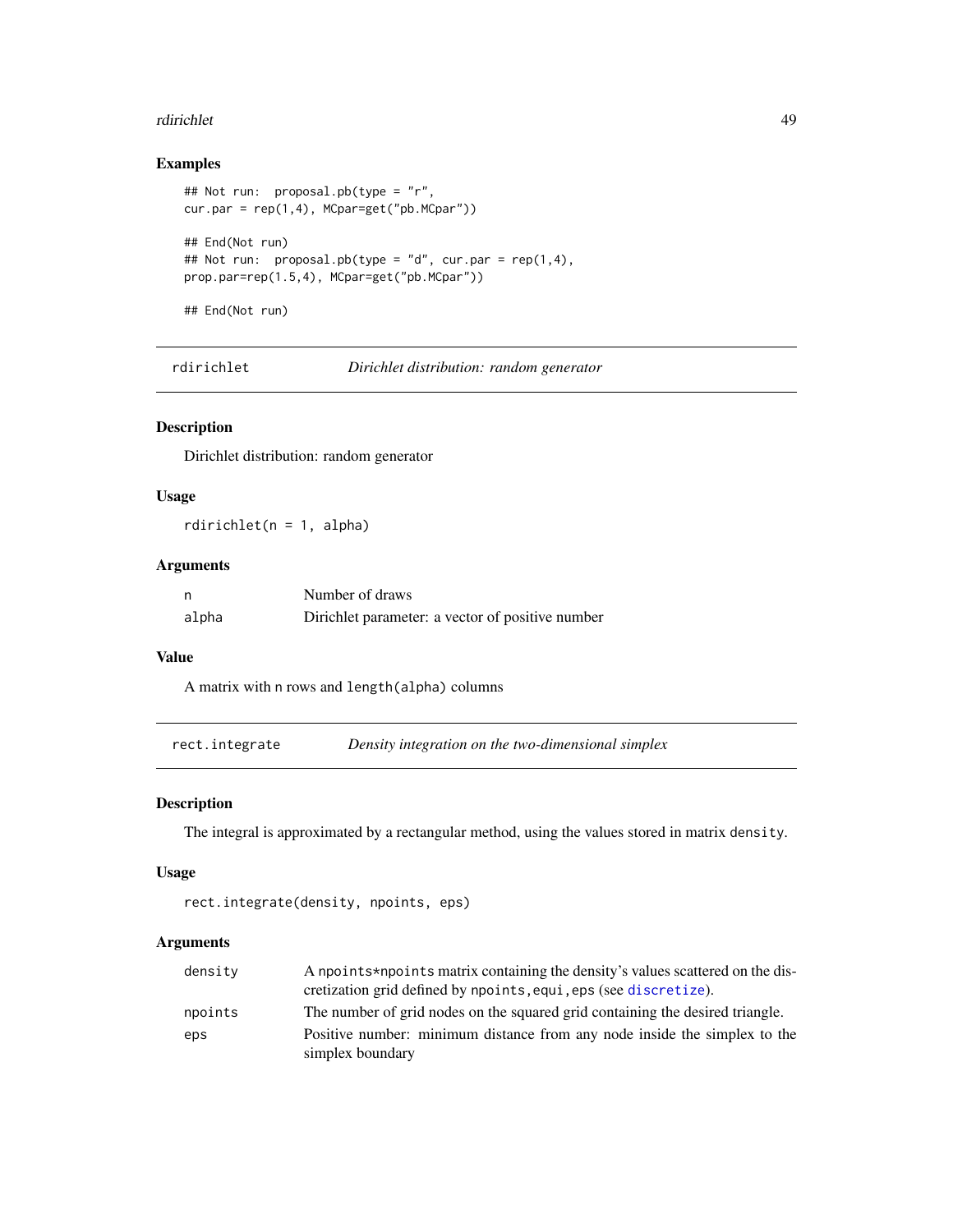#### <span id="page-48-0"></span>rdirichlet 49

## Examples

```
## Not run: proposal.pb(type = "r",
cur.par = rep(1,4), MCpar=get("pb.MCpar"))
## End(Not run)
## Not run: proposal.pb(type = "d", cur.par = rep(1,4),
prop.par=rep(1.5,4), MCpar=get("pb.MCpar"))
## End(Not run)
```
rdirichlet *Dirichlet distribution: random generator*

## Description

Dirichlet distribution: random generator

## Usage

rdirichlet(n = 1, alpha)

## Arguments

| n     | Number of draws                                  |
|-------|--------------------------------------------------|
| alpha | Dirichlet parameter: a vector of positive number |

#### Value

A matrix with n rows and length(alpha) columns

<span id="page-48-1"></span>rect.integrate *Density integration on the two-dimensional simplex*

## Description

The integral is approximated by a rectangular method, using the values stored in matrix density.

## Usage

```
rect.integrate(density, npoints, eps)
```

| density | A npoints*npoints matrix containing the density's values scattered on the dis-<br>cretization grid defined by npoints, equi, eps (see discretize). |
|---------|----------------------------------------------------------------------------------------------------------------------------------------------------|
| npoints | The number of grid nodes on the squared grid containing the desired triangle.                                                                      |
| eps     | Positive number: minimum distance from any node inside the simplex to the                                                                          |
|         | simplex boundary                                                                                                                                   |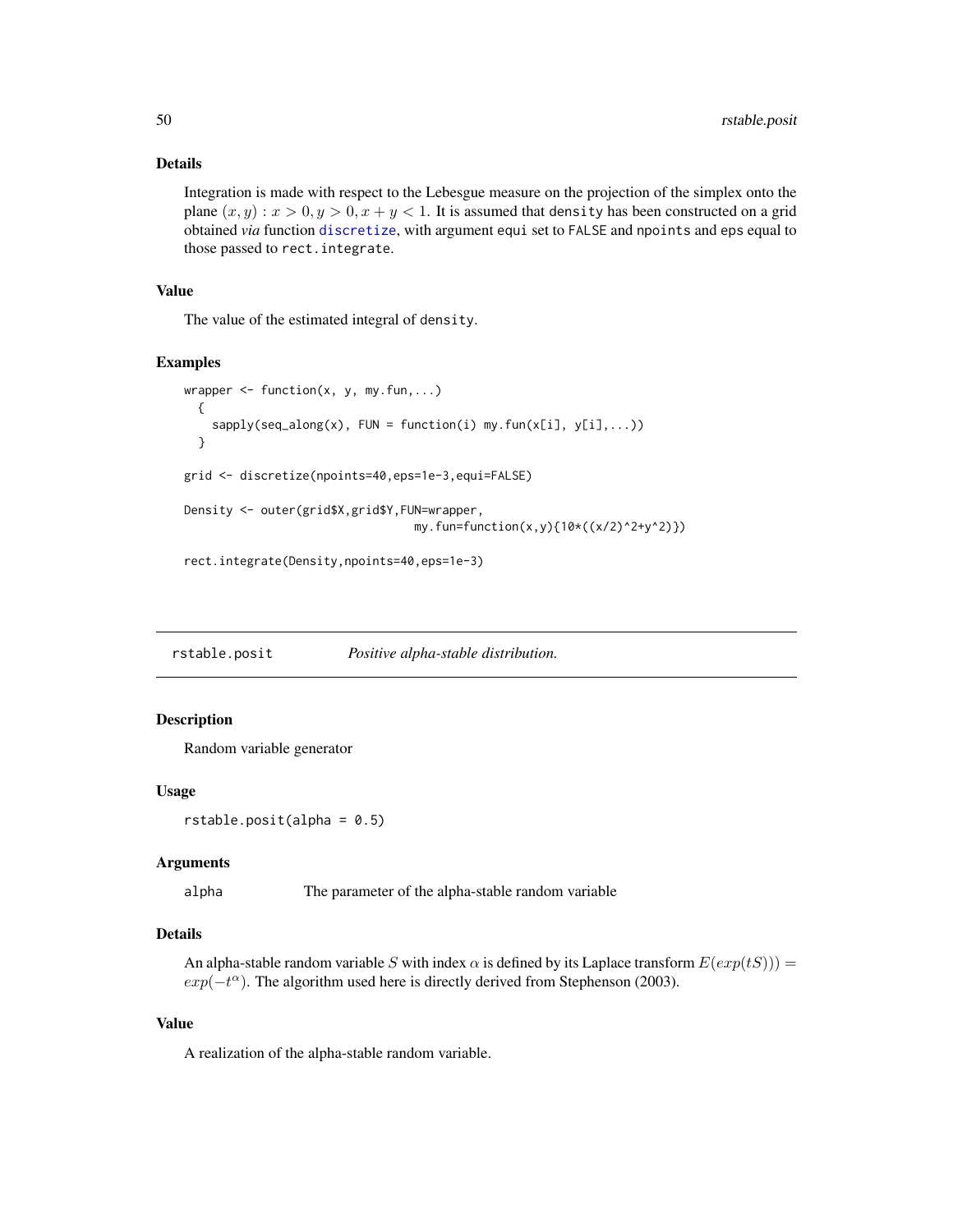## <span id="page-49-0"></span>Details

Integration is made with respect to the Lebesgue measure on the projection of the simplex onto the plane  $(x, y) : x > 0, y > 0, x + y < 1$ . It is assumed that density has been constructed on a grid obtained *via* function [discretize](#page-12-1), with argument equi set to FALSE and npoints and eps equal to those passed to rect.integrate.

## Value

The value of the estimated integral of density.

#### Examples

```
wrapper \leq function(x, y, my.fun,...)
 {
   sapply(seq\_along(x), FUN = function(i) my.fun(x[i], y[i],...))
 }
grid <- discretize(npoints=40,eps=1e-3,equi=FALSE)
Density <- outer(grid$X,grid$Y,FUN=wrapper,
                                 my.fun=function(x,y){10*((x/2)^2+y^2)})
```
rect.integrate(Density,npoints=40,eps=1e-3)

rstable.posit *Positive alpha-stable distribution.*

## Description

Random variable generator

#### Usage

```
rstable.posit(alpha = 0.5)
```
## Arguments

alpha The parameter of the alpha-stable random variable

## Details

An alpha-stable random variable S with index  $\alpha$  is defined by its Laplace transform  $E(exp(tS)))$  =  $exp(-t^{\alpha})$ . The algorithm used here is directly derived from Stephenson (2003).

### Value

A realization of the alpha-stable random variable.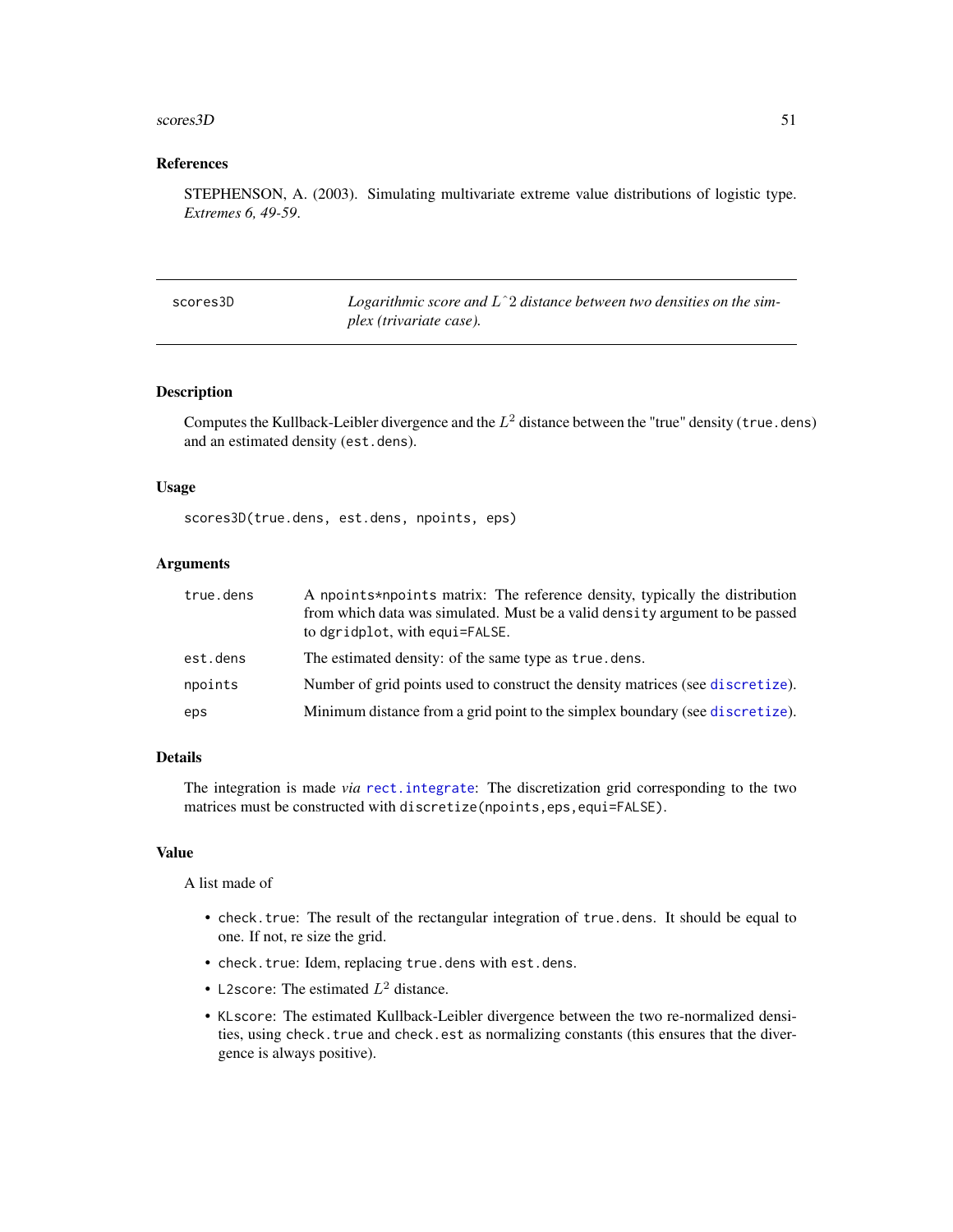#### <span id="page-50-0"></span> $\frac{\text{scores3D}}{1}$

#### References

STEPHENSON, A. (2003). Simulating multivariate extreme value distributions of logistic type. *Extremes 6, 49-59*.

| scores3D | Logarithmic score and $L^2$ distance between two densities on the sim- |
|----------|------------------------------------------------------------------------|
|          | plex (trivariate case).                                                |

#### Description

Computes the Kullback-Leibler divergence and the  $L^2$  distance between the "true" density (true.dens) and an estimated density (est.dens).

#### Usage

scores3D(true.dens, est.dens, npoints, eps)

## Arguments

| true.dens | A npoints*npoints matrix: The reference density, typically the distribution<br>from which data was simulated. Must be a valid density argument to be passed<br>to dgridplot, with equi=FALSE. |
|-----------|-----------------------------------------------------------------------------------------------------------------------------------------------------------------------------------------------|
| est.dens  | The estimated density: of the same type as true dens.                                                                                                                                         |
| npoints   | Number of grid points used to construct the density matrices (see discretize).                                                                                                                |
| eps       | Minimum distance from a grid point to the simplex boundary (see discretize).                                                                                                                  |

## Details

The integration is made *via* [rect.integrate](#page-48-1): The discretization grid corresponding to the two matrices must be constructed with discretize(npoints,eps,equi=FALSE).

#### Value

A list made of

- check.true: The result of the rectangular integration of true.dens. It should be equal to one. If not, re size the grid.
- check.true: Idem, replacing true.dens with est.dens.
- L2score: The estimated  $L^2$  distance.
- KLscore: The estimated Kullback-Leibler divergence between the two re-normalized densities, using check.true and check.est as normalizing constants (this ensures that the divergence is always positive).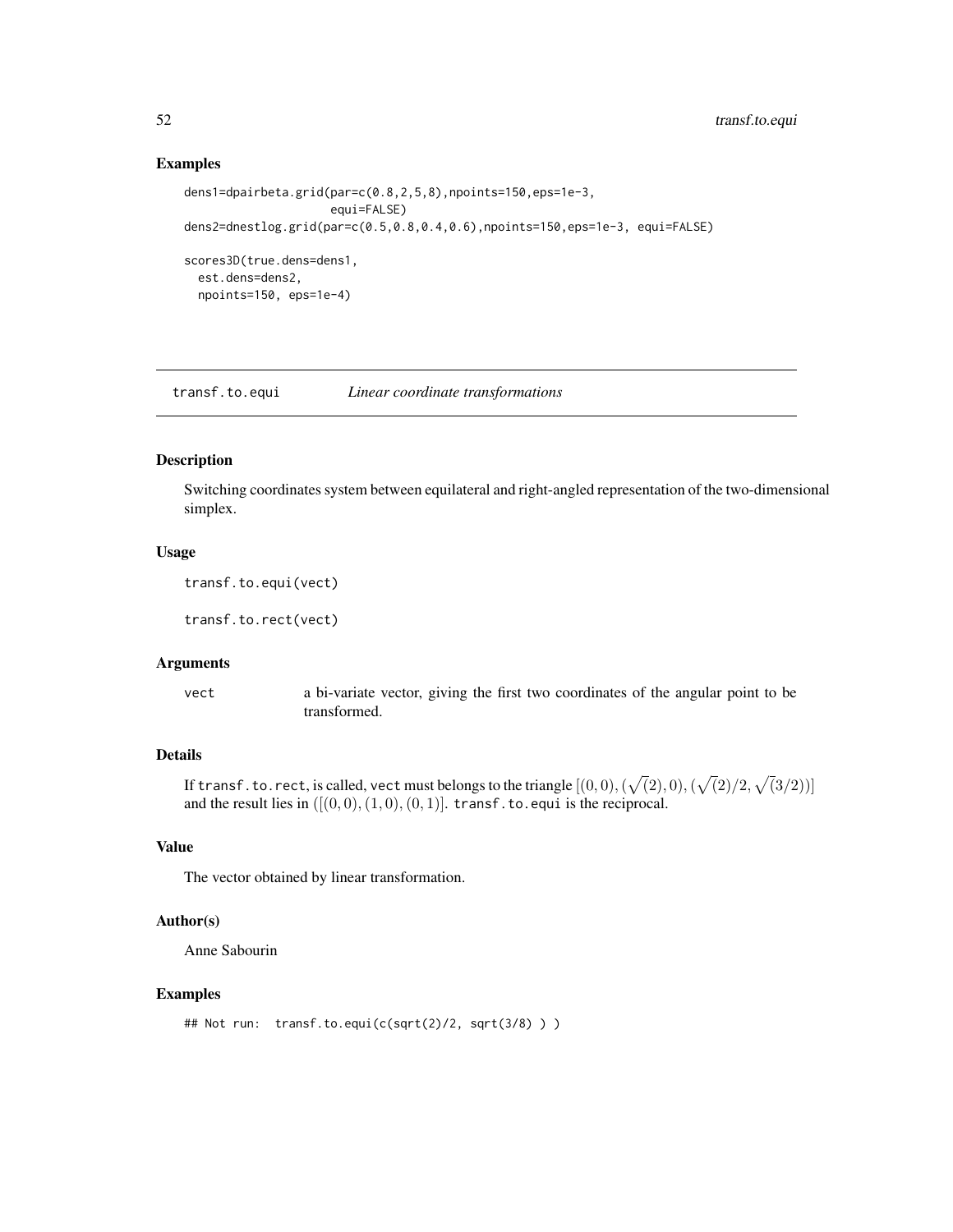#### Examples

```
dens1=dpairbeta.grid(par=c(0.8,2,5,8),npoints=150,eps=1e-3,
                     equi=FALSE)
dens2=dnestlog.grid(par=c(0.5,0.8,0.4,0.6),npoints=150,eps=1e-3, equi=FALSE)
scores3D(true.dens=dens1,
 est.dens=dens2,
 npoints=150, eps=1e-4)
```
transf.to.equi *Linear coordinate transformations*

## Description

Switching coordinates system between equilateral and right-angled representation of the two-dimensional simplex.

#### Usage

```
transf.to.equi(vect)
```
transf.to.rect(vect)

#### Arguments

vect a bi-variate vector, giving the first two coordinates of the angular point to be transformed.

### Details

If transf . to . rect, is called, vect must belongs to the triangle  $[(0,0),(\sqrt(2),0),(\sqrt(2)/2,\sqrt(3/2))]$ and the result lies in  $([(0, 0), (1, 0), (0, 1)]$ . transf.to.equi is the reciprocal.

## Value

The vector obtained by linear transformation.

## Author(s)

Anne Sabourin

## Examples

```
## Not run: transf.to.equi(c(sqrt(2)/2, sqrt(3/8) ) )
```
<span id="page-51-0"></span>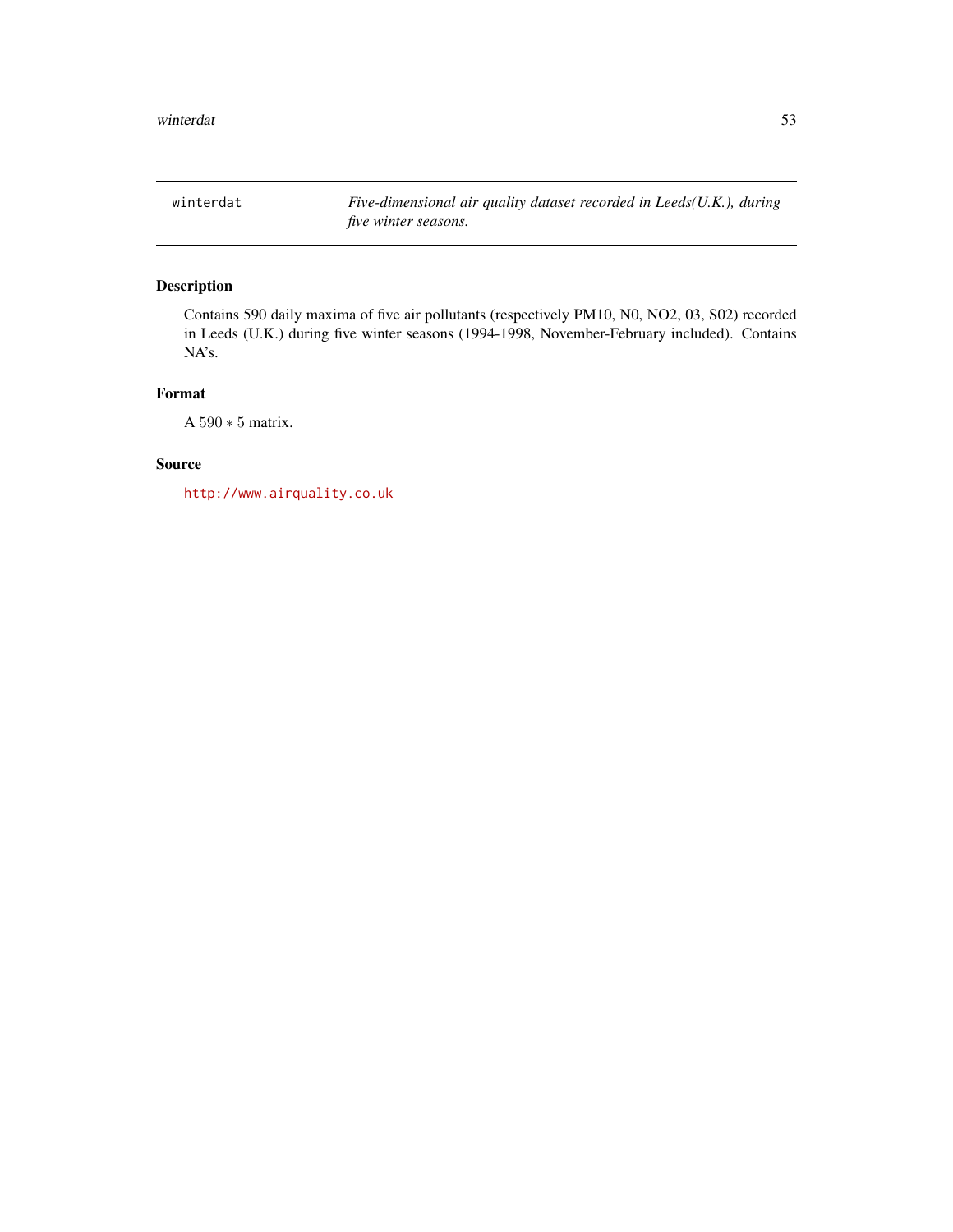<span id="page-52-1"></span><span id="page-52-0"></span>winterdat *Five-dimensional air quality dataset recorded in Leeds(U.K.), during five winter seasons.*

## Description

Contains 590 daily maxima of five air pollutants (respectively PM10, N0, NO2, 03, S02) recorded in Leeds (U.K.) during five winter seasons (1994-1998, November-February included). Contains NA's.

## Format

A 590 ∗ 5 matrix.

## Source

<http://www.airquality.co.uk>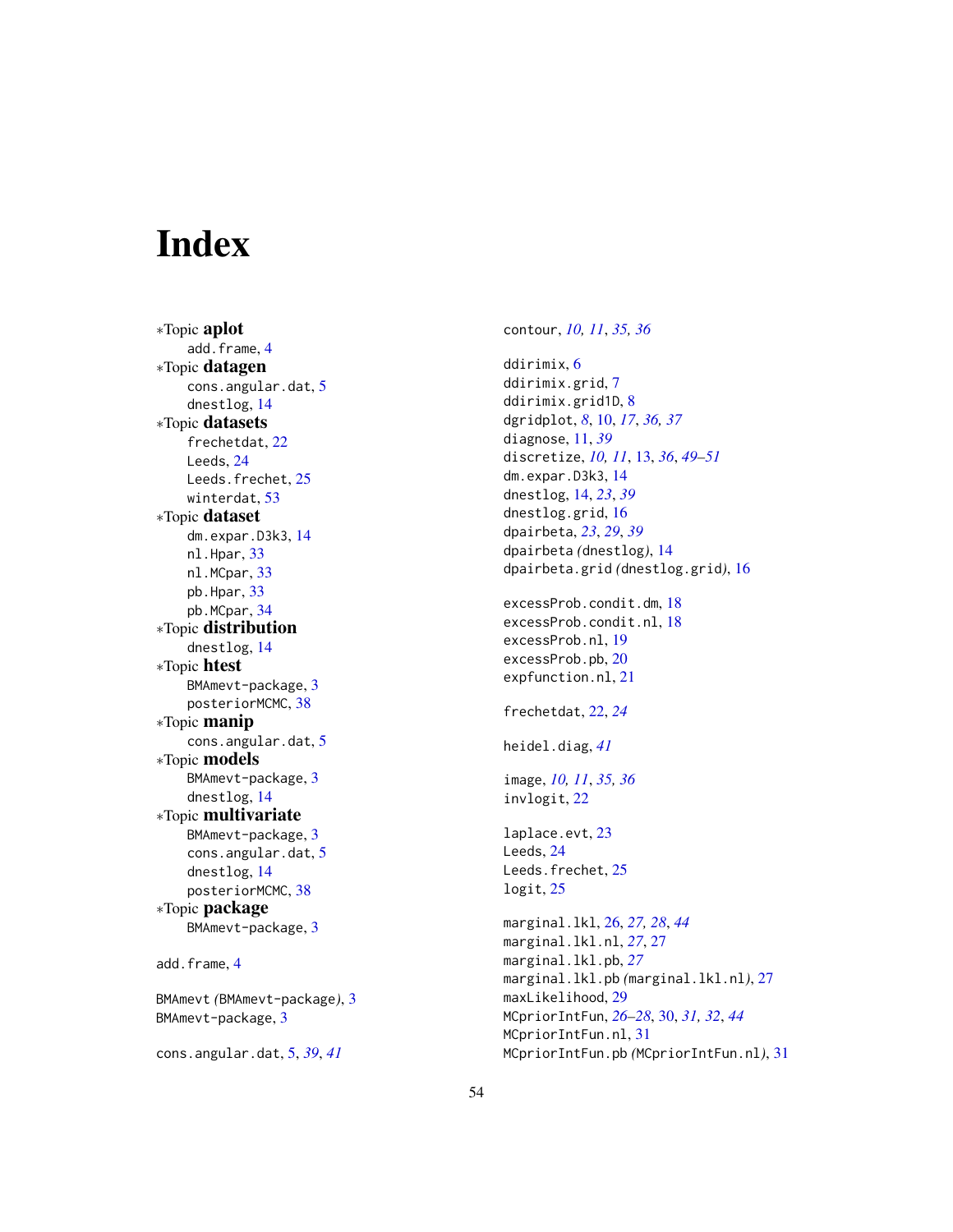# <span id="page-53-0"></span>**Index**

∗Topic aplot add.frame, [4](#page-3-0) ∗Topic datagen cons.angular.dat, [5](#page-4-0) dnestlog , [14](#page-13-0) ∗Topic datasets frechetdat , [22](#page-21-0) Leeds , [24](#page-23-0) Leeds.frechet, [25](#page-24-0) winterdat , [53](#page-52-0) ∗Topic dataset dm.expar.D3k3 , [14](#page-13-0) nl.Hpar, [33](#page-32-0) nl.MCpar, [33](#page-32-0) pb.Hpar , [33](#page-32-0) pb.MCpar , [34](#page-33-0) ∗Topic distribution dnestlog , [14](#page-13-0) ∗Topic htest BMAmevt-package, [3](#page-2-0) posteriorMCMC, [38](#page-37-0) ∗Topic manip cons.angular.dat, [5](#page-4-0) ∗Topic models BMAmevt-package, [3](#page-2-0) dnestlog , [14](#page-13-0) ∗Topic multivariate BMAmevt-package, [3](#page-2-0) cons.angular.dat, [5](#page-4-0) dnestlog , [14](#page-13-0) posteriorMCMC, [38](#page-37-0) ∗Topic package BMAmevt-package, [3](#page-2-0) add.frame , [4](#page-3-0) BMAmevt *(*BMAmevt-package *)* , [3](#page-2-0) BMAmevt-package , [3](#page-2-0) cons.angular.dat , [5](#page-4-0) , *[39](#page-38-0)* , *[41](#page-40-0)*

contour , *[10](#page-9-0) , [11](#page-10-0)* , *[35](#page-34-0) , [36](#page-35-0)* ddirimix , [6](#page-5-0) ddirimix.grid,[7](#page-6-0) ddirimix.grid1D , [8](#page-7-0) dgridplot , *[8](#page-7-0)* , [10](#page-9-0) , *[17](#page-16-0)* , *[36,](#page-35-0) [37](#page-36-0)* diagnose , [11](#page-10-0) , *[39](#page-38-0)* discretize , *[10](#page-9-0) , [11](#page-10-0)* , [13](#page-12-0) , *[36](#page-35-0)* , *[49](#page-48-0) [–51](#page-50-0)* dm.expar.D3k3 , [14](#page-13-0) dnestlog , [14](#page-13-0) , *[23](#page-22-0)* , *[39](#page-38-0)* dnestlog.grid , [16](#page-15-0) dpairbeta , *[23](#page-22-0)* , *[29](#page-28-0)* , *[39](#page-38-0)* dpairbeta *(*dnestlog *)* , [14](#page-13-0) dpairbeta.grid *(*dnestlog.grid *)* , [16](#page-15-0) excessProb.condit.dm , [18](#page-17-0) excessProb.condit.nl , [18](#page-17-0) excessProb.nl , [19](#page-18-0) excessProb.pb,  $20$ expfunction.nl , [21](#page-20-0) frechetdat , [22](#page-21-0) , *[24](#page-23-0)* heidel.diag , *[41](#page-40-0)* image , *[10](#page-9-0) , [11](#page-10-0)* , *[35](#page-34-0) , [36](#page-35-0)* invlogit , [22](#page-21-0) laplace.evt, [23](#page-22-0) Leeds , [24](#page-23-0) Leeds.frechet, [25](#page-24-0) logit , [25](#page-24-0) marginal.lkl , [26](#page-25-0) , *[27,](#page-26-0) [28](#page-27-0)* , *[44](#page-43-0)* marginal.lkl.nl , *[27](#page-26-0)* , [27](#page-26-0) marginal.lkl.pb , *[27](#page-26-0)* marginal.lkl.pb *(*marginal.lkl.nl *)* , [27](#page-26-0) maxLikelihood, [29](#page-28-0) MCpriorIntFun , *[26](#page-25-0)[–28](#page-27-0)* , [30](#page-29-0) , *[31](#page-30-0) , [32](#page-31-0)* , *[44](#page-43-0)* MCpriorIntFun.nl , [31](#page-30-0) MCpriorIntFun.pb *(*MCpriorIntFun.nl *)* , [31](#page-30-0)